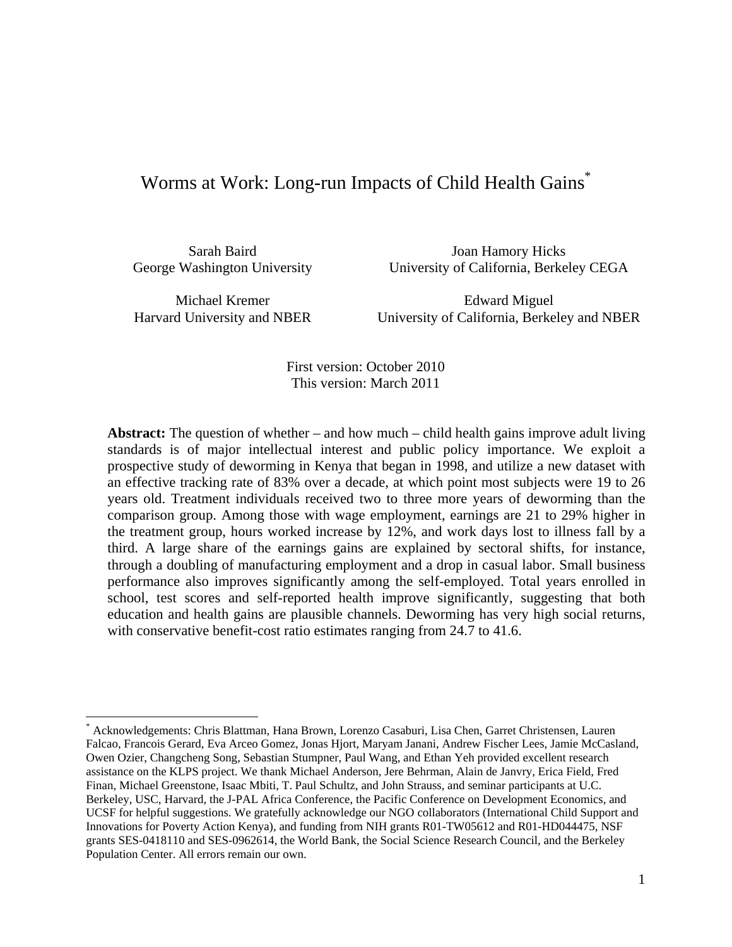# Worms at Work: Long-run Impacts of Child Health Gains<sup>\*</sup>

Sarah Baird Joan Hamory Hicks George Washington University University of California, Berkeley CEGA

 $\overline{a}$ 

Michael Kremer Edward Miguel Harvard University and NBER University of California, Berkeley and NBER

> First version: October 2010 This version: March 2011

**Abstract:** The question of whether – and how much – child health gains improve adult living standards is of major intellectual interest and public policy importance. We exploit a prospective study of deworming in Kenya that began in 1998, and utilize a new dataset with an effective tracking rate of 83% over a decade, at which point most subjects were 19 to 26 years old. Treatment individuals received two to three more years of deworming than the comparison group. Among those with wage employment, earnings are 21 to 29% higher in the treatment group, hours worked increase by 12%, and work days lost to illness fall by a third. A large share of the earnings gains are explained by sectoral shifts, for instance, through a doubling of manufacturing employment and a drop in casual labor. Small business performance also improves significantly among the self-employed. Total years enrolled in school, test scores and self-reported health improve significantly, suggesting that both education and health gains are plausible channels. Deworming has very high social returns, with conservative benefit-cost ratio estimates ranging from 24.7 to 41.6.

<sup>\*</sup> Acknowledgements: Chris Blattman, Hana Brown, Lorenzo Casaburi, Lisa Chen, Garret Christensen, Lauren Falcao, Francois Gerard, Eva Arceo Gomez, Jonas Hjort, Maryam Janani, Andrew Fischer Lees, Jamie McCasland, Owen Ozier, Changcheng Song, Sebastian Stumpner, Paul Wang, and Ethan Yeh provided excellent research assistance on the KLPS project. We thank Michael Anderson, Jere Behrman, Alain de Janvry, Erica Field, Fred Finan, Michael Greenstone, Isaac Mbiti, T. Paul Schultz, and John Strauss, and seminar participants at U.C. Berkeley, USC, Harvard, the J-PAL Africa Conference, the Pacific Conference on Development Economics, and UCSF for helpful suggestions. We gratefully acknowledge our NGO collaborators (International Child Support and Innovations for Poverty Action Kenya), and funding from NIH grants R01-TW05612 and R01-HD044475, NSF grants SES-0418110 and SES-0962614, the World Bank, the Social Science Research Council, and the Berkeley Population Center. All errors remain our own.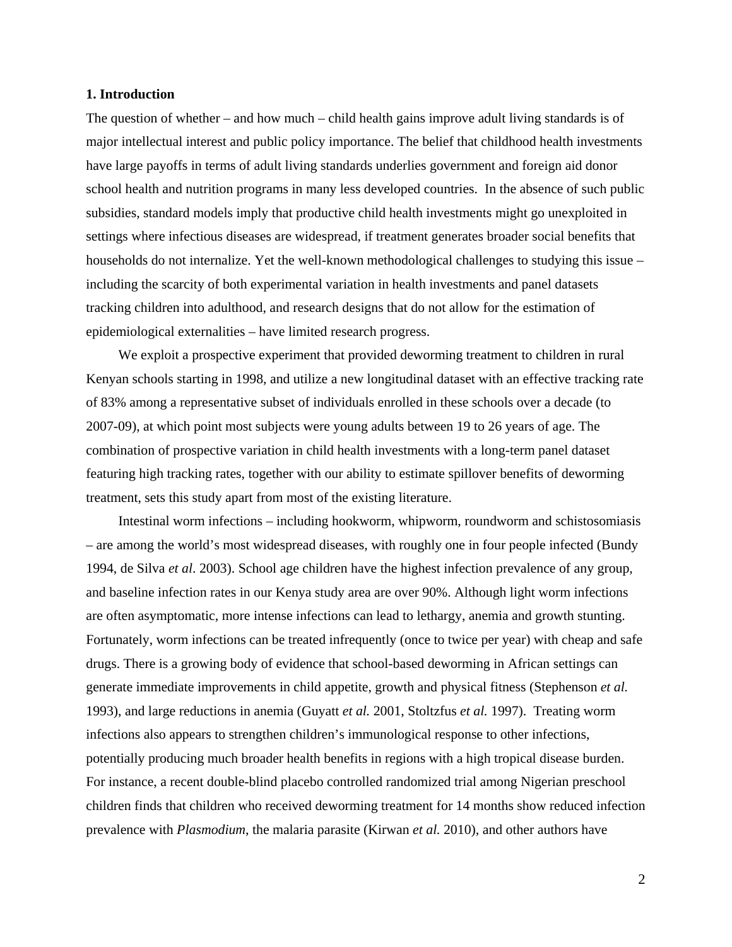#### **1. Introduction**

The question of whether – and how much – child health gains improve adult living standards is of major intellectual interest and public policy importance. The belief that childhood health investments have large payoffs in terms of adult living standards underlies government and foreign aid donor school health and nutrition programs in many less developed countries. In the absence of such public subsidies, standard models imply that productive child health investments might go unexploited in settings where infectious diseases are widespread, if treatment generates broader social benefits that households do not internalize. Yet the well-known methodological challenges to studying this issue – including the scarcity of both experimental variation in health investments and panel datasets tracking children into adulthood, and research designs that do not allow for the estimation of epidemiological externalities – have limited research progress.

 We exploit a prospective experiment that provided deworming treatment to children in rural Kenyan schools starting in 1998, and utilize a new longitudinal dataset with an effective tracking rate of 83% among a representative subset of individuals enrolled in these schools over a decade (to 2007-09), at which point most subjects were young adults between 19 to 26 years of age. The combination of prospective variation in child health investments with a long-term panel dataset featuring high tracking rates, together with our ability to estimate spillover benefits of deworming treatment, sets this study apart from most of the existing literature.

 Intestinal worm infections – including hookworm, whipworm, roundworm and schistosomiasis – are among the world's most widespread diseases, with roughly one in four people infected (Bundy 1994, de Silva *et al*. 2003). School age children have the highest infection prevalence of any group, and baseline infection rates in our Kenya study area are over 90%. Although light worm infections are often asymptomatic, more intense infections can lead to lethargy, anemia and growth stunting. Fortunately, worm infections can be treated infrequently (once to twice per year) with cheap and safe drugs. There is a growing body of evidence that school-based deworming in African settings can generate immediate improvements in child appetite, growth and physical fitness (Stephenson *et al.* 1993), and large reductions in anemia (Guyatt *et al.* 2001, Stoltzfus *et al.* 1997). Treating worm infections also appears to strengthen children's immunological response to other infections, potentially producing much broader health benefits in regions with a high tropical disease burden. For instance, a recent double-blind placebo controlled randomized trial among Nigerian preschool children finds that children who received deworming treatment for 14 months show reduced infection prevalence with *Plasmodium*, the malaria parasite (Kirwan *et al.* 2010), and other authors have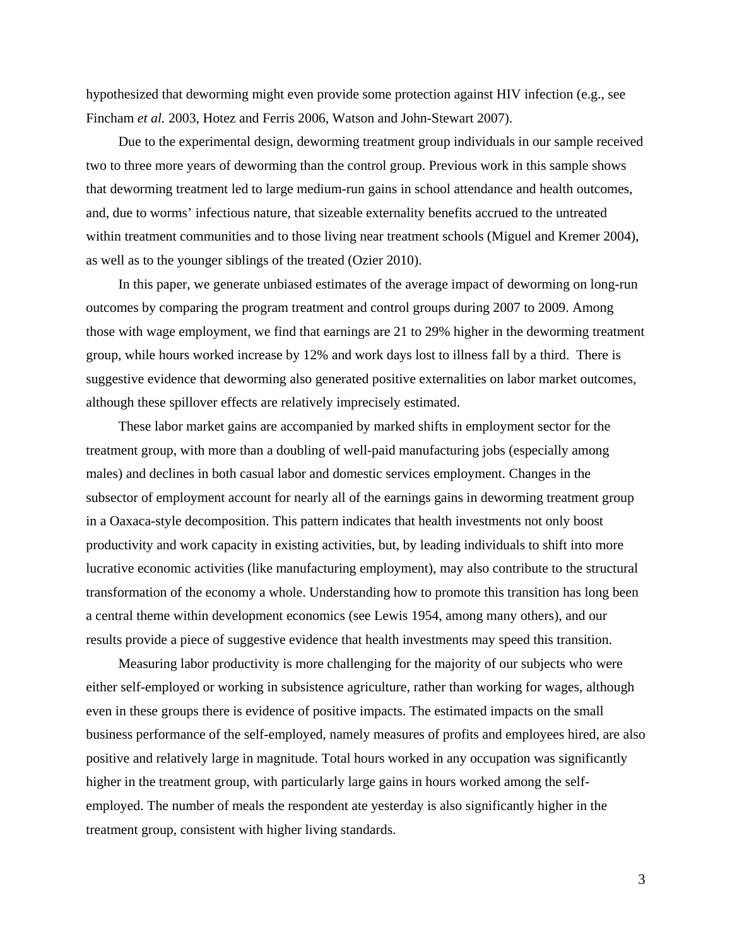hypothesized that deworming might even provide some protection against HIV infection (e.g., see Fincham *et al.* 2003, Hotez and Ferris 2006, Watson and John-Stewart 2007).

 Due to the experimental design, deworming treatment group individuals in our sample received two to three more years of deworming than the control group. Previous work in this sample shows that deworming treatment led to large medium-run gains in school attendance and health outcomes, and, due to worms' infectious nature, that sizeable externality benefits accrued to the untreated within treatment communities and to those living near treatment schools (Miguel and Kremer 2004), as well as to the younger siblings of the treated (Ozier 2010).

 In this paper, we generate unbiased estimates of the average impact of deworming on long-run outcomes by comparing the program treatment and control groups during 2007 to 2009. Among those with wage employment, we find that earnings are 21 to 29% higher in the deworming treatment group, while hours worked increase by 12% and work days lost to illness fall by a third. There is suggestive evidence that deworming also generated positive externalities on labor market outcomes, although these spillover effects are relatively imprecisely estimated.

 These labor market gains are accompanied by marked shifts in employment sector for the treatment group, with more than a doubling of well-paid manufacturing jobs (especially among males) and declines in both casual labor and domestic services employment. Changes in the subsector of employment account for nearly all of the earnings gains in deworming treatment group in a Oaxaca-style decomposition. This pattern indicates that health investments not only boost productivity and work capacity in existing activities, but, by leading individuals to shift into more lucrative economic activities (like manufacturing employment), may also contribute to the structural transformation of the economy a whole. Understanding how to promote this transition has long been a central theme within development economics (see Lewis 1954, among many others), and our results provide a piece of suggestive evidence that health investments may speed this transition.

 Measuring labor productivity is more challenging for the majority of our subjects who were either self-employed or working in subsistence agriculture, rather than working for wages, although even in these groups there is evidence of positive impacts. The estimated impacts on the small business performance of the self-employed, namely measures of profits and employees hired, are also positive and relatively large in magnitude. Total hours worked in any occupation was significantly higher in the treatment group, with particularly large gains in hours worked among the selfemployed. The number of meals the respondent ate yesterday is also significantly higher in the treatment group, consistent with higher living standards.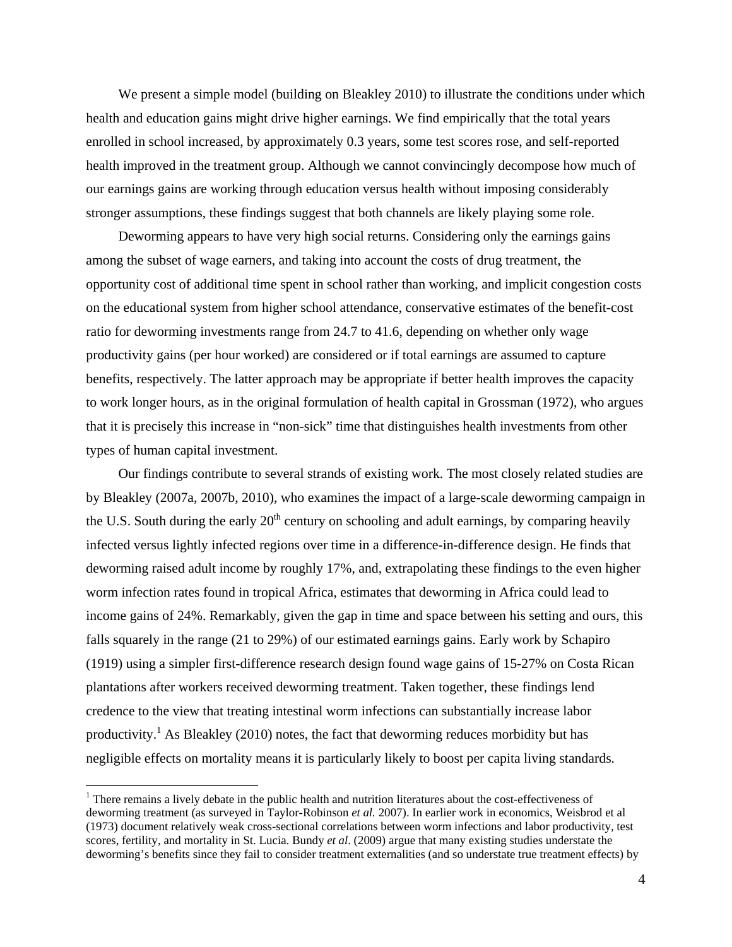We present a simple model (building on Bleakley 2010) to illustrate the conditions under which health and education gains might drive higher earnings. We find empirically that the total years enrolled in school increased, by approximately 0.3 years, some test scores rose, and self-reported health improved in the treatment group. Although we cannot convincingly decompose how much of our earnings gains are working through education versus health without imposing considerably stronger assumptions, these findings suggest that both channels are likely playing some role.

 Deworming appears to have very high social returns. Considering only the earnings gains among the subset of wage earners, and taking into account the costs of drug treatment, the opportunity cost of additional time spent in school rather than working, and implicit congestion costs on the educational system from higher school attendance, conservative estimates of the benefit-cost ratio for deworming investments range from 24.7 to 41.6, depending on whether only wage productivity gains (per hour worked) are considered or if total earnings are assumed to capture benefits, respectively. The latter approach may be appropriate if better health improves the capacity to work longer hours, as in the original formulation of health capital in Grossman (1972), who argues that it is precisely this increase in "non-sick" time that distinguishes health investments from other types of human capital investment.

 Our findings contribute to several strands of existing work. The most closely related studies are by Bleakley (2007a, 2007b, 2010), who examines the impact of a large-scale deworming campaign in the U.S. South during the early  $20<sup>th</sup>$  century on schooling and adult earnings, by comparing heavily infected versus lightly infected regions over time in a difference-in-difference design. He finds that deworming raised adult income by roughly 17%, and, extrapolating these findings to the even higher worm infection rates found in tropical Africa, estimates that deworming in Africa could lead to income gains of 24%. Remarkably, given the gap in time and space between his setting and ours, this falls squarely in the range (21 to 29%) of our estimated earnings gains. Early work by Schapiro (1919) using a simpler first-difference research design found wage gains of 15-27% on Costa Rican plantations after workers received deworming treatment. Taken together, these findings lend credence to the view that treating intestinal worm infections can substantially increase labor productivity.<sup>1</sup> As Bleakley (2010) notes, the fact that deworming reduces morbidity but has negligible effects on mortality means it is particularly likely to boost per capita living standards.

 $\overline{a}$ 

<sup>&</sup>lt;sup>1</sup> There remains a lively debate in the public health and nutrition literatures about the cost-effectiveness of deworming treatment (as surveyed in Taylor-Robinson *et al.* 2007). In earlier work in economics, Weisbrod et al (1973) document relatively weak cross-sectional correlations between worm infections and labor productivity, test scores, fertility, and mortality in St. Lucia. Bundy *et al*. (2009) argue that many existing studies understate the deworming's benefits since they fail to consider treatment externalities (and so understate true treatment effects) by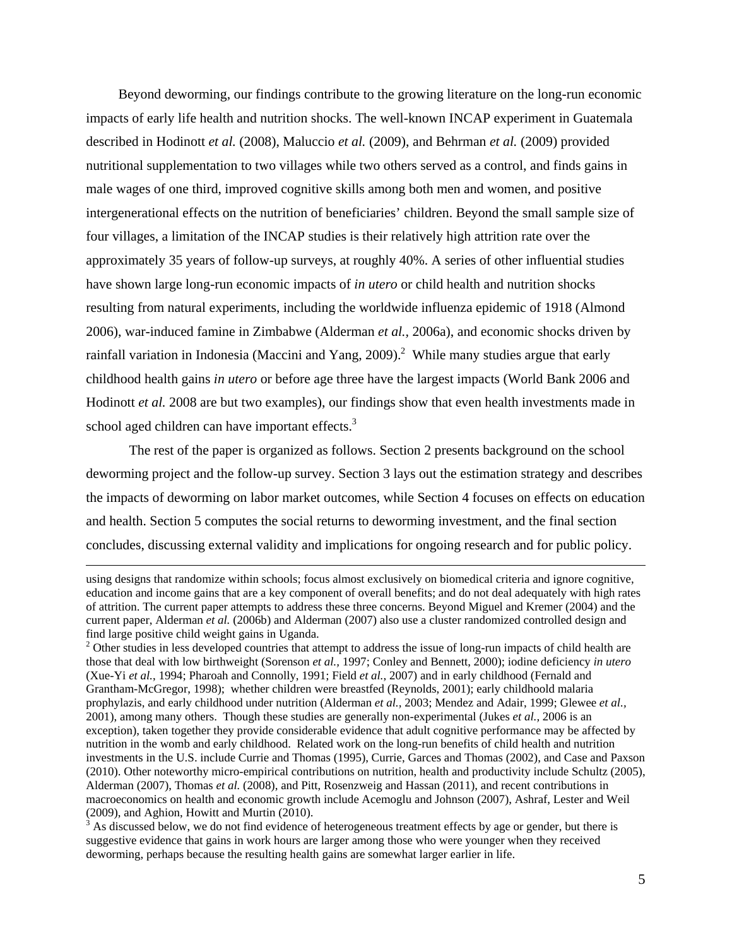Beyond deworming, our findings contribute to the growing literature on the long-run economic impacts of early life health and nutrition shocks. The well-known INCAP experiment in Guatemala described in Hodinott *et al.* (2008), Maluccio *et al.* (2009), and Behrman *et al.* (2009) provided nutritional supplementation to two villages while two others served as a control, and finds gains in male wages of one third, improved cognitive skills among both men and women, and positive intergenerational effects on the nutrition of beneficiaries' children. Beyond the small sample size of four villages, a limitation of the INCAP studies is their relatively high attrition rate over the approximately 35 years of follow-up surveys, at roughly 40%. A series of other influential studies have shown large long-run economic impacts of *in utero* or child health and nutrition shocks resulting from natural experiments, including the worldwide influenza epidemic of 1918 (Almond 2006), war-induced famine in Zimbabwe (Alderman *et al.,* 2006a), and economic shocks driven by rainfall variation in Indonesia (Maccini and Yang, 2009).<sup>2</sup> While many studies argue that early childhood health gains *in utero* or before age three have the largest impacts (World Bank 2006 and Hodinott *et al.* 2008 are but two examples), our findings show that even health investments made in school aged children can have important effects.<sup>3</sup>

 The rest of the paper is organized as follows. Section 2 presents background on the school deworming project and the follow-up survey. Section 3 lays out the estimation strategy and describes the impacts of deworming on labor market outcomes, while Section 4 focuses on effects on education and health. Section 5 computes the social returns to deworming investment, and the final section concludes, discussing external validity and implications for ongoing research and for public policy.

using designs that randomize within schools; focus almost exclusively on biomedical criteria and ignore cognitive, education and income gains that are a key component of overall benefits; and do not deal adequately with high rates of attrition. The current paper attempts to address these three concerns. Beyond Miguel and Kremer (2004) and the current paper, Alderman *et al.* (2006b) and Alderman (2007) also use a cluster randomized controlled design and find large positive child weight gains in Uganda.

 $2$  Other studies in less developed countries that attempt to address the issue of long-run impacts of child health are those that deal with low birthweight (Sorenson *et al.,* 1997; Conley and Bennett, 2000); iodine deficiency *in utero* (Xue-Yi *et al.*, 1994; Pharoah and Connolly, 1991; Field *et al.*, 2007) and in early childhood (Fernald and Grantham-McGregor, 1998); whether children were breastfed (Reynolds, 2001); early childhoold malaria prophylazis, and early childhood under nutrition (Alderman *et al.,* 2003; Mendez and Adair, 1999; Glewee *et al.,* 2001), among many others. Though these studies are generally non-experimental (Jukes *et al.,* 2006 is an exception), taken together they provide considerable evidence that adult cognitive performance may be affected by nutrition in the womb and early childhood. Related work on the long-run benefits of child health and nutrition investments in the U.S. include Currie and Thomas (1995), Currie, Garces and Thomas (2002), and Case and Paxson (2010). Other noteworthy micro-empirical contributions on nutrition, health and productivity include Schultz (2005), Alderman (2007), Thomas *et al.* (2008), and Pitt, Rosenzweig and Hassan (2011), and recent contributions in macroeconomics on health and economic growth include Acemoglu and Johnson (2007), Ashraf, Lester and Weil (2009), and Aghion, Howitt and Murtin (2010).

 $3$  As discussed below, we do not find evidence of heterogeneous treatment effects by age or gender, but there is suggestive evidence that gains in work hours are larger among those who were younger when they received deworming, perhaps because the resulting health gains are somewhat larger earlier in life.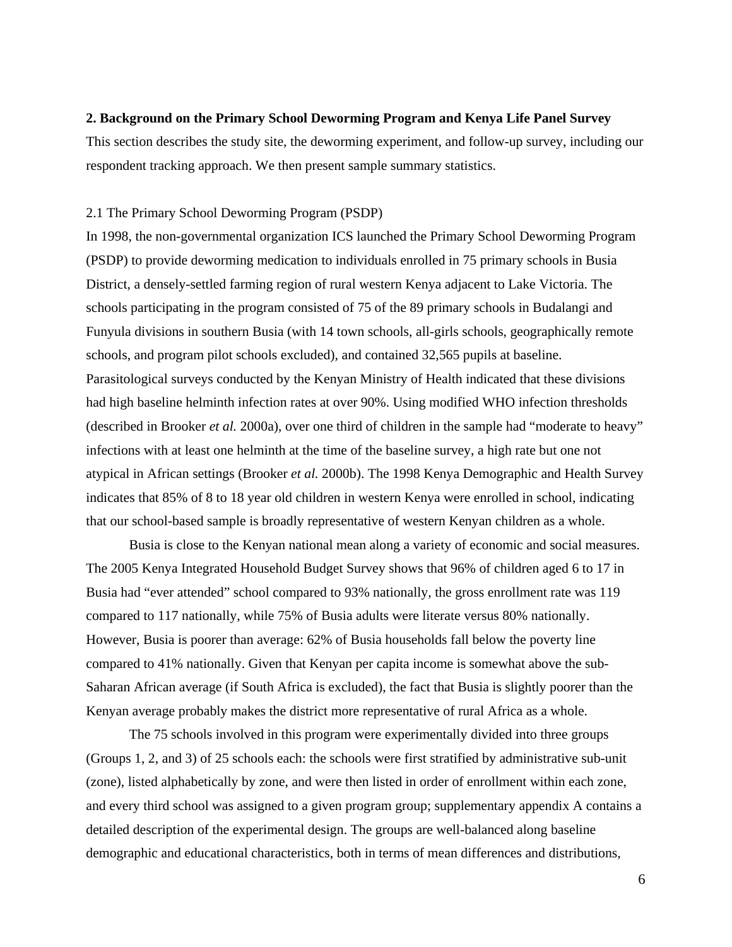## **2. Background on the Primary School Deworming Program and Kenya Life Panel Survey**

This section describes the study site, the deworming experiment, and follow-up survey, including our respondent tracking approach. We then present sample summary statistics.

#### 2.1 The Primary School Deworming Program (PSDP)

In 1998, the non-governmental organization ICS launched the Primary School Deworming Program (PSDP) to provide deworming medication to individuals enrolled in 75 primary schools in Busia District, a densely-settled farming region of rural western Kenya adjacent to Lake Victoria. The schools participating in the program consisted of 75 of the 89 primary schools in Budalangi and Funyula divisions in southern Busia (with 14 town schools, all-girls schools, geographically remote schools, and program pilot schools excluded), and contained 32,565 pupils at baseline. Parasitological surveys conducted by the Kenyan Ministry of Health indicated that these divisions had high baseline helminth infection rates at over 90%. Using modified WHO infection thresholds (described in Brooker *et al.* 2000a), over one third of children in the sample had "moderate to heavy" infections with at least one helminth at the time of the baseline survey, a high rate but one not atypical in African settings (Brooker *et al.* 2000b). The 1998 Kenya Demographic and Health Survey indicates that 85% of 8 to 18 year old children in western Kenya were enrolled in school, indicating that our school-based sample is broadly representative of western Kenyan children as a whole.

Busia is close to the Kenyan national mean along a variety of economic and social measures. The 2005 Kenya Integrated Household Budget Survey shows that 96% of children aged 6 to 17 in Busia had "ever attended" school compared to 93% nationally, the gross enrollment rate was 119 compared to 117 nationally, while 75% of Busia adults were literate versus 80% nationally. However, Busia is poorer than average: 62% of Busia households fall below the poverty line compared to 41% nationally. Given that Kenyan per capita income is somewhat above the sub-Saharan African average (if South Africa is excluded), the fact that Busia is slightly poorer than the Kenyan average probably makes the district more representative of rural Africa as a whole.

The 75 schools involved in this program were experimentally divided into three groups (Groups 1, 2, and 3) of 25 schools each: the schools were first stratified by administrative sub-unit (zone), listed alphabetically by zone, and were then listed in order of enrollment within each zone, and every third school was assigned to a given program group; supplementary appendix A contains a detailed description of the experimental design. The groups are well-balanced along baseline demographic and educational characteristics, both in terms of mean differences and distributions,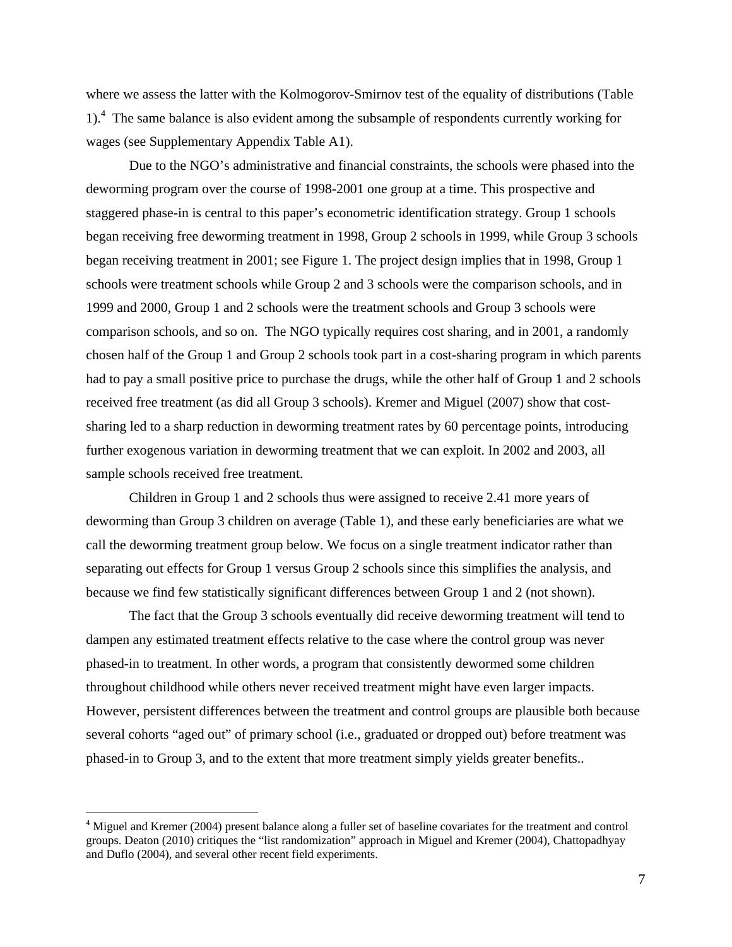where we assess the latter with the Kolmogorov-Smirnov test of the equality of distributions (Table 1).<sup>4</sup> The same balance is also evident among the subsample of respondents currently working for wages (see Supplementary Appendix Table A1).

Due to the NGO's administrative and financial constraints, the schools were phased into the deworming program over the course of 1998-2001 one group at a time. This prospective and staggered phase-in is central to this paper's econometric identification strategy. Group 1 schools began receiving free deworming treatment in 1998, Group 2 schools in 1999, while Group 3 schools began receiving treatment in 2001; see Figure 1. The project design implies that in 1998, Group 1 schools were treatment schools while Group 2 and 3 schools were the comparison schools, and in 1999 and 2000, Group 1 and 2 schools were the treatment schools and Group 3 schools were comparison schools, and so on. The NGO typically requires cost sharing, and in 2001, a randomly chosen half of the Group 1 and Group 2 schools took part in a cost-sharing program in which parents had to pay a small positive price to purchase the drugs, while the other half of Group 1 and 2 schools received free treatment (as did all Group 3 schools). Kremer and Miguel (2007) show that costsharing led to a sharp reduction in deworming treatment rates by 60 percentage points, introducing further exogenous variation in deworming treatment that we can exploit. In 2002 and 2003, all sample schools received free treatment.

Children in Group 1 and 2 schools thus were assigned to receive 2.41 more years of deworming than Group 3 children on average (Table 1), and these early beneficiaries are what we call the deworming treatment group below. We focus on a single treatment indicator rather than separating out effects for Group 1 versus Group 2 schools since this simplifies the analysis, and because we find few statistically significant differences between Group 1 and 2 (not shown).

The fact that the Group 3 schools eventually did receive deworming treatment will tend to dampen any estimated treatment effects relative to the case where the control group was never phased-in to treatment. In other words, a program that consistently dewormed some children throughout childhood while others never received treatment might have even larger impacts. However, persistent differences between the treatment and control groups are plausible both because several cohorts "aged out" of primary school (i.e., graduated or dropped out) before treatment was phased-in to Group 3, and to the extent that more treatment simply yields greater benefits..

 $\overline{a}$ 

<sup>&</sup>lt;sup>4</sup> Miguel and Kremer (2004) present balance along a fuller set of baseline covariates for the treatment and control groups. Deaton (2010) critiques the "list randomization" approach in Miguel and Kremer (2004), Chattopadhyay and Duflo (2004), and several other recent field experiments.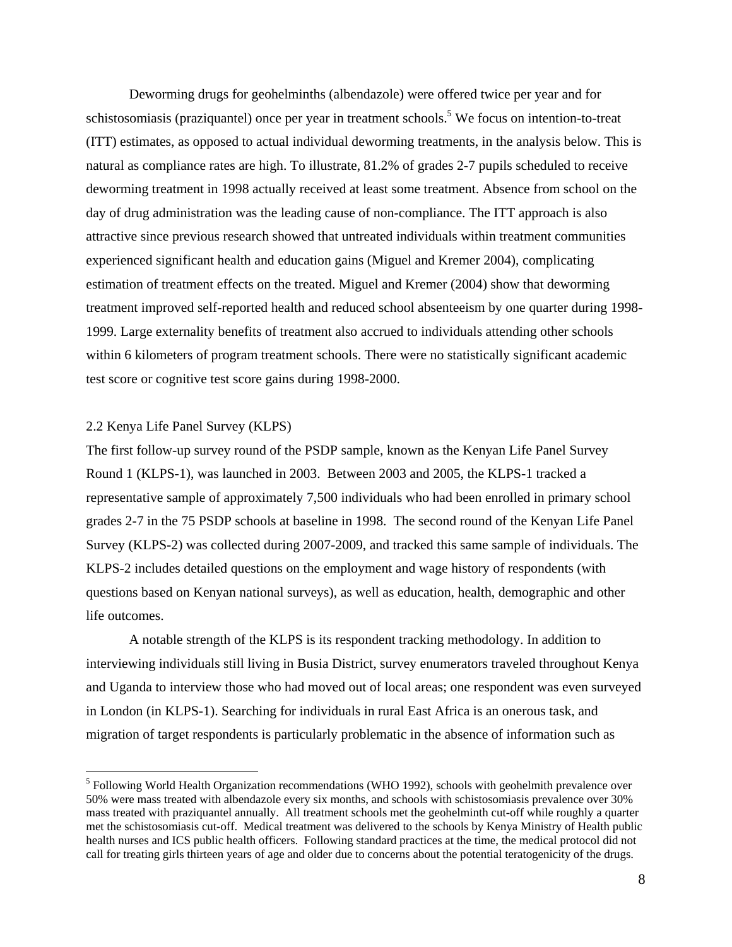Deworming drugs for geohelminths (albendazole) were offered twice per year and for schistosomiasis (praziquantel) once per year in treatment schools.<sup>5</sup> We focus on intention-to-treat (ITT) estimates, as opposed to actual individual deworming treatments, in the analysis below. This is natural as compliance rates are high. To illustrate, 81.2% of grades 2-7 pupils scheduled to receive deworming treatment in 1998 actually received at least some treatment. Absence from school on the day of drug administration was the leading cause of non-compliance. The ITT approach is also attractive since previous research showed that untreated individuals within treatment communities experienced significant health and education gains (Miguel and Kremer 2004), complicating estimation of treatment effects on the treated. Miguel and Kremer (2004) show that deworming treatment improved self-reported health and reduced school absenteeism by one quarter during 1998- 1999. Large externality benefits of treatment also accrued to individuals attending other schools within 6 kilometers of program treatment schools. There were no statistically significant academic test score or cognitive test score gains during 1998-2000.

## 2.2 Kenya Life Panel Survey (KLPS)

 $\overline{a}$ 

The first follow-up survey round of the PSDP sample, known as the Kenyan Life Panel Survey Round 1 (KLPS-1), was launched in 2003. Between 2003 and 2005, the KLPS-1 tracked a representative sample of approximately 7,500 individuals who had been enrolled in primary school grades 2-7 in the 75 PSDP schools at baseline in 1998. The second round of the Kenyan Life Panel Survey (KLPS-2) was collected during 2007-2009, and tracked this same sample of individuals. The KLPS-2 includes detailed questions on the employment and wage history of respondents (with questions based on Kenyan national surveys), as well as education, health, demographic and other life outcomes.

A notable strength of the KLPS is its respondent tracking methodology. In addition to interviewing individuals still living in Busia District, survey enumerators traveled throughout Kenya and Uganda to interview those who had moved out of local areas; one respondent was even surveyed in London (in KLPS-1). Searching for individuals in rural East Africa is an onerous task, and migration of target respondents is particularly problematic in the absence of information such as

<sup>&</sup>lt;sup>5</sup> Following World Health Organization recommendations (WHO 1992), schools with geohelmith prevalence over 50% were mass treated with albendazole every six months, and schools with schistosomiasis prevalence over 30% mass treated with praziquantel annually. All treatment schools met the geohelminth cut-off while roughly a quarter met the schistosomiasis cut-off. Medical treatment was delivered to the schools by Kenya Ministry of Health public health nurses and ICS public health officers. Following standard practices at the time, the medical protocol did not call for treating girls thirteen years of age and older due to concerns about the potential teratogenicity of the drugs.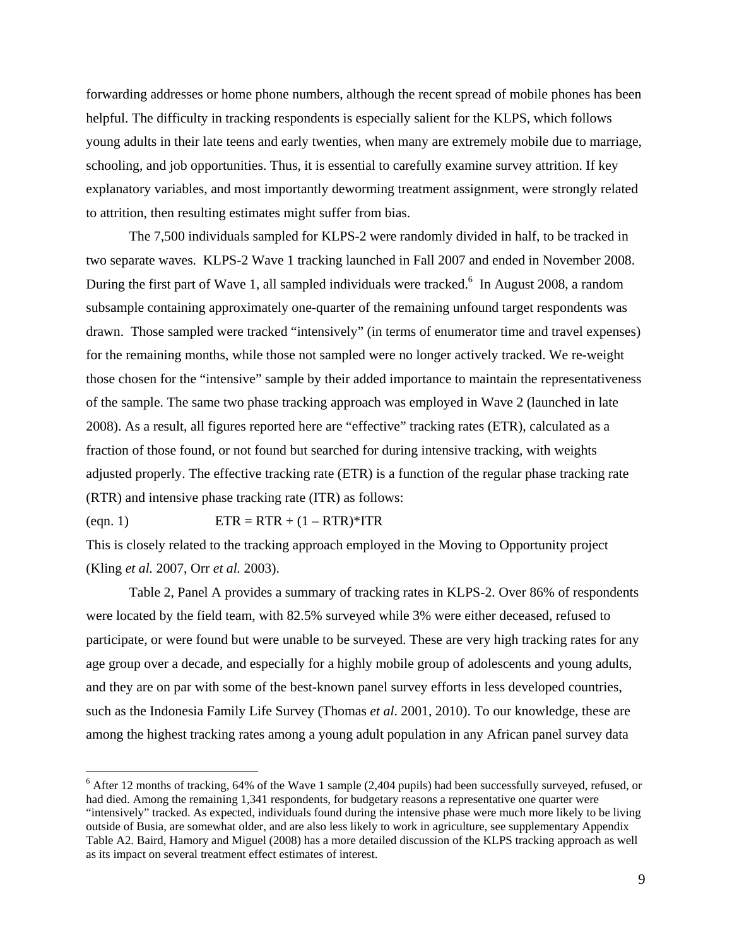forwarding addresses or home phone numbers, although the recent spread of mobile phones has been helpful. The difficulty in tracking respondents is especially salient for the KLPS, which follows young adults in their late teens and early twenties, when many are extremely mobile due to marriage, schooling, and job opportunities. Thus, it is essential to carefully examine survey attrition. If key explanatory variables, and most importantly deworming treatment assignment, were strongly related to attrition, then resulting estimates might suffer from bias.

The 7,500 individuals sampled for KLPS-2 were randomly divided in half, to be tracked in two separate waves. KLPS-2 Wave 1 tracking launched in Fall 2007 and ended in November 2008. During the first part of Wave 1, all sampled individuals were tracked.<sup>6</sup> In August 2008, a random subsample containing approximately one-quarter of the remaining unfound target respondents was drawn. Those sampled were tracked "intensively" (in terms of enumerator time and travel expenses) for the remaining months, while those not sampled were no longer actively tracked. We re-weight those chosen for the "intensive" sample by their added importance to maintain the representativeness of the sample. The same two phase tracking approach was employed in Wave 2 (launched in late 2008). As a result, all figures reported here are "effective" tracking rates (ETR), calculated as a fraction of those found, or not found but searched for during intensive tracking, with weights adjusted properly. The effective tracking rate (ETR) is a function of the regular phase tracking rate (RTR) and intensive phase tracking rate (ITR) as follows:

#### (eqn. 1)  $ETR = RTR + (1 - RTR)*ITR$

 $\overline{a}$ 

This is closely related to the tracking approach employed in the Moving to Opportunity project (Kling *et al.* 2007, Orr *et al.* 2003).

Table 2, Panel A provides a summary of tracking rates in KLPS-2. Over 86% of respondents were located by the field team, with 82.5% surveyed while 3% were either deceased, refused to participate, or were found but were unable to be surveyed. These are very high tracking rates for any age group over a decade, and especially for a highly mobile group of adolescents and young adults, and they are on par with some of the best-known panel survey efforts in less developed countries, such as the Indonesia Family Life Survey (Thomas *et al*. 2001, 2010). To our knowledge, these are among the highest tracking rates among a young adult population in any African panel survey data

 $6$  After 12 months of tracking, 64% of the Wave 1 sample (2,404 pupils) had been successfully surveyed, refused, or had died. Among the remaining 1,341 respondents, for budgetary reasons a representative one quarter were "intensively" tracked. As expected, individuals found during the intensive phase were much more likely to be living outside of Busia, are somewhat older, and are also less likely to work in agriculture, see supplementary Appendix Table A2. Baird, Hamory and Miguel (2008) has a more detailed discussion of the KLPS tracking approach as well as its impact on several treatment effect estimates of interest.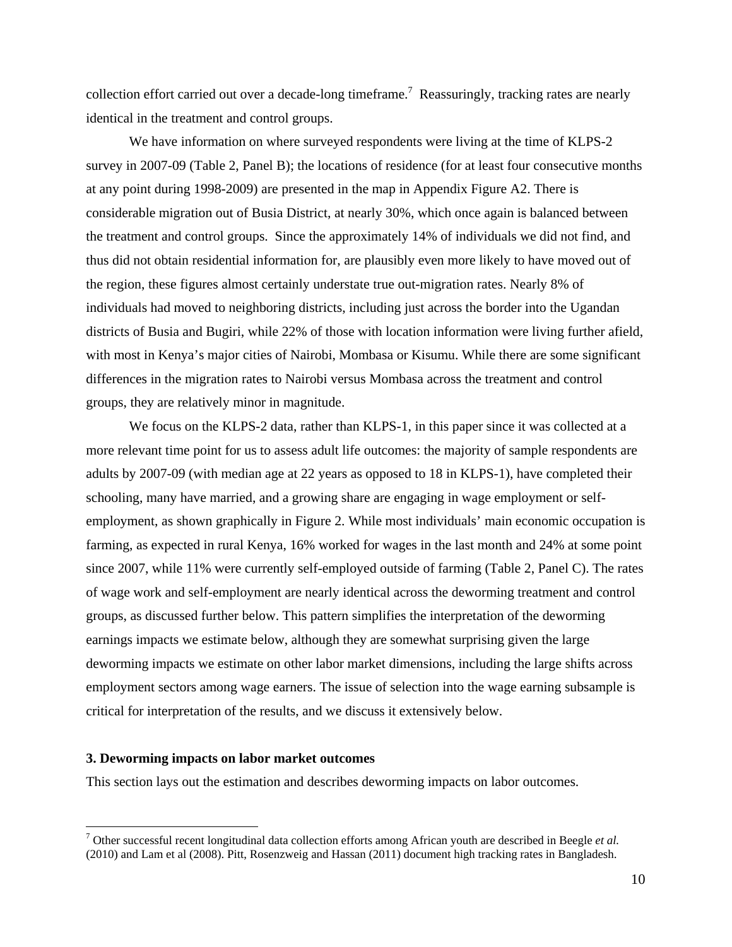collection effort carried out over a decade-long timeframe.<sup>7</sup> Reassuringly, tracking rates are nearly identical in the treatment and control groups.

We have information on where surveyed respondents were living at the time of KLPS-2 survey in 2007-09 (Table 2, Panel B); the locations of residence (for at least four consecutive months at any point during 1998-2009) are presented in the map in Appendix Figure A2. There is considerable migration out of Busia District, at nearly 30%, which once again is balanced between the treatment and control groups. Since the approximately 14% of individuals we did not find, and thus did not obtain residential information for, are plausibly even more likely to have moved out of the region, these figures almost certainly understate true out-migration rates. Nearly 8% of individuals had moved to neighboring districts, including just across the border into the Ugandan districts of Busia and Bugiri, while 22% of those with location information were living further afield, with most in Kenya's major cities of Nairobi, Mombasa or Kisumu. While there are some significant differences in the migration rates to Nairobi versus Mombasa across the treatment and control groups, they are relatively minor in magnitude.

We focus on the KLPS-2 data, rather than KLPS-1, in this paper since it was collected at a more relevant time point for us to assess adult life outcomes: the majority of sample respondents are adults by 2007-09 (with median age at 22 years as opposed to 18 in KLPS-1), have completed their schooling, many have married, and a growing share are engaging in wage employment or selfemployment, as shown graphically in Figure 2. While most individuals' main economic occupation is farming, as expected in rural Kenya, 16% worked for wages in the last month and 24% at some point since 2007, while 11% were currently self-employed outside of farming (Table 2, Panel C). The rates of wage work and self-employment are nearly identical across the deworming treatment and control groups, as discussed further below. This pattern simplifies the interpretation of the deworming earnings impacts we estimate below, although they are somewhat surprising given the large deworming impacts we estimate on other labor market dimensions, including the large shifts across employment sectors among wage earners. The issue of selection into the wage earning subsample is critical for interpretation of the results, and we discuss it extensively below.

## **3. Deworming impacts on labor market outcomes**

 $\overline{a}$ 

This section lays out the estimation and describes deworming impacts on labor outcomes.

<sup>7</sup> Other successful recent longitudinal data collection efforts among African youth are described in Beegle *et al.* (2010) and Lam et al (2008). Pitt, Rosenzweig and Hassan (2011) document high tracking rates in Bangladesh.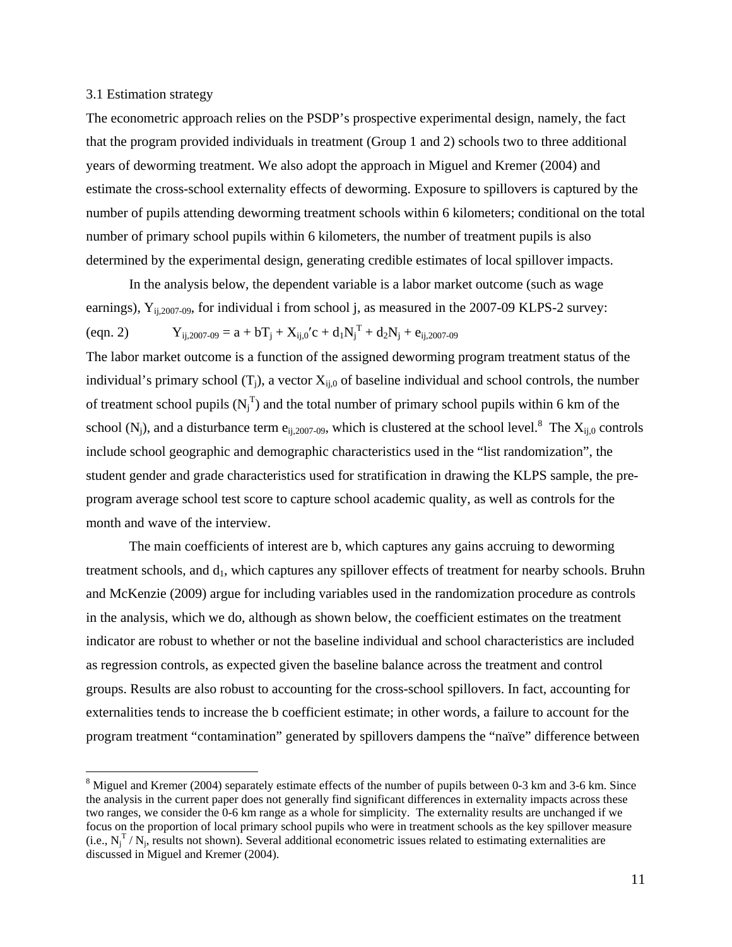### 3.1 Estimation strategy

 $\overline{a}$ 

The econometric approach relies on the PSDP's prospective experimental design, namely, the fact that the program provided individuals in treatment (Group 1 and 2) schools two to three additional years of deworming treatment. We also adopt the approach in Miguel and Kremer (2004) and estimate the cross-school externality effects of deworming. Exposure to spillovers is captured by the number of pupils attending deworming treatment schools within 6 kilometers; conditional on the total number of primary school pupils within 6 kilometers, the number of treatment pupils is also determined by the experimental design, generating credible estimates of local spillover impacts.

 In the analysis below, the dependent variable is a labor market outcome (such as wage earnings),  $Y_{i_1,2007-09}$ , for individual i from school j, as measured in the 2007-09 KLPS-2 survey: (eqn. 2)  $Y_{ij,2007-09} = a + bT_j + X_{ij,0}'c + d_iN_j^T + d_2N_j + e_{ij,2007-09}$ 

The labor market outcome is a function of the assigned deworming program treatment status of the individual's primary school  $(T_i)$ , a vector  $X_{i,j}$  of baseline individual and school controls, the number of treatment school pupils  $(N_j^T)$  and the total number of primary school pupils within 6 km of the school (N<sub>j</sub>), and a disturbance term e<sub>ij,2007-09</sub>, which is clustered at the school level.<sup>8</sup> The  $X_{ij,0}$  controls include school geographic and demographic characteristics used in the "list randomization", the student gender and grade characteristics used for stratification in drawing the KLPS sample, the preprogram average school test score to capture school academic quality, as well as controls for the month and wave of the interview.

 The main coefficients of interest are b, which captures any gains accruing to deworming treatment schools, and  $d_1$ , which captures any spillover effects of treatment for nearby schools. Bruhn and McKenzie (2009) argue for including variables used in the randomization procedure as controls in the analysis, which we do, although as shown below, the coefficient estimates on the treatment indicator are robust to whether or not the baseline individual and school characteristics are included as regression controls, as expected given the baseline balance across the treatment and control groups. Results are also robust to accounting for the cross-school spillovers. In fact, accounting for externalities tends to increase the b coefficient estimate; in other words, a failure to account for the program treatment "contamination" generated by spillovers dampens the "naïve" difference between

 $8$  Miguel and Kremer (2004) separately estimate effects of the number of pupils between 0-3 km and 3-6 km. Since the analysis in the current paper does not generally find significant differences in externality impacts across these two ranges, we consider the 0-6 km range as a whole for simplicity. The externality results are unchanged if we focus on the proportion of local primary school pupils who were in treatment schools as the key spillover measure (i.e.,  $N_j^T/N_j$ , results not shown). Several additional econometric issues related to estimating externalities are discussed in Miguel and Kremer (2004).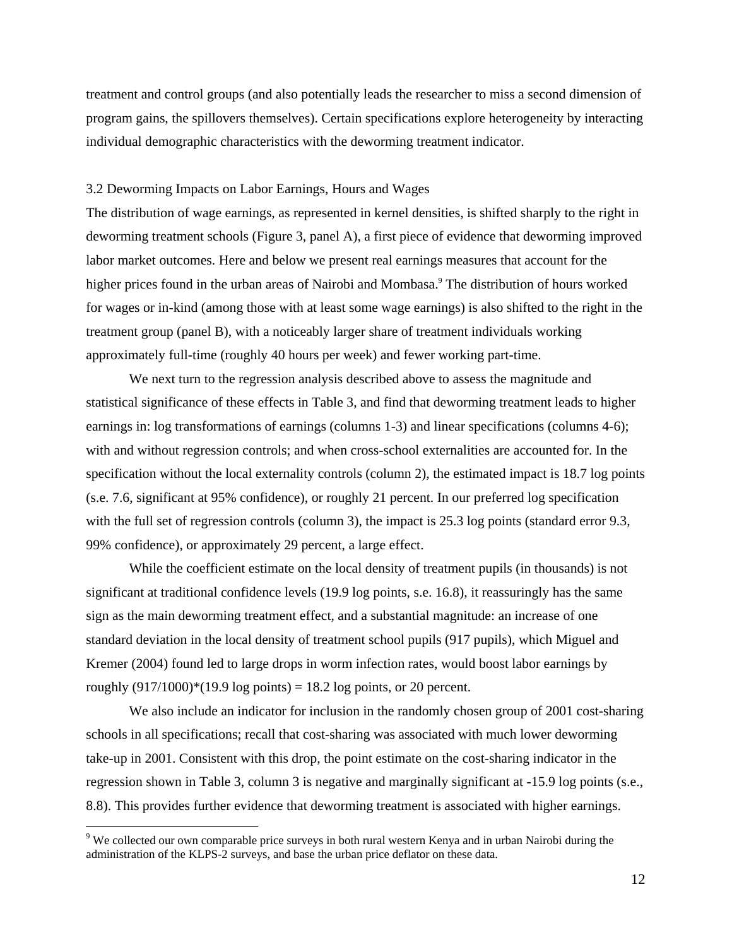treatment and control groups (and also potentially leads the researcher to miss a second dimension of program gains, the spillovers themselves). Certain specifications explore heterogeneity by interacting individual demographic characteristics with the deworming treatment indicator.

#### 3.2 Deworming Impacts on Labor Earnings, Hours and Wages

The distribution of wage earnings, as represented in kernel densities, is shifted sharply to the right in deworming treatment schools (Figure 3, panel A), a first piece of evidence that deworming improved labor market outcomes. Here and below we present real earnings measures that account for the higher prices found in the urban areas of Nairobi and Mombasa.<sup>9</sup> The distribution of hours worked for wages or in-kind (among those with at least some wage earnings) is also shifted to the right in the treatment group (panel B), with a noticeably larger share of treatment individuals working approximately full-time (roughly 40 hours per week) and fewer working part-time.

 We next turn to the regression analysis described above to assess the magnitude and statistical significance of these effects in Table 3, and find that deworming treatment leads to higher earnings in: log transformations of earnings (columns 1-3) and linear specifications (columns 4-6); with and without regression controls; and when cross-school externalities are accounted for. In the specification without the local externality controls (column 2), the estimated impact is 18.7 log points (s.e. 7.6, significant at 95% confidence), or roughly 21 percent. In our preferred log specification with the full set of regression controls (column 3), the impact is 25.3 log points (standard error 9.3, 99% confidence), or approximately 29 percent, a large effect.

While the coefficient estimate on the local density of treatment pupils (in thousands) is not significant at traditional confidence levels (19.9 log points, s.e. 16.8), it reassuringly has the same sign as the main deworming treatment effect, and a substantial magnitude: an increase of one standard deviation in the local density of treatment school pupils (917 pupils), which Miguel and Kremer (2004) found led to large drops in worm infection rates, would boost labor earnings by roughly  $(917/1000)$ <sup>\*</sup> $(19.9 \log \text{points}) = 18.2 \log \text{points}$ , or 20 percent.

We also include an indicator for inclusion in the randomly chosen group of 2001 cost-sharing schools in all specifications; recall that cost-sharing was associated with much lower deworming take-up in 2001. Consistent with this drop, the point estimate on the cost-sharing indicator in the regression shown in Table 3, column 3 is negative and marginally significant at -15.9 log points (s.e., 8.8). This provides further evidence that deworming treatment is associated with higher earnings.

 $\overline{a}$ 

<sup>&</sup>lt;sup>9</sup> We collected our own comparable price surveys in both rural western Kenya and in urban Nairobi during the administration of the KLPS-2 surveys, and base the urban price deflator on these data.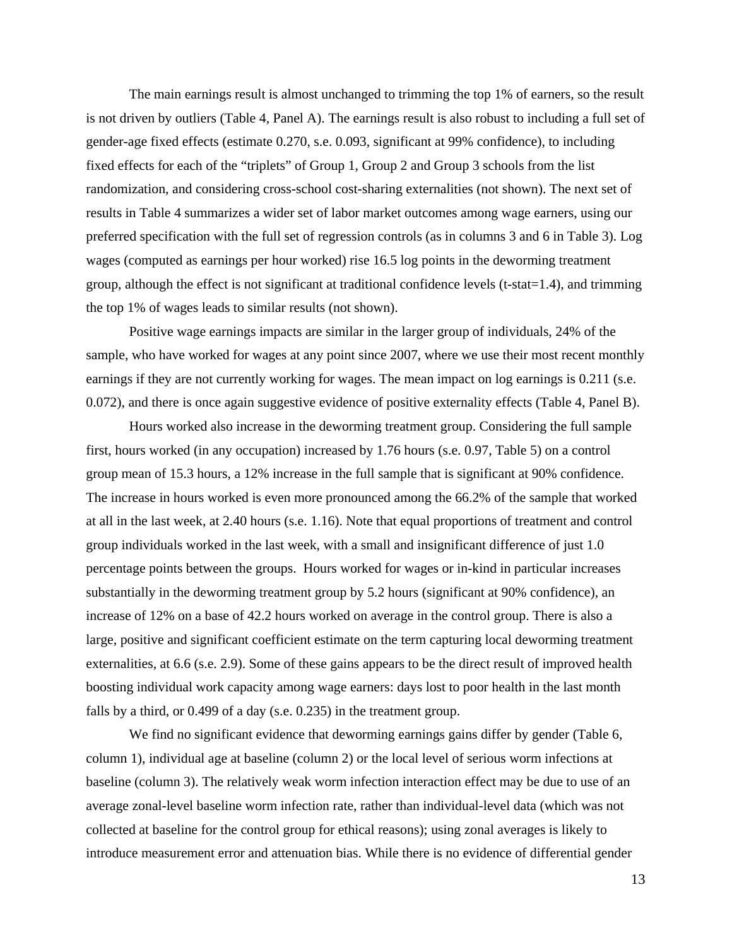The main earnings result is almost unchanged to trimming the top 1% of earners, so the result is not driven by outliers (Table 4, Panel A). The earnings result is also robust to including a full set of gender-age fixed effects (estimate 0.270, s.e. 0.093, significant at 99% confidence), to including fixed effects for each of the "triplets" of Group 1, Group 2 and Group 3 schools from the list randomization, and considering cross-school cost-sharing externalities (not shown). The next set of results in Table 4 summarizes a wider set of labor market outcomes among wage earners, using our preferred specification with the full set of regression controls (as in columns 3 and 6 in Table 3). Log wages (computed as earnings per hour worked) rise 16.5 log points in the deworming treatment group, although the effect is not significant at traditional confidence levels (t-stat=1.4), and trimming the top 1% of wages leads to similar results (not shown).

Positive wage earnings impacts are similar in the larger group of individuals, 24% of the sample, who have worked for wages at any point since 2007, where we use their most recent monthly earnings if they are not currently working for wages. The mean impact on log earnings is 0.211 (s.e. 0.072), and there is once again suggestive evidence of positive externality effects (Table 4, Panel B).

Hours worked also increase in the deworming treatment group. Considering the full sample first, hours worked (in any occupation) increased by 1.76 hours (s.e. 0.97, Table 5) on a control group mean of 15.3 hours, a 12% increase in the full sample that is significant at 90% confidence. The increase in hours worked is even more pronounced among the 66.2% of the sample that worked at all in the last week, at 2.40 hours (s.e. 1.16). Note that equal proportions of treatment and control group individuals worked in the last week, with a small and insignificant difference of just 1.0 percentage points between the groups. Hours worked for wages or in-kind in particular increases substantially in the deworming treatment group by 5.2 hours (significant at 90% confidence), an increase of 12% on a base of 42.2 hours worked on average in the control group. There is also a large, positive and significant coefficient estimate on the term capturing local deworming treatment externalities, at 6.6 (s.e. 2.9). Some of these gains appears to be the direct result of improved health boosting individual work capacity among wage earners: days lost to poor health in the last month falls by a third, or 0.499 of a day (s.e. 0.235) in the treatment group.

We find no significant evidence that deworming earnings gains differ by gender (Table 6, column 1), individual age at baseline (column 2) or the local level of serious worm infections at baseline (column 3). The relatively weak worm infection interaction effect may be due to use of an average zonal-level baseline worm infection rate, rather than individual-level data (which was not collected at baseline for the control group for ethical reasons); using zonal averages is likely to introduce measurement error and attenuation bias. While there is no evidence of differential gender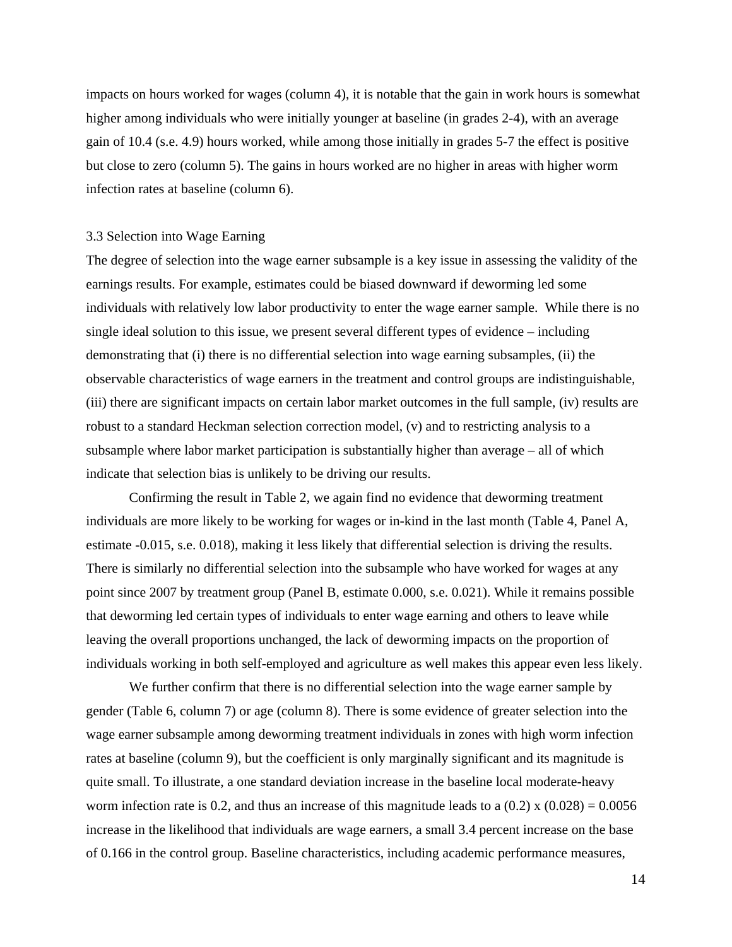impacts on hours worked for wages (column 4), it is notable that the gain in work hours is somewhat higher among individuals who were initially younger at baseline (in grades 2-4), with an average gain of 10.4 (s.e. 4.9) hours worked, while among those initially in grades 5-7 the effect is positive but close to zero (column 5). The gains in hours worked are no higher in areas with higher worm infection rates at baseline (column 6).

### 3.3 Selection into Wage Earning

The degree of selection into the wage earner subsample is a key issue in assessing the validity of the earnings results. For example, estimates could be biased downward if deworming led some individuals with relatively low labor productivity to enter the wage earner sample. While there is no single ideal solution to this issue, we present several different types of evidence – including demonstrating that (i) there is no differential selection into wage earning subsamples, (ii) the observable characteristics of wage earners in the treatment and control groups are indistinguishable, (iii) there are significant impacts on certain labor market outcomes in the full sample, (iv) results are robust to a standard Heckman selection correction model, (v) and to restricting analysis to a subsample where labor market participation is substantially higher than average – all of which indicate that selection bias is unlikely to be driving our results.

Confirming the result in Table 2, we again find no evidence that deworming treatment individuals are more likely to be working for wages or in-kind in the last month (Table 4, Panel A, estimate -0.015, s.e. 0.018), making it less likely that differential selection is driving the results. There is similarly no differential selection into the subsample who have worked for wages at any point since 2007 by treatment group (Panel B, estimate 0.000, s.e. 0.021). While it remains possible that deworming led certain types of individuals to enter wage earning and others to leave while leaving the overall proportions unchanged, the lack of deworming impacts on the proportion of individuals working in both self-employed and agriculture as well makes this appear even less likely.

We further confirm that there is no differential selection into the wage earner sample by gender (Table 6, column 7) or age (column 8). There is some evidence of greater selection into the wage earner subsample among deworming treatment individuals in zones with high worm infection rates at baseline (column 9), but the coefficient is only marginally significant and its magnitude is quite small. To illustrate, a one standard deviation increase in the baseline local moderate-heavy worm infection rate is 0.2, and thus an increase of this magnitude leads to a  $(0.2) \times (0.028) = 0.0056$ increase in the likelihood that individuals are wage earners, a small 3.4 percent increase on the base of 0.166 in the control group. Baseline characteristics, including academic performance measures,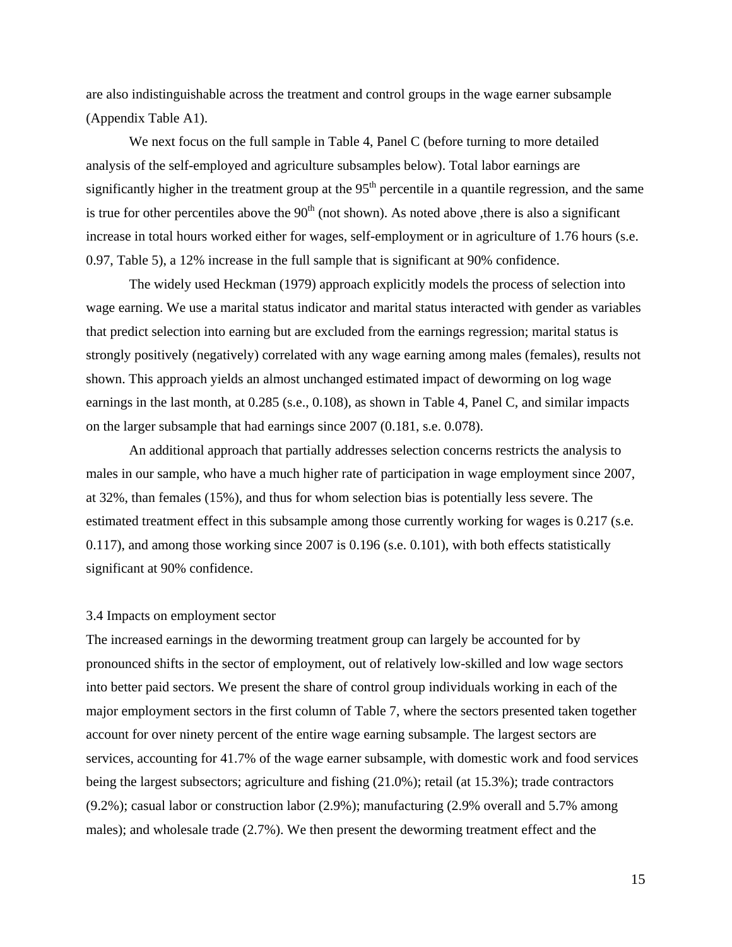are also indistinguishable across the treatment and control groups in the wage earner subsample (Appendix Table A1).

We next focus on the full sample in Table 4, Panel C (before turning to more detailed analysis of the self-employed and agriculture subsamples below). Total labor earnings are significantly higher in the treatment group at the  $95<sup>th</sup>$  percentile in a quantile regression, and the same is true for other percentiles above the  $90<sup>th</sup>$  (not shown). As noted above ,there is also a significant increase in total hours worked either for wages, self-employment or in agriculture of 1.76 hours (s.e. 0.97, Table 5), a 12% increase in the full sample that is significant at 90% confidence.

The widely used Heckman (1979) approach explicitly models the process of selection into wage earning. We use a marital status indicator and marital status interacted with gender as variables that predict selection into earning but are excluded from the earnings regression; marital status is strongly positively (negatively) correlated with any wage earning among males (females), results not shown. This approach yields an almost unchanged estimated impact of deworming on log wage earnings in the last month, at 0.285 (s.e., 0.108), as shown in Table 4, Panel C, and similar impacts on the larger subsample that had earnings since 2007 (0.181, s.e. 0.078).

An additional approach that partially addresses selection concerns restricts the analysis to males in our sample, who have a much higher rate of participation in wage employment since 2007, at 32%, than females (15%), and thus for whom selection bias is potentially less severe. The estimated treatment effect in this subsample among those currently working for wages is 0.217 (s.e. 0.117), and among those working since 2007 is 0.196 (s.e. 0.101), with both effects statistically significant at 90% confidence.

#### 3.4 Impacts on employment sector

The increased earnings in the deworming treatment group can largely be accounted for by pronounced shifts in the sector of employment, out of relatively low-skilled and low wage sectors into better paid sectors. We present the share of control group individuals working in each of the major employment sectors in the first column of Table 7, where the sectors presented taken together account for over ninety percent of the entire wage earning subsample. The largest sectors are services, accounting for 41.7% of the wage earner subsample, with domestic work and food services being the largest subsectors; agriculture and fishing (21.0%); retail (at 15.3%); trade contractors (9.2%); casual labor or construction labor (2.9%); manufacturing (2.9% overall and 5.7% among males); and wholesale trade (2.7%). We then present the deworming treatment effect and the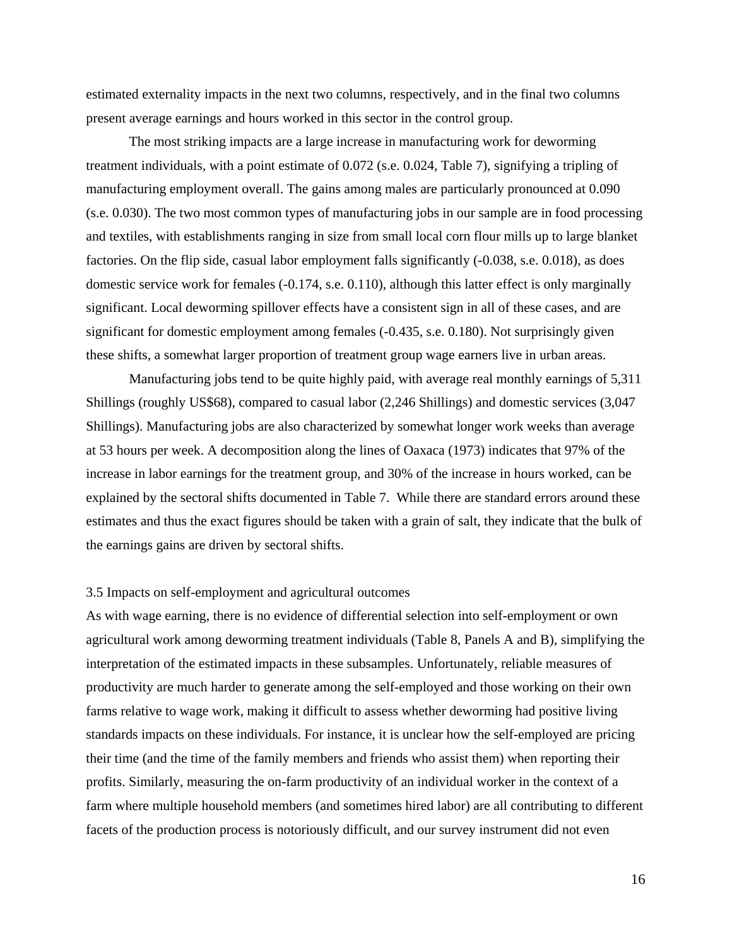estimated externality impacts in the next two columns, respectively, and in the final two columns present average earnings and hours worked in this sector in the control group.

The most striking impacts are a large increase in manufacturing work for deworming treatment individuals, with a point estimate of 0.072 (s.e. 0.024, Table 7), signifying a tripling of manufacturing employment overall. The gains among males are particularly pronounced at 0.090 (s.e. 0.030). The two most common types of manufacturing jobs in our sample are in food processing and textiles, with establishments ranging in size from small local corn flour mills up to large blanket factories. On the flip side, casual labor employment falls significantly (-0.038, s.e. 0.018), as does domestic service work for females (-0.174, s.e. 0.110), although this latter effect is only marginally significant. Local deworming spillover effects have a consistent sign in all of these cases, and are significant for domestic employment among females (-0.435, s.e. 0.180). Not surprisingly given these shifts, a somewhat larger proportion of treatment group wage earners live in urban areas.

Manufacturing jobs tend to be quite highly paid, with average real monthly earnings of 5,311 Shillings (roughly US\$68), compared to casual labor (2,246 Shillings) and domestic services (3,047 Shillings). Manufacturing jobs are also characterized by somewhat longer work weeks than average at 53 hours per week. A decomposition along the lines of Oaxaca (1973) indicates that 97% of the increase in labor earnings for the treatment group, and 30% of the increase in hours worked, can be explained by the sectoral shifts documented in Table 7. While there are standard errors around these estimates and thus the exact figures should be taken with a grain of salt, they indicate that the bulk of the earnings gains are driven by sectoral shifts.

## 3.5 Impacts on self-employment and agricultural outcomes

As with wage earning, there is no evidence of differential selection into self-employment or own agricultural work among deworming treatment individuals (Table 8, Panels A and B), simplifying the interpretation of the estimated impacts in these subsamples. Unfortunately, reliable measures of productivity are much harder to generate among the self-employed and those working on their own farms relative to wage work, making it difficult to assess whether deworming had positive living standards impacts on these individuals. For instance, it is unclear how the self-employed are pricing their time (and the time of the family members and friends who assist them) when reporting their profits. Similarly, measuring the on-farm productivity of an individual worker in the context of a farm where multiple household members (and sometimes hired labor) are all contributing to different facets of the production process is notoriously difficult, and our survey instrument did not even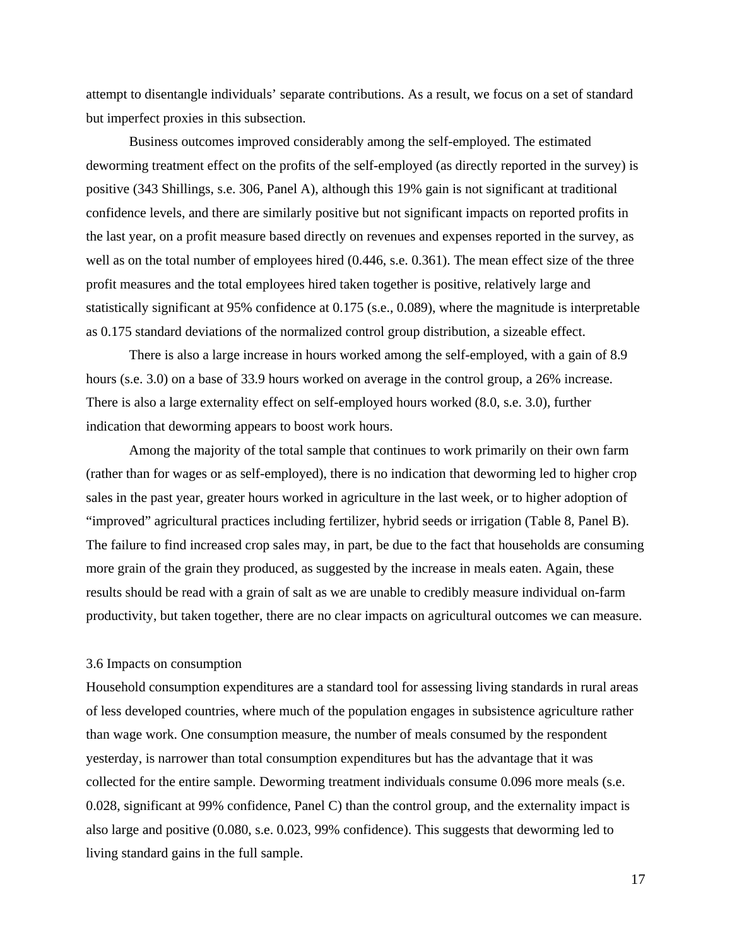attempt to disentangle individuals' separate contributions. As a result, we focus on a set of standard but imperfect proxies in this subsection.

Business outcomes improved considerably among the self-employed. The estimated deworming treatment effect on the profits of the self-employed (as directly reported in the survey) is positive (343 Shillings, s.e. 306, Panel A), although this 19% gain is not significant at traditional confidence levels, and there are similarly positive but not significant impacts on reported profits in the last year, on a profit measure based directly on revenues and expenses reported in the survey, as well as on the total number of employees hired (0.446, s.e. 0.361). The mean effect size of the three profit measures and the total employees hired taken together is positive, relatively large and statistically significant at 95% confidence at 0.175 (s.e., 0.089), where the magnitude is interpretable as 0.175 standard deviations of the normalized control group distribution, a sizeable effect.

There is also a large increase in hours worked among the self-employed, with a gain of 8.9 hours (s.e. 3.0) on a base of 33.9 hours worked on average in the control group, a 26% increase. There is also a large externality effect on self-employed hours worked (8.0, s.e. 3.0), further indication that deworming appears to boost work hours.

 Among the majority of the total sample that continues to work primarily on their own farm (rather than for wages or as self-employed), there is no indication that deworming led to higher crop sales in the past year, greater hours worked in agriculture in the last week, or to higher adoption of "improved" agricultural practices including fertilizer, hybrid seeds or irrigation (Table 8, Panel B). The failure to find increased crop sales may, in part, be due to the fact that households are consuming more grain of the grain they produced, as suggested by the increase in meals eaten. Again, these results should be read with a grain of salt as we are unable to credibly measure individual on-farm productivity, but taken together, there are no clear impacts on agricultural outcomes we can measure.

## 3.6 Impacts on consumption

Household consumption expenditures are a standard tool for assessing living standards in rural areas of less developed countries, where much of the population engages in subsistence agriculture rather than wage work. One consumption measure, the number of meals consumed by the respondent yesterday, is narrower than total consumption expenditures but has the advantage that it was collected for the entire sample. Deworming treatment individuals consume 0.096 more meals (s.e. 0.028, significant at 99% confidence, Panel C) than the control group, and the externality impact is also large and positive (0.080, s.e. 0.023, 99% confidence). This suggests that deworming led to living standard gains in the full sample.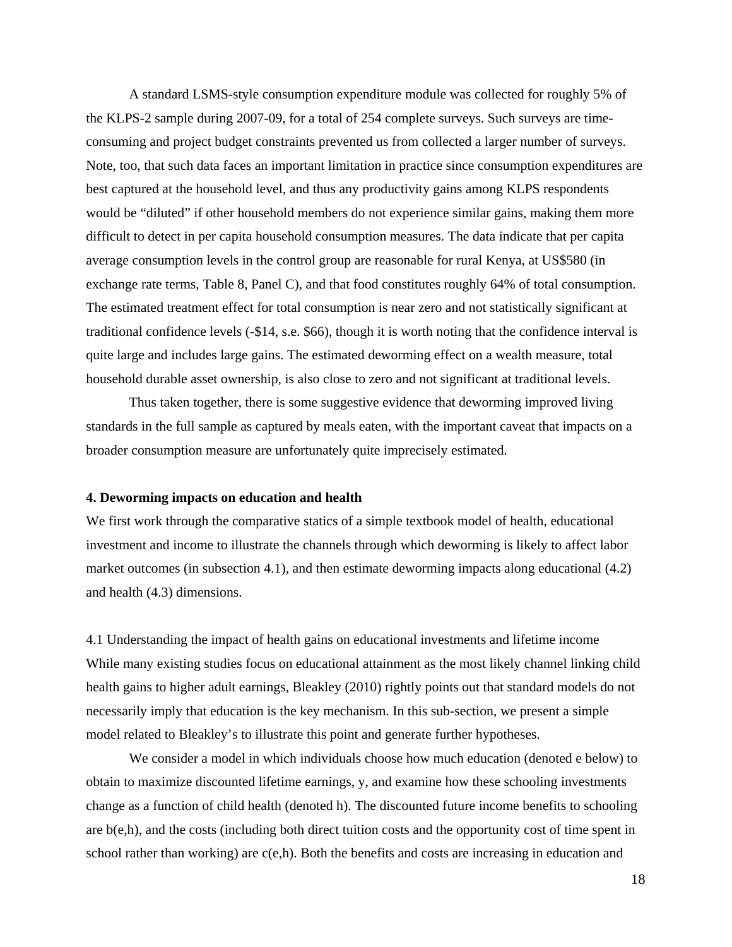A standard LSMS-style consumption expenditure module was collected for roughly 5% of the KLPS-2 sample during 2007-09, for a total of 254 complete surveys. Such surveys are timeconsuming and project budget constraints prevented us from collected a larger number of surveys. Note, too, that such data faces an important limitation in practice since consumption expenditures are best captured at the household level, and thus any productivity gains among KLPS respondents would be "diluted" if other household members do not experience similar gains, making them more difficult to detect in per capita household consumption measures. The data indicate that per capita average consumption levels in the control group are reasonable for rural Kenya, at US\$580 (in exchange rate terms, Table 8, Panel C), and that food constitutes roughly 64% of total consumption. The estimated treatment effect for total consumption is near zero and not statistically significant at traditional confidence levels (-\$14, s.e. \$66), though it is worth noting that the confidence interval is quite large and includes large gains. The estimated deworming effect on a wealth measure, total household durable asset ownership, is also close to zero and not significant at traditional levels.

Thus taken together, there is some suggestive evidence that deworming improved living standards in the full sample as captured by meals eaten, with the important caveat that impacts on a broader consumption measure are unfortunately quite imprecisely estimated.

#### **4. Deworming impacts on education and health**

We first work through the comparative statics of a simple textbook model of health, educational investment and income to illustrate the channels through which deworming is likely to affect labor market outcomes (in subsection 4.1), and then estimate deworming impacts along educational (4.2) and health (4.3) dimensions.

4.1 Understanding the impact of health gains on educational investments and lifetime income While many existing studies focus on educational attainment as the most likely channel linking child health gains to higher adult earnings, Bleakley (2010) rightly points out that standard models do not necessarily imply that education is the key mechanism. In this sub-section, we present a simple model related to Bleakley's to illustrate this point and generate further hypotheses.

 We consider a model in which individuals choose how much education (denoted e below) to obtain to maximize discounted lifetime earnings, y, and examine how these schooling investments change as a function of child health (denoted h). The discounted future income benefits to schooling are b(e,h), and the costs (including both direct tuition costs and the opportunity cost of time spent in school rather than working) are c(e,h). Both the benefits and costs are increasing in education and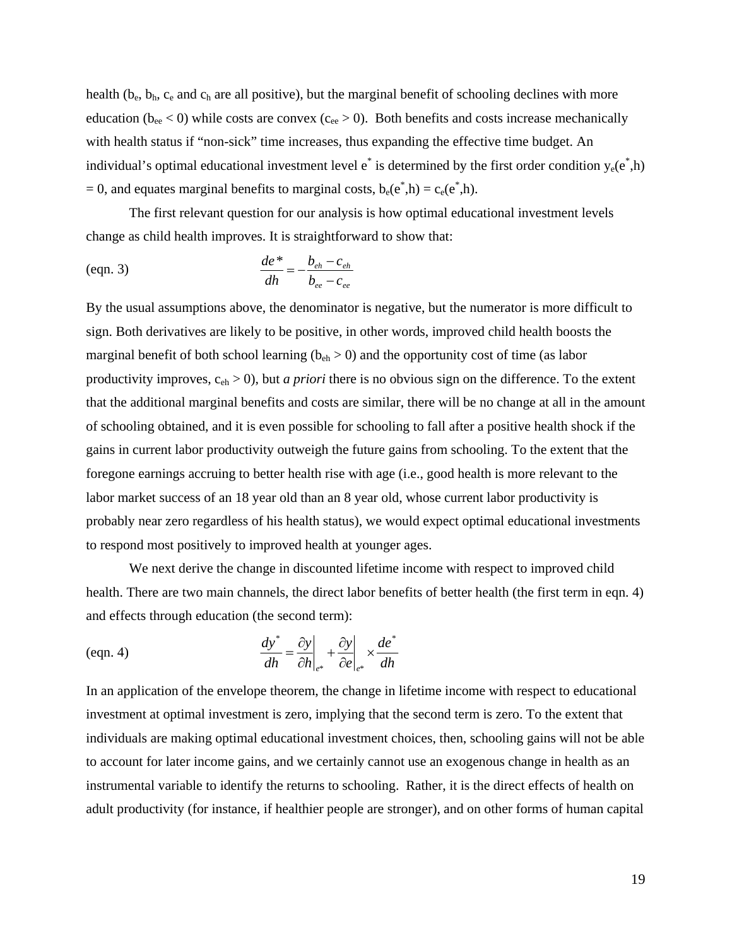health ( $b_e$ ,  $b_h$ ,  $c_e$  and  $c_h$  are all positive), but the marginal benefit of schooling declines with more education ( $b_{ee}$  < 0) while costs are convex ( $c_{ee}$  > 0). Both benefits and costs increase mechanically with health status if "non-sick" time increases, thus expanding the effective time budget. An individual's optimal educational investment level  $e^*$  is determined by the first order condition  $y_e(e^*, h)$ = 0, and equates marginal benefits to marginal costs,  $b_e(e^*, h) = c_e(e^*, h)$ .

 The first relevant question for our analysis is how optimal educational investment levels change as child health improves. It is straightforward to show that:

(eqn. 3)

\n
$$
\frac{de^*}{dh} = -\frac{b_{eh} - c_{eh}}{b_{ee} - c_{ee}}
$$

By the usual assumptions above, the denominator is negative, but the numerator is more difficult to sign. Both derivatives are likely to be positive, in other words, improved child health boosts the marginal benefit of both school learning ( $b_{eh} > 0$ ) and the opportunity cost of time (as labor productivity improves, ceh > 0), but *a priori* there is no obvious sign on the difference. To the extent that the additional marginal benefits and costs are similar, there will be no change at all in the amount of schooling obtained, and it is even possible for schooling to fall after a positive health shock if the gains in current labor productivity outweigh the future gains from schooling. To the extent that the foregone earnings accruing to better health rise with age (i.e., good health is more relevant to the labor market success of an 18 year old than an 8 year old, whose current labor productivity is probably near zero regardless of his health status), we would expect optimal educational investments to respond most positively to improved health at younger ages.

 We next derive the change in discounted lifetime income with respect to improved child health. There are two main channels, the direct labor benefits of better health (the first term in eqn. 4) and effects through education (the second term):

$$
\frac{dy^*}{dh} = \frac{\partial y}{\partial h}\bigg|_{e^*} + \frac{\partial y}{\partial e}\bigg|_{e^*} \times \frac{de^*}{dh}
$$

In an application of the envelope theorem, the change in lifetime income with respect to educational investment at optimal investment is zero, implying that the second term is zero. To the extent that individuals are making optimal educational investment choices, then, schooling gains will not be able to account for later income gains, and we certainly cannot use an exogenous change in health as an instrumental variable to identify the returns to schooling. Rather, it is the direct effects of health on adult productivity (for instance, if healthier people are stronger), and on other forms of human capital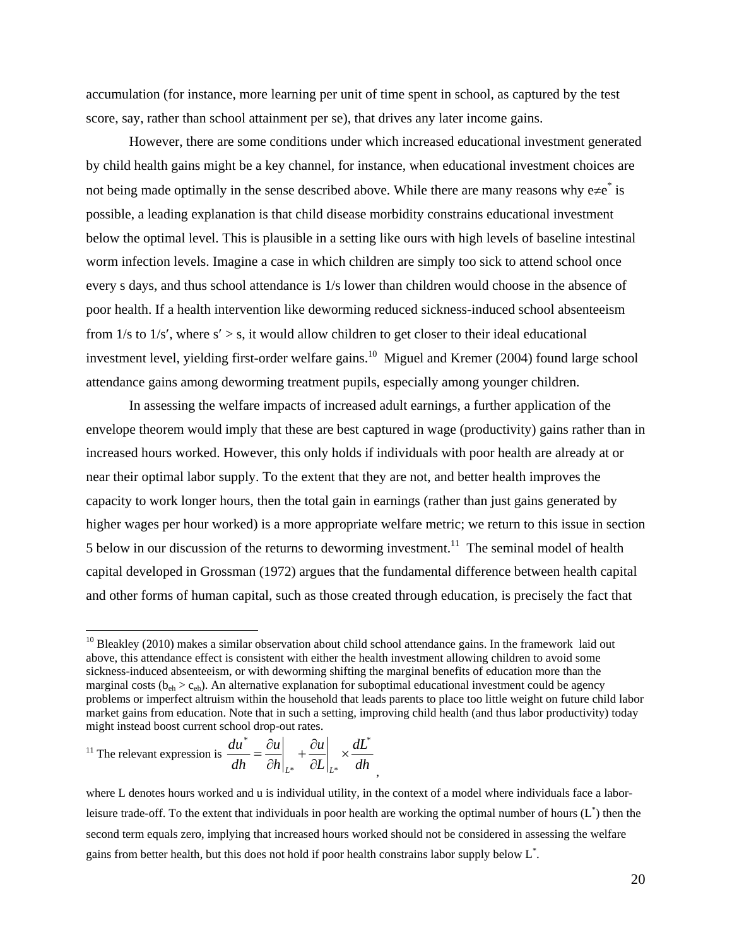accumulation (for instance, more learning per unit of time spent in school, as captured by the test score, say, rather than school attainment per se), that drives any later income gains.

 However, there are some conditions under which increased educational investment generated by child health gains might be a key channel, for instance, when educational investment choices are not being made optimally in the sense described above. While there are many reasons why  $e\neq e^*$  is possible, a leading explanation is that child disease morbidity constrains educational investment below the optimal level. This is plausible in a setting like ours with high levels of baseline intestinal worm infection levels. Imagine a case in which children are simply too sick to attend school once every s days, and thus school attendance is 1/s lower than children would choose in the absence of poor health. If a health intervention like deworming reduced sickness-induced school absenteeism from  $1/s$  to  $1/s'$ , where  $s' > s$ , it would allow children to get closer to their ideal educational investment level, yielding first-order welfare gains.<sup>10</sup> Miguel and Kremer (2004) found large school attendance gains among deworming treatment pupils, especially among younger children.

In assessing the welfare impacts of increased adult earnings, a further application of the envelope theorem would imply that these are best captured in wage (productivity) gains rather than in increased hours worked. However, this only holds if individuals with poor health are already at or near their optimal labor supply. To the extent that they are not, and better health improves the capacity to work longer hours, then the total gain in earnings (rather than just gains generated by higher wages per hour worked) is a more appropriate welfare metric; we return to this issue in section 5 below in our discussion of the returns to deworming investment.<sup>11</sup> The seminal model of health capital developed in Grossman (1972) argues that the fundamental difference between health capital and other forms of human capital, such as those created through education, is precisely the fact that

<sup>11</sup> The relevant expression is 
$$
\frac{du^*}{dh} = \frac{\partial u}{\partial h}\Big|_{L^*} + \frac{\partial u}{\partial L}\Big|_{L^*} \times \frac{dL^*}{dh}
$$

 $\overline{a}$ 

where L denotes hours worked and u is individual utility, in the context of a model where individuals face a laborleisure trade-off. To the extent that individuals in poor health are working the optimal number of hours  $(L^*)$  then the second term equals zero, implying that increased hours worked should not be considered in assessing the welfare gains from better health, but this does not hold if poor health constrains labor supply below  $L^*$ .

,

<sup>&</sup>lt;sup>10</sup> Bleakley (2010) makes a similar observation about child school attendance gains. In the framework laid out above, this attendance effect is consistent with either the health investment allowing children to avoid some sickness-induced absenteeism, or with deworming shifting the marginal benefits of education more than the marginal costs ( $b_{\text{eh}} > c_{\text{eh}}$ ). An alternative explanation for suboptimal educational investment could be agency problems or imperfect altruism within the household that leads parents to place too little weight on future child labor market gains from education. Note that in such a setting, improving child health (and thus labor productivity) today might instead boost current school drop-out rates.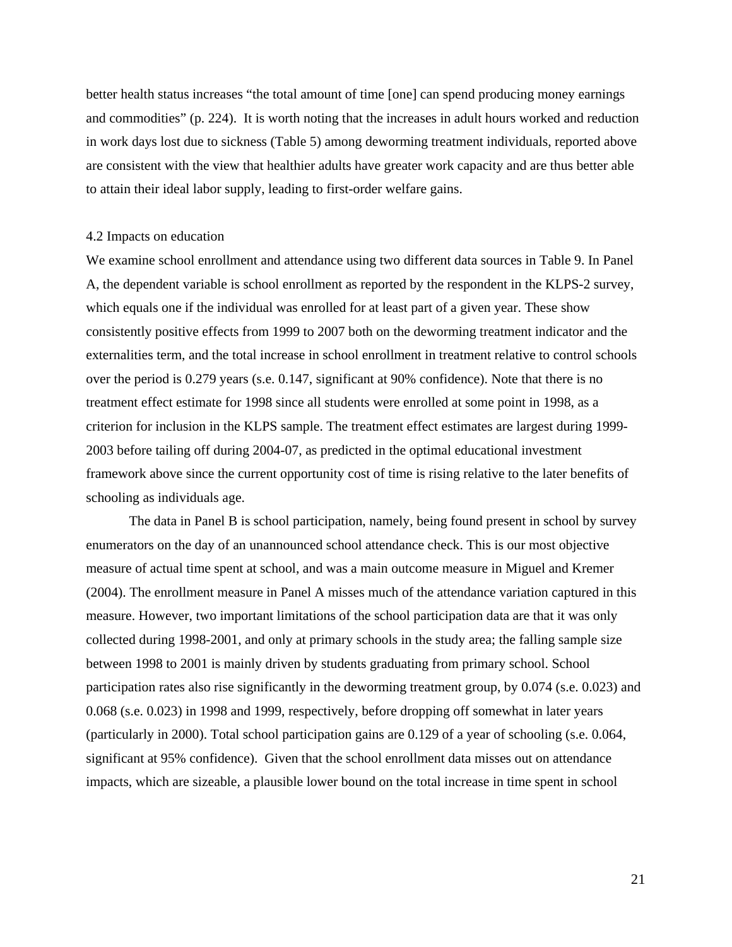better health status increases "the total amount of time [one] can spend producing money earnings and commodities" (p. 224). It is worth noting that the increases in adult hours worked and reduction in work days lost due to sickness (Table 5) among deworming treatment individuals, reported above are consistent with the view that healthier adults have greater work capacity and are thus better able to attain their ideal labor supply, leading to first-order welfare gains.

## 4.2 Impacts on education

We examine school enrollment and attendance using two different data sources in Table 9. In Panel A, the dependent variable is school enrollment as reported by the respondent in the KLPS-2 survey, which equals one if the individual was enrolled for at least part of a given year. These show consistently positive effects from 1999 to 2007 both on the deworming treatment indicator and the externalities term, and the total increase in school enrollment in treatment relative to control schools over the period is 0.279 years (s.e. 0.147, significant at 90% confidence). Note that there is no treatment effect estimate for 1998 since all students were enrolled at some point in 1998, as a criterion for inclusion in the KLPS sample. The treatment effect estimates are largest during 1999- 2003 before tailing off during 2004-07, as predicted in the optimal educational investment framework above since the current opportunity cost of time is rising relative to the later benefits of schooling as individuals age.

 The data in Panel B is school participation, namely, being found present in school by survey enumerators on the day of an unannounced school attendance check. This is our most objective measure of actual time spent at school, and was a main outcome measure in Miguel and Kremer (2004). The enrollment measure in Panel A misses much of the attendance variation captured in this measure. However, two important limitations of the school participation data are that it was only collected during 1998-2001, and only at primary schools in the study area; the falling sample size between 1998 to 2001 is mainly driven by students graduating from primary school. School participation rates also rise significantly in the deworming treatment group, by 0.074 (s.e. 0.023) and 0.068 (s.e. 0.023) in 1998 and 1999, respectively, before dropping off somewhat in later years (particularly in 2000). Total school participation gains are 0.129 of a year of schooling (s.e. 0.064, significant at 95% confidence). Given that the school enrollment data misses out on attendance impacts, which are sizeable, a plausible lower bound on the total increase in time spent in school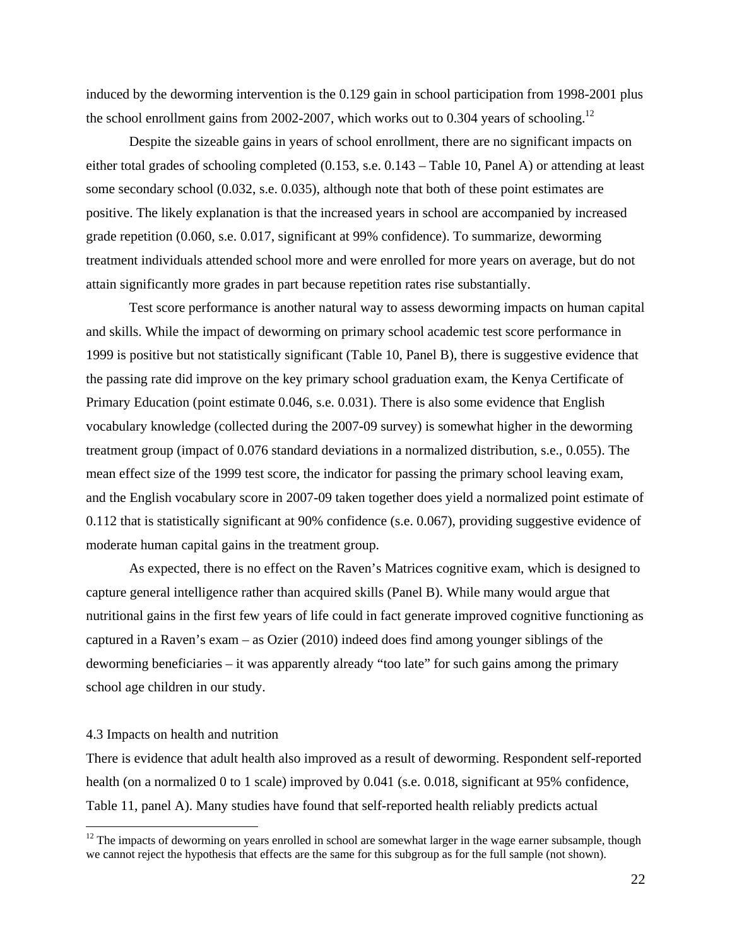induced by the deworming intervention is the 0.129 gain in school participation from 1998-2001 plus the school enrollment gains from 2002-2007, which works out to 0.304 years of schooling.<sup>12</sup>

 Despite the sizeable gains in years of school enrollment, there are no significant impacts on either total grades of schooling completed (0.153, s.e. 0.143 – Table 10, Panel A) or attending at least some secondary school (0.032, s.e. 0.035), although note that both of these point estimates are positive. The likely explanation is that the increased years in school are accompanied by increased grade repetition (0.060, s.e. 0.017, significant at 99% confidence). To summarize, deworming treatment individuals attended school more and were enrolled for more years on average, but do not attain significantly more grades in part because repetition rates rise substantially.

 Test score performance is another natural way to assess deworming impacts on human capital and skills. While the impact of deworming on primary school academic test score performance in 1999 is positive but not statistically significant (Table 10, Panel B), there is suggestive evidence that the passing rate did improve on the key primary school graduation exam, the Kenya Certificate of Primary Education (point estimate 0.046, s.e. 0.031). There is also some evidence that English vocabulary knowledge (collected during the 2007-09 survey) is somewhat higher in the deworming treatment group (impact of 0.076 standard deviations in a normalized distribution, s.e., 0.055). The mean effect size of the 1999 test score, the indicator for passing the primary school leaving exam, and the English vocabulary score in 2007-09 taken together does yield a normalized point estimate of 0.112 that is statistically significant at 90% confidence (s.e. 0.067), providing suggestive evidence of moderate human capital gains in the treatment group.

As expected, there is no effect on the Raven's Matrices cognitive exam, which is designed to capture general intelligence rather than acquired skills (Panel B). While many would argue that nutritional gains in the first few years of life could in fact generate improved cognitive functioning as captured in a Raven's exam – as Ozier (2010) indeed does find among younger siblings of the deworming beneficiaries – it was apparently already "too late" for such gains among the primary school age children in our study.

#### 4.3 Impacts on health and nutrition

 $\overline{a}$ 

There is evidence that adult health also improved as a result of deworming. Respondent self-reported health (on a normalized 0 to 1 scale) improved by 0.041 (s.e. 0.018, significant at 95% confidence, Table 11, panel A). Many studies have found that self-reported health reliably predicts actual

 $12$  The impacts of deworming on years enrolled in school are somewhat larger in the wage earner subsample, though we cannot reject the hypothesis that effects are the same for this subgroup as for the full sample (not shown).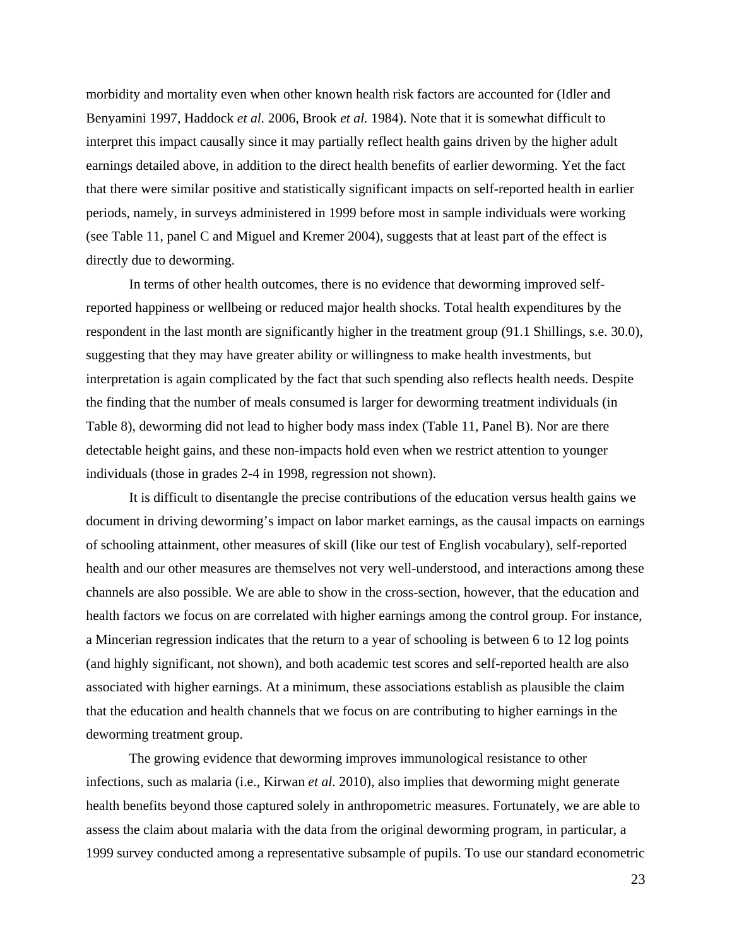morbidity and mortality even when other known health risk factors are accounted for (Idler and Benyamini 1997, Haddock *et al.* 2006, Brook *et al.* 1984). Note that it is somewhat difficult to interpret this impact causally since it may partially reflect health gains driven by the higher adult earnings detailed above, in addition to the direct health benefits of earlier deworming. Yet the fact that there were similar positive and statistically significant impacts on self-reported health in earlier periods, namely, in surveys administered in 1999 before most in sample individuals were working (see Table 11, panel C and Miguel and Kremer 2004), suggests that at least part of the effect is directly due to deworming.

 In terms of other health outcomes, there is no evidence that deworming improved selfreported happiness or wellbeing or reduced major health shocks. Total health expenditures by the respondent in the last month are significantly higher in the treatment group (91.1 Shillings, s.e. 30.0), suggesting that they may have greater ability or willingness to make health investments, but interpretation is again complicated by the fact that such spending also reflects health needs. Despite the finding that the number of meals consumed is larger for deworming treatment individuals (in Table 8), deworming did not lead to higher body mass index (Table 11, Panel B). Nor are there detectable height gains, and these non-impacts hold even when we restrict attention to younger individuals (those in grades 2-4 in 1998, regression not shown).

 It is difficult to disentangle the precise contributions of the education versus health gains we document in driving deworming's impact on labor market earnings, as the causal impacts on earnings of schooling attainment, other measures of skill (like our test of English vocabulary), self-reported health and our other measures are themselves not very well-understood, and interactions among these channels are also possible. We are able to show in the cross-section, however, that the education and health factors we focus on are correlated with higher earnings among the control group. For instance, a Mincerian regression indicates that the return to a year of schooling is between 6 to 12 log points (and highly significant, not shown), and both academic test scores and self-reported health are also associated with higher earnings. At a minimum, these associations establish as plausible the claim that the education and health channels that we focus on are contributing to higher earnings in the deworming treatment group.

The growing evidence that deworming improves immunological resistance to other infections, such as malaria (i.e., Kirwan *et al.* 2010), also implies that deworming might generate health benefits beyond those captured solely in anthropometric measures. Fortunately, we are able to assess the claim about malaria with the data from the original deworming program, in particular, a 1999 survey conducted among a representative subsample of pupils. To use our standard econometric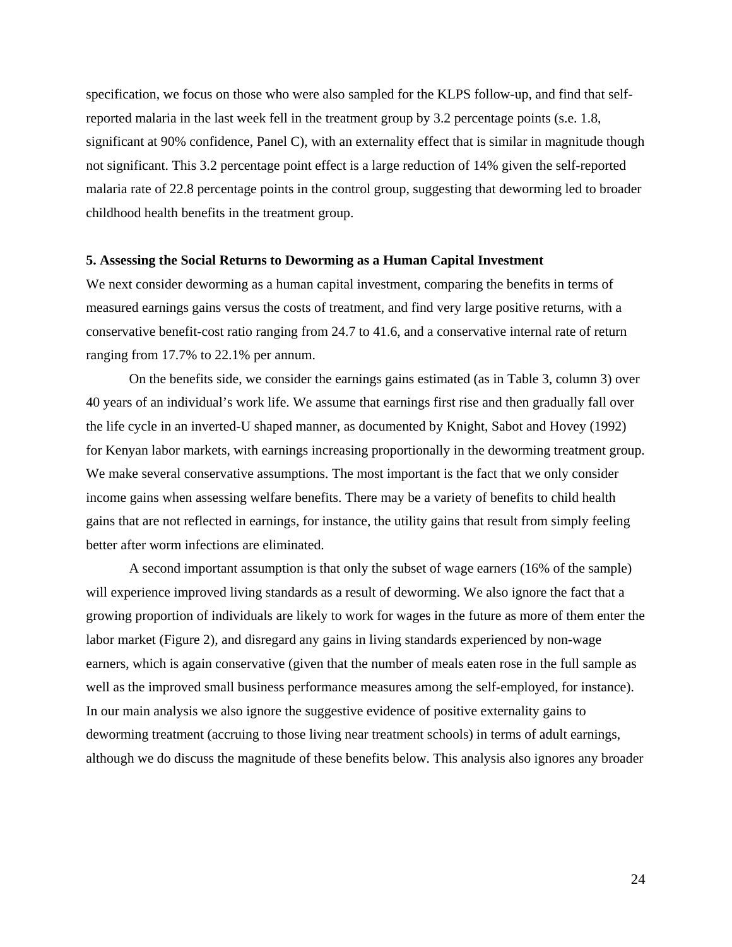specification, we focus on those who were also sampled for the KLPS follow-up, and find that selfreported malaria in the last week fell in the treatment group by 3.2 percentage points (s.e. 1.8, significant at 90% confidence, Panel C), with an externality effect that is similar in magnitude though not significant. This 3.2 percentage point effect is a large reduction of 14% given the self-reported malaria rate of 22.8 percentage points in the control group, suggesting that deworming led to broader childhood health benefits in the treatment group.

#### **5. Assessing the Social Returns to Deworming as a Human Capital Investment**

We next consider deworming as a human capital investment, comparing the benefits in terms of measured earnings gains versus the costs of treatment, and find very large positive returns, with a conservative benefit-cost ratio ranging from 24.7 to 41.6, and a conservative internal rate of return ranging from 17.7% to 22.1% per annum.

 On the benefits side, we consider the earnings gains estimated (as in Table 3, column 3) over 40 years of an individual's work life. We assume that earnings first rise and then gradually fall over the life cycle in an inverted-U shaped manner, as documented by Knight, Sabot and Hovey (1992) for Kenyan labor markets, with earnings increasing proportionally in the deworming treatment group. We make several conservative assumptions. The most important is the fact that we only consider income gains when assessing welfare benefits. There may be a variety of benefits to child health gains that are not reflected in earnings, for instance, the utility gains that result from simply feeling better after worm infections are eliminated.

A second important assumption is that only the subset of wage earners (16% of the sample) will experience improved living standards as a result of deworming. We also ignore the fact that a growing proportion of individuals are likely to work for wages in the future as more of them enter the labor market (Figure 2), and disregard any gains in living standards experienced by non-wage earners, which is again conservative (given that the number of meals eaten rose in the full sample as well as the improved small business performance measures among the self-employed, for instance). In our main analysis we also ignore the suggestive evidence of positive externality gains to deworming treatment (accruing to those living near treatment schools) in terms of adult earnings, although we do discuss the magnitude of these benefits below. This analysis also ignores any broader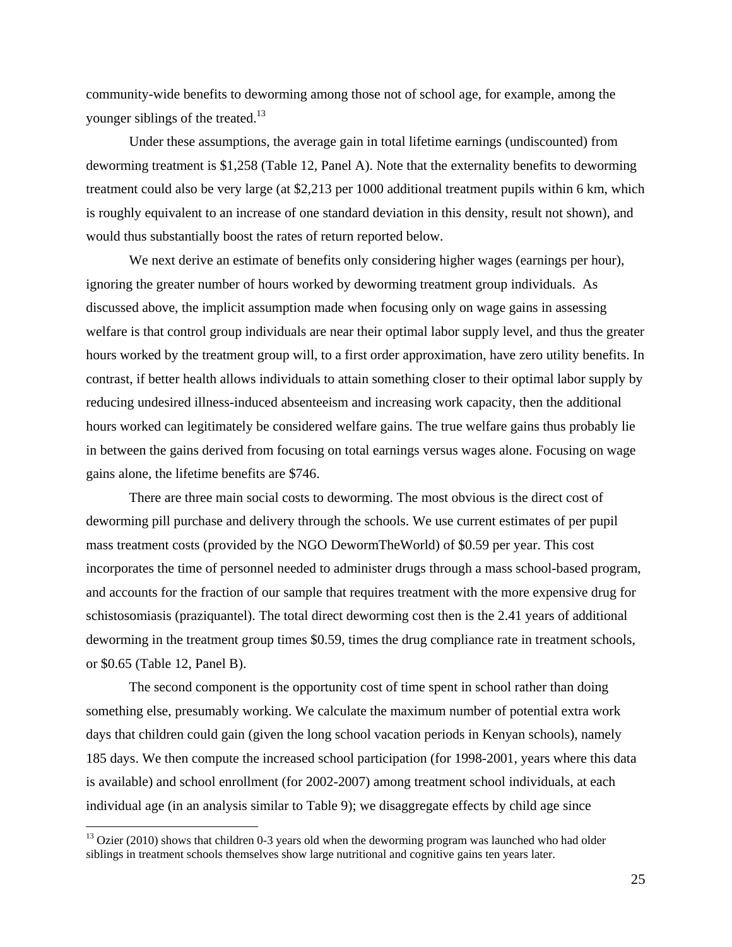community-wide benefits to deworming among those not of school age, for example, among the younger siblings of the treated.<sup>13</sup>

Under these assumptions, the average gain in total lifetime earnings (undiscounted) from deworming treatment is \$1,258 (Table 12, Panel A). Note that the externality benefits to deworming treatment could also be very large (at \$2,213 per 1000 additional treatment pupils within 6 km, which is roughly equivalent to an increase of one standard deviation in this density, result not shown), and would thus substantially boost the rates of return reported below.

We next derive an estimate of benefits only considering higher wages (earnings per hour), ignoring the greater number of hours worked by deworming treatment group individuals. As discussed above, the implicit assumption made when focusing only on wage gains in assessing welfare is that control group individuals are near their optimal labor supply level, and thus the greater hours worked by the treatment group will, to a first order approximation, have zero utility benefits. In contrast, if better health allows individuals to attain something closer to their optimal labor supply by reducing undesired illness-induced absenteeism and increasing work capacity, then the additional hours worked can legitimately be considered welfare gains. The true welfare gains thus probably lie in between the gains derived from focusing on total earnings versus wages alone. Focusing on wage gains alone, the lifetime benefits are \$746.

There are three main social costs to deworming. The most obvious is the direct cost of deworming pill purchase and delivery through the schools. We use current estimates of per pupil mass treatment costs (provided by the NGO DewormTheWorld) of \$0.59 per year. This cost incorporates the time of personnel needed to administer drugs through a mass school-based program, and accounts for the fraction of our sample that requires treatment with the more expensive drug for schistosomiasis (praziquantel). The total direct deworming cost then is the 2.41 years of additional deworming in the treatment group times \$0.59, times the drug compliance rate in treatment schools, or \$0.65 (Table 12, Panel B).

The second component is the opportunity cost of time spent in school rather than doing something else, presumably working. We calculate the maximum number of potential extra work days that children could gain (given the long school vacation periods in Kenyan schools), namely 185 days. We then compute the increased school participation (for 1998-2001, years where this data is available) and school enrollment (for 2002-2007) among treatment school individuals, at each individual age (in an analysis similar to Table 9); we disaggregate effects by child age since

 $\overline{a}$ 

 $13$  Ozier (2010) shows that children 0-3 years old when the deworming program was launched who had older siblings in treatment schools themselves show large nutritional and cognitive gains ten years later.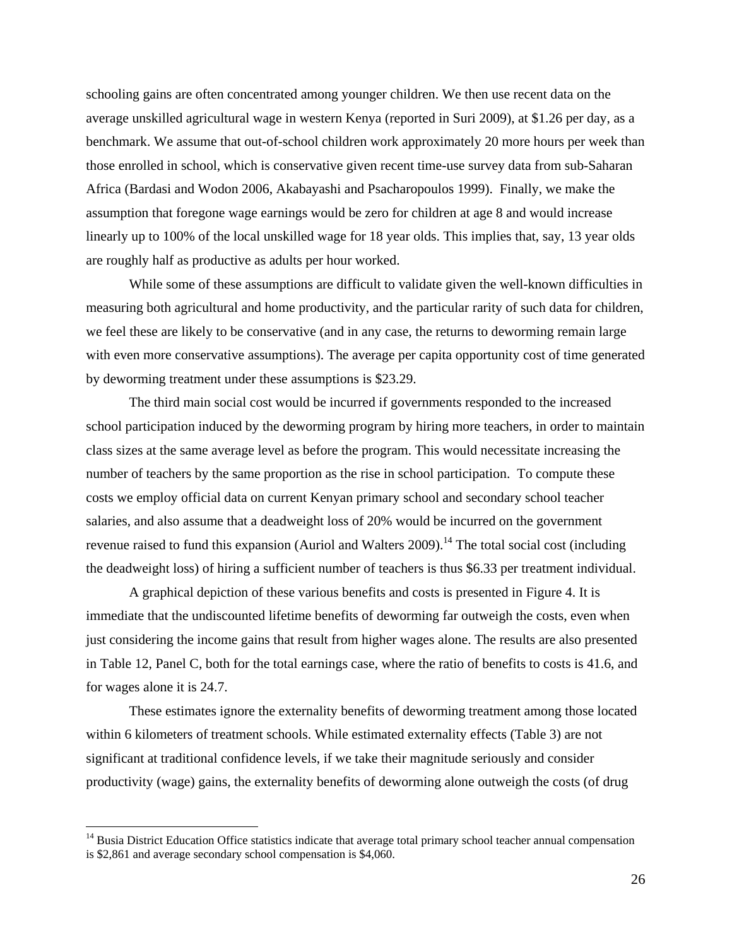schooling gains are often concentrated among younger children. We then use recent data on the average unskilled agricultural wage in western Kenya (reported in Suri 2009), at \$1.26 per day, as a benchmark. We assume that out-of-school children work approximately 20 more hours per week than those enrolled in school, which is conservative given recent time-use survey data from sub-Saharan Africa (Bardasi and Wodon 2006, Akabayashi and Psacharopoulos 1999). Finally, we make the assumption that foregone wage earnings would be zero for children at age 8 and would increase linearly up to 100% of the local unskilled wage for 18 year olds. This implies that, say, 13 year olds are roughly half as productive as adults per hour worked.

While some of these assumptions are difficult to validate given the well-known difficulties in measuring both agricultural and home productivity, and the particular rarity of such data for children, we feel these are likely to be conservative (and in any case, the returns to deworming remain large with even more conservative assumptions). The average per capita opportunity cost of time generated by deworming treatment under these assumptions is \$23.29.

The third main social cost would be incurred if governments responded to the increased school participation induced by the deworming program by hiring more teachers, in order to maintain class sizes at the same average level as before the program. This would necessitate increasing the number of teachers by the same proportion as the rise in school participation. To compute these costs we employ official data on current Kenyan primary school and secondary school teacher salaries, and also assume that a deadweight loss of 20% would be incurred on the government revenue raised to fund this expansion (Auriol and Walters 2009).<sup>14</sup> The total social cost (including the deadweight loss) of hiring a sufficient number of teachers is thus \$6.33 per treatment individual.

 A graphical depiction of these various benefits and costs is presented in Figure 4. It is immediate that the undiscounted lifetime benefits of deworming far outweigh the costs, even when just considering the income gains that result from higher wages alone. The results are also presented in Table 12, Panel C, both for the total earnings case, where the ratio of benefits to costs is 41.6, and for wages alone it is 24.7.

These estimates ignore the externality benefits of deworming treatment among those located within 6 kilometers of treatment schools. While estimated externality effects (Table 3) are not significant at traditional confidence levels, if we take their magnitude seriously and consider productivity (wage) gains, the externality benefits of deworming alone outweigh the costs (of drug

 $\overline{a}$ 

<sup>&</sup>lt;sup>14</sup> Busia District Education Office statistics indicate that average total primary school teacher annual compensation is \$2,861 and average secondary school compensation is \$4,060.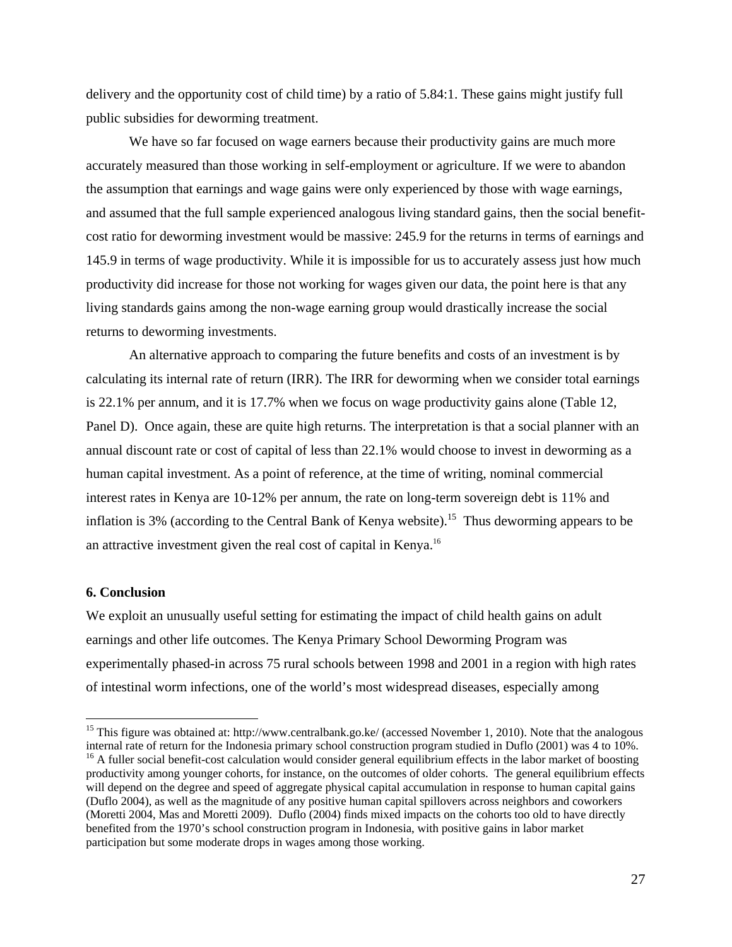delivery and the opportunity cost of child time) by a ratio of 5.84:1. These gains might justify full public subsidies for deworming treatment.

 We have so far focused on wage earners because their productivity gains are much more accurately measured than those working in self-employment or agriculture. If we were to abandon the assumption that earnings and wage gains were only experienced by those with wage earnings, and assumed that the full sample experienced analogous living standard gains, then the social benefitcost ratio for deworming investment would be massive: 245.9 for the returns in terms of earnings and 145.9 in terms of wage productivity. While it is impossible for us to accurately assess just how much productivity did increase for those not working for wages given our data, the point here is that any living standards gains among the non-wage earning group would drastically increase the social returns to deworming investments.

 An alternative approach to comparing the future benefits and costs of an investment is by calculating its internal rate of return (IRR). The IRR for deworming when we consider total earnings is 22.1% per annum, and it is 17.7% when we focus on wage productivity gains alone (Table 12, Panel D). Once again, these are quite high returns. The interpretation is that a social planner with an annual discount rate or cost of capital of less than 22.1% would choose to invest in deworming as a human capital investment. As a point of reference, at the time of writing, nominal commercial interest rates in Kenya are 10-12% per annum, the rate on long-term sovereign debt is 11% and inflation is 3% (according to the Central Bank of Kenya website).<sup>15</sup> Thus deworming appears to be an attractive investment given the real cost of capital in Kenya.16

## **6. Conclusion**

 $\overline{a}$ 

We exploit an unusually useful setting for estimating the impact of child health gains on adult earnings and other life outcomes. The Kenya Primary School Deworming Program was experimentally phased-in across 75 rural schools between 1998 and 2001 in a region with high rates of intestinal worm infections, one of the world's most widespread diseases, especially among

<sup>&</sup>lt;sup>15</sup> This figure was obtained at: http://www.centralbank.go.ke/ (accessed November 1, 2010). Note that the analogous internal rate of return for the Indonesia primary school construction program studied in Duflo (2001) was 4 to 10%.  $<sup>16</sup>$  A fuller social benefit-cost calculation would consider general equilibrium effects in the labor market of boosting</sup> productivity among younger cohorts, for instance, on the outcomes of older cohorts. The general equilibrium effects will depend on the degree and speed of aggregate physical capital accumulation in response to human capital gains (Duflo 2004), as well as the magnitude of any positive human capital spillovers across neighbors and coworkers (Moretti 2004, Mas and Moretti 2009). Duflo (2004) finds mixed impacts on the cohorts too old to have directly benefited from the 1970's school construction program in Indonesia, with positive gains in labor market participation but some moderate drops in wages among those working.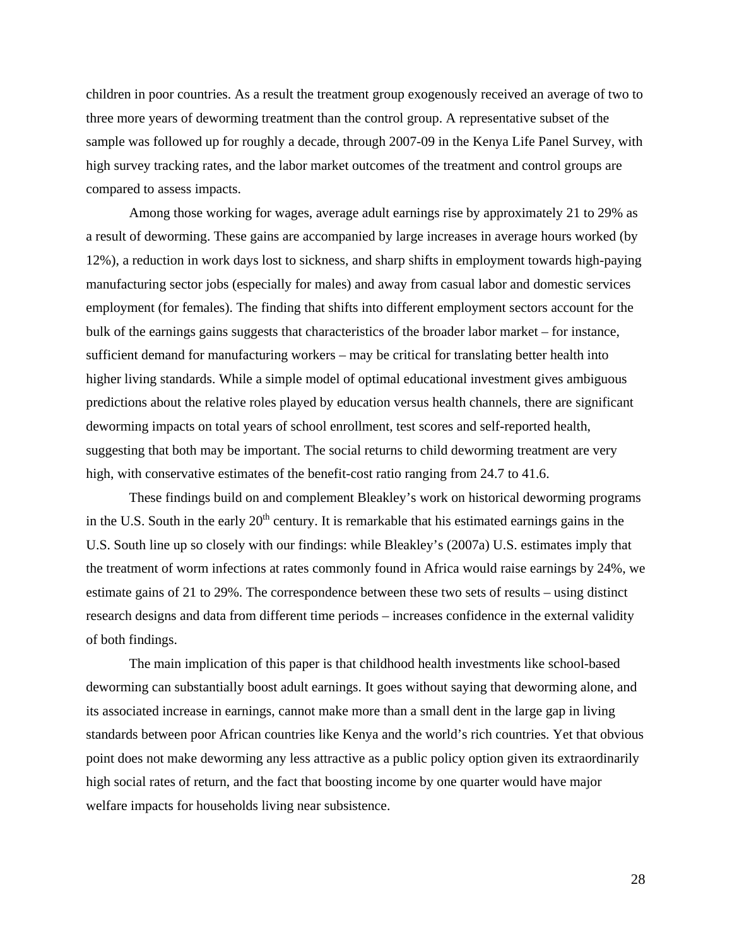children in poor countries. As a result the treatment group exogenously received an average of two to three more years of deworming treatment than the control group. A representative subset of the sample was followed up for roughly a decade, through 2007-09 in the Kenya Life Panel Survey, with high survey tracking rates, and the labor market outcomes of the treatment and control groups are compared to assess impacts.

 Among those working for wages, average adult earnings rise by approximately 21 to 29% as a result of deworming. These gains are accompanied by large increases in average hours worked (by 12%), a reduction in work days lost to sickness, and sharp shifts in employment towards high-paying manufacturing sector jobs (especially for males) and away from casual labor and domestic services employment (for females). The finding that shifts into different employment sectors account for the bulk of the earnings gains suggests that characteristics of the broader labor market – for instance, sufficient demand for manufacturing workers – may be critical for translating better health into higher living standards. While a simple model of optimal educational investment gives ambiguous predictions about the relative roles played by education versus health channels, there are significant deworming impacts on total years of school enrollment, test scores and self-reported health, suggesting that both may be important. The social returns to child deworming treatment are very high, with conservative estimates of the benefit-cost ratio ranging from 24.7 to 41.6.

 These findings build on and complement Bleakley's work on historical deworming programs in the U.S. South in the early  $20<sup>th</sup>$  century. It is remarkable that his estimated earnings gains in the U.S. South line up so closely with our findings: while Bleakley's (2007a) U.S. estimates imply that the treatment of worm infections at rates commonly found in Africa would raise earnings by 24%, we estimate gains of 21 to 29%. The correspondence between these two sets of results – using distinct research designs and data from different time periods – increases confidence in the external validity of both findings.

 The main implication of this paper is that childhood health investments like school-based deworming can substantially boost adult earnings. It goes without saying that deworming alone, and its associated increase in earnings, cannot make more than a small dent in the large gap in living standards between poor African countries like Kenya and the world's rich countries. Yet that obvious point does not make deworming any less attractive as a public policy option given its extraordinarily high social rates of return, and the fact that boosting income by one quarter would have major welfare impacts for households living near subsistence.

28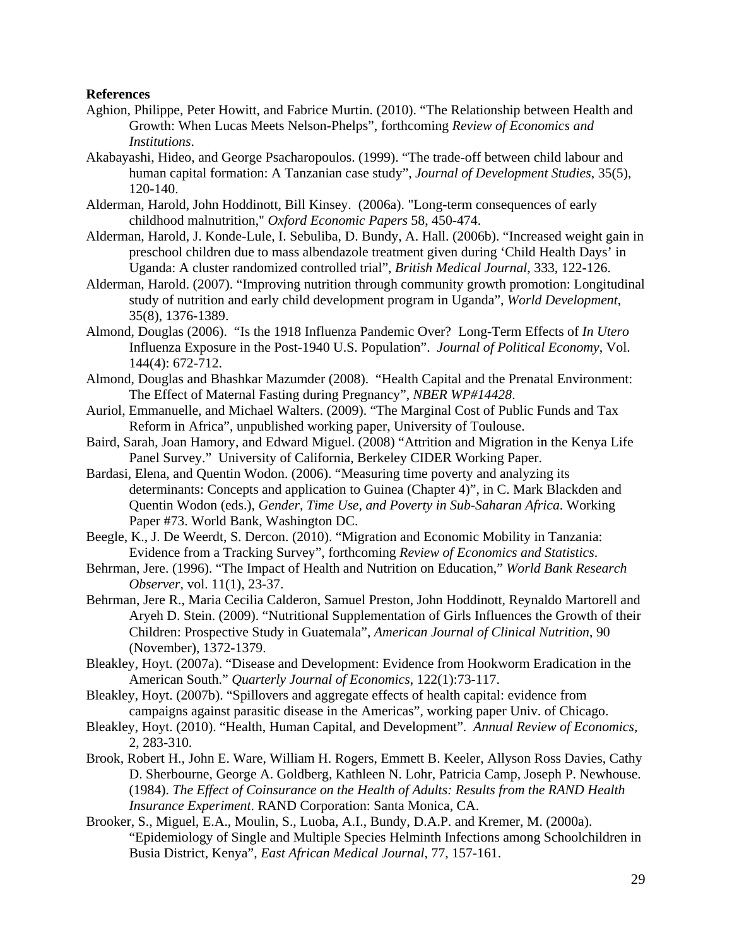## **References**

- Aghion, Philippe, Peter Howitt, and Fabrice Murtin. (2010). "The Relationship between Health and Growth: When Lucas Meets Nelson-Phelps", forthcoming *Review of Economics and Institutions*.
- Akabayashi, Hideo, and George Psacharopoulos. (1999). "The trade-off between child labour and human capital formation: A Tanzanian case study", *Journal of Development Studies*, 35(5), 120-140.
- Alderman, Harold, John Hoddinott, Bill Kinsey. (2006a). "Long-term consequences of early childhood malnutrition," *Oxford Economic Papers* 58, 450-474.
- Alderman, Harold, J. Konde-Lule, I. Sebuliba, D. Bundy, A. Hall. (2006b). "Increased weight gain in preschool children due to mass albendazole treatment given during 'Child Health Days' in Uganda: A cluster randomized controlled trial", *British Medical Journal*, 333, 122-126.
- Alderman, Harold. (2007). "Improving nutrition through community growth promotion: Longitudinal study of nutrition and early child development program in Uganda", *World Development*, 35(8), 1376-1389.
- Almond, Douglas (2006). "Is the 1918 Influenza Pandemic Over? Long-Term Effects of *In Utero* Influenza Exposure in the Post-1940 U.S. Population". *Journal of Political Economy*, Vol. 144(4): 672-712.
- Almond, Douglas and Bhashkar Mazumder (2008). "Health Capital and the Prenatal Environment: The Effect of Maternal Fasting during Pregnancy", *NBER WP#14428*.
- Auriol, Emmanuelle, and Michael Walters. (2009). "The Marginal Cost of Public Funds and Tax Reform in Africa", unpublished working paper, University of Toulouse.
- Baird, Sarah, Joan Hamory, and Edward Miguel. (2008) "Attrition and Migration in the Kenya Life Panel Survey." University of California, Berkeley CIDER Working Paper.
- Bardasi, Elena, and Quentin Wodon. (2006). "Measuring time poverty and analyzing its determinants: Concepts and application to Guinea (Chapter 4)", in C. Mark Blackden and Quentin Wodon (eds.), *Gender, Time Use, and Poverty in Sub-Saharan Africa*. Working Paper #73. World Bank, Washington DC.
- Beegle, K., J. De Weerdt, S. Dercon. (2010). "Migration and Economic Mobility in Tanzania: Evidence from a Tracking Survey", forthcoming *Review of Economics and Statistics*.
- Behrman, Jere. (1996). "The Impact of Health and Nutrition on Education," *World Bank Research Observer*, vol. 11(1), 23-37.
- Behrman, Jere R., Maria Cecilia Calderon, Samuel Preston, John Hoddinott, Reynaldo Martorell and Aryeh D. Stein. (2009). "Nutritional Supplementation of Girls Influences the Growth of their Children: Prospective Study in Guatemala", *American Journal of Clinical Nutrition*, 90 (November), 1372-1379.
- Bleakley, Hoyt. (2007a). "Disease and Development: Evidence from Hookworm Eradication in the American South." *Quarterly Journal of Economics*, 122(1):73-117.
- Bleakley, Hoyt. (2007b). "Spillovers and aggregate effects of health capital: evidence from campaigns against parasitic disease in the Americas", working paper Univ. of Chicago.
- Bleakley, Hoyt. (2010). "Health, Human Capital, and Development". *Annual Review of Economics,* 2, 283-310.
- Brook, Robert H., John E. Ware, William H. Rogers, Emmett B. Keeler, Allyson Ross Davies, Cathy D. Sherbourne, George A. Goldberg, Kathleen N. Lohr, Patricia Camp, Joseph P. Newhouse. (1984). *The Effect of Coinsurance on the Health of Adults: Results from the RAND Health Insurance Experiment*. RAND Corporation: Santa Monica, CA.
- Brooker, S., Miguel, E.A., Moulin, S., Luoba, A.I., Bundy, D.A.P. and Kremer, M. (2000a). "Epidemiology of Single and Multiple Species Helminth Infections among Schoolchildren in Busia District, Kenya", *East African Medical Journal*, 77, 157-161.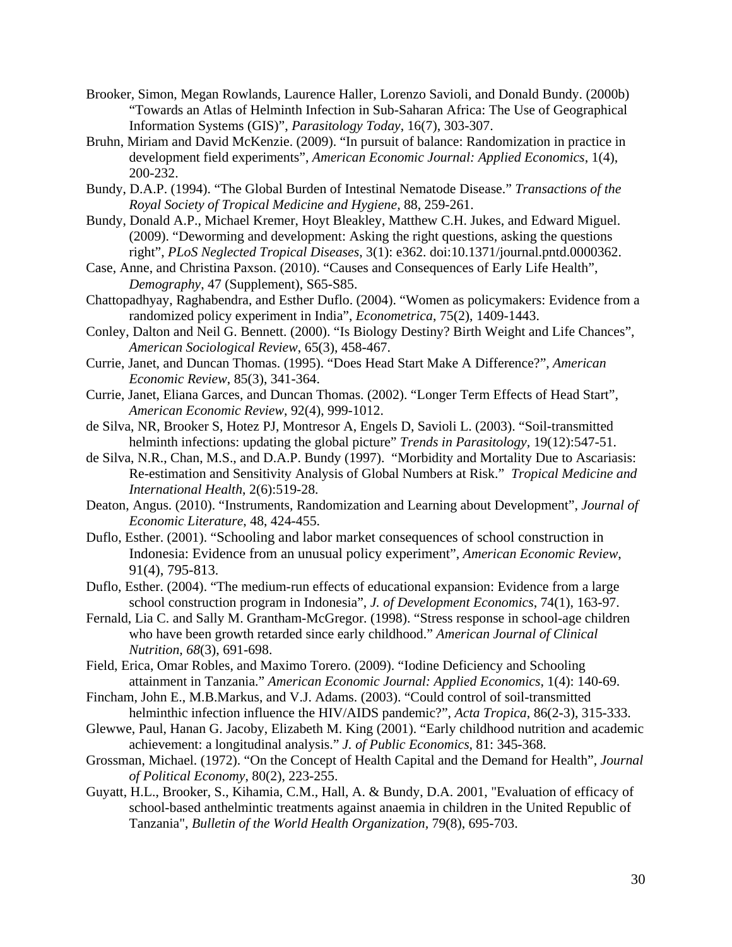- Brooker, Simon, Megan Rowlands, Laurence Haller, Lorenzo Savioli, and Donald Bundy. (2000b) "Towards an Atlas of Helminth Infection in Sub-Saharan Africa: The Use of Geographical Information Systems (GIS)", *Parasitology Today*, 16(7), 303-307.
- Bruhn, Miriam and David McKenzie. (2009). "In pursuit of balance: Randomization in practice in development field experiments", *American Economic Journal: Applied Economics*, 1(4), 200-232.
- Bundy, D.A.P. (1994). "The Global Burden of Intestinal Nematode Disease." *Transactions of the Royal Society of Tropical Medicine and Hygiene,* 88, 259-261.
- Bundy, Donald A.P., Michael Kremer, Hoyt Bleakley, Matthew C.H. Jukes, and Edward Miguel. (2009). "Deworming and development: Asking the right questions, asking the questions right", *PLoS Neglected Tropical Diseases*, 3(1): e362. doi:10.1371/journal.pntd.0000362.
- Case, Anne, and Christina Paxson. (2010). "Causes and Consequences of Early Life Health", *Demography*, 47 (Supplement), S65-S85.
- Chattopadhyay, Raghabendra, and Esther Duflo. (2004). "Women as policymakers: Evidence from a randomized policy experiment in India", *Econometrica*, 75(2), 1409-1443.
- Conley, Dalton and Neil G. Bennett. (2000). "Is Biology Destiny? Birth Weight and Life Chances", *American Sociological Review*, 65(3), 458-467.
- Currie, Janet, and Duncan Thomas. (1995). "Does Head Start Make A Difference?", *American Economic Review*, 85(3), 341-364.
- Currie, Janet, Eliana Garces, and Duncan Thomas. (2002). "Longer Term Effects of Head Start", *American Economic Review*, 92(4), 999-1012.
- de Silva, NR, Brooker S, Hotez PJ, Montresor A, Engels D, Savioli L. (2003). "Soil-transmitted helminth infections: updating the global picture" *Trends in Parasitology,* 19(12):547-51.
- de Silva, N.R., Chan, M.S., and D.A.P. Bundy (1997). "Morbidity and Mortality Due to Ascariasis: Re-estimation and Sensitivity Analysis of Global Numbers at Risk." *Tropical Medicine and International Health*, 2(6):519-28.
- Deaton, Angus. (2010). "Instruments, Randomization and Learning about Development", *Journal of Economic Literature*, 48, 424-455.
- Duflo, Esther. (2001). "Schooling and labor market consequences of school construction in Indonesia: Evidence from an unusual policy experiment", *American Economic Review*, 91(4), 795-813.
- Duflo, Esther. (2004). "The medium-run effects of educational expansion: Evidence from a large school construction program in Indonesia", *J. of Development Economics*, 74(1), 163-97.
- Fernald, Lia C. and Sally M. Grantham-McGregor. (1998). "Stress response in school-age children who have been growth retarded since early childhood." *American Journal of Clinical Nutrition, 68*(3), 691-698.
- Field, Erica, Omar Robles, and Maximo Torero. (2009). "Iodine Deficiency and Schooling attainment in Tanzania." *American Economic Journal: Applied Economics*, 1(4): 140-69.
- Fincham, John E., M.B.Markus, and V.J. Adams. (2003). "Could control of soil-transmitted helminthic infection influence the HIV/AIDS pandemic?", *Acta Tropica*, 86(2-3), 315-333.
- Glewwe, Paul, Hanan G. Jacoby, Elizabeth M. King (2001). "Early childhood nutrition and academic achievement: a longitudinal analysis." *J. of Public Economics,* 81: 345-368.
- Grossman, Michael. (1972). "On the Concept of Health Capital and the Demand for Health", *Journal of Political Economy*, 80(2), 223-255.
- Guyatt, H.L., Brooker, S., Kihamia, C.M., Hall, A. & Bundy, D.A. 2001, "Evaluation of efficacy of school-based anthelmintic treatments against anaemia in children in the United Republic of Tanzania", *Bulletin of the World Health Organization,* 79(8), 695-703.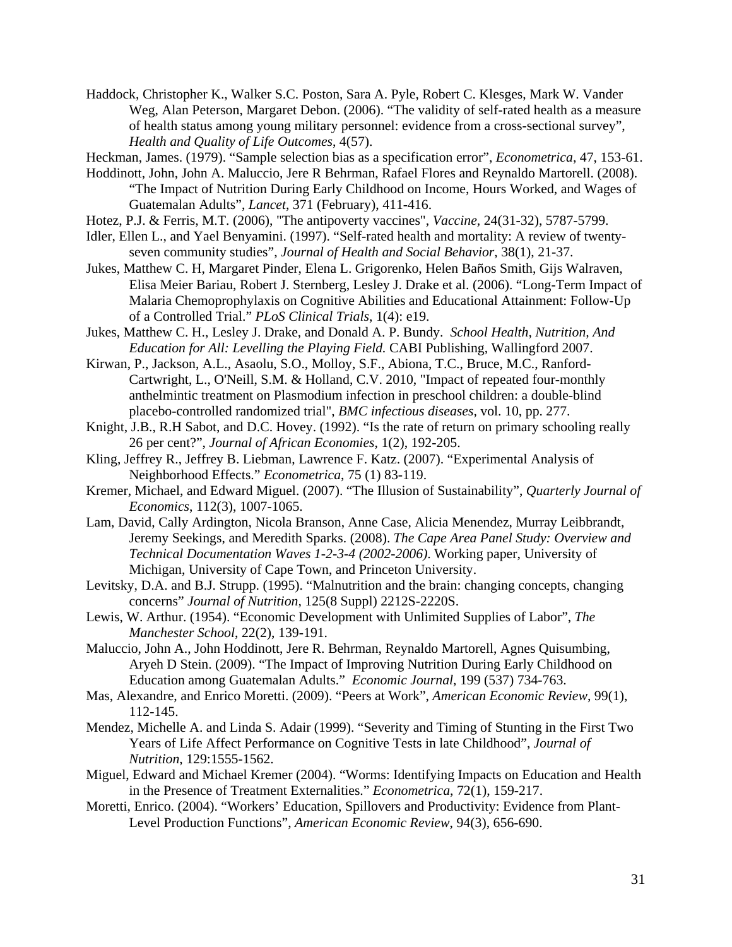Haddock, Christopher K., Walker S.C. Poston, Sara A. Pyle, Robert C. Klesges, Mark W. Vander Weg, Alan Peterson, Margaret Debon. (2006). "The validity of self-rated health as a measure of health status among young military personnel: evidence from a cross-sectional survey", *Health and Quality of Life Outcomes*, 4(57).

Heckman, James. (1979). "Sample selection bias as a specification error", *Econometrica*, 47, 153-61.

- Hoddinott, John, John A. Maluccio, Jere R Behrman, Rafael Flores and Reynaldo Martorell. (2008). "The Impact of Nutrition During Early Childhood on Income, Hours Worked, and Wages of Guatemalan Adults", *Lancet*, 371 (February), 411-416.
- Hotez, P.J. & Ferris, M.T. (2006), "The antipoverty vaccines", *Vaccine,* 24(31-32), 5787-5799.
- Idler, Ellen L., and Yael Benyamini. (1997). "Self-rated health and mortality: A review of twentyseven community studies", *Journal of Health and Social Behavior*, 38(1), 21-37.
- Jukes, Matthew C. H, Margaret Pinder, Elena L. Grigorenko, Helen Baños Smith, Gijs Walraven, Elisa Meier Bariau, Robert J. Sternberg, Lesley J. Drake et al. (2006). "Long-Term Impact of Malaria Chemoprophylaxis on Cognitive Abilities and Educational Attainment: Follow-Up of a Controlled Trial." *PLoS Clinical Trials*, 1(4): e19.
- Jukes, Matthew C. H., Lesley J. Drake, and Donald A. P. Bundy. *School Health, Nutrition, And Education for All: Levelling the Playing Field.* CABI Publishing, Wallingford 2007.
- Kirwan, P., Jackson, A.L., Asaolu, S.O., Molloy, S.F., Abiona, T.C., Bruce, M.C., Ranford-Cartwright, L., O'Neill, S.M. & Holland, C.V. 2010, "Impact of repeated four-monthly anthelmintic treatment on Plasmodium infection in preschool children: a double-blind placebo-controlled randomized trial", *BMC infectious diseases,* vol. 10, pp. 277.
- Knight, J.B., R.H Sabot, and D.C. Hovey. (1992). "Is the rate of return on primary schooling really 26 per cent?", *Journal of African Economies*, 1(2), 192-205.
- Kling, Jeffrey R., Jeffrey B. Liebman, Lawrence F. Katz. (2007). "Experimental Analysis of Neighborhood Effects." *Econometrica*, 75 (1) 83-119.
- Kremer, Michael, and Edward Miguel. (2007). "The Illusion of Sustainability", *Quarterly Journal of Economics*, 112(3), 1007-1065.
- Lam, David, Cally Ardington, Nicola Branson, Anne Case, Alicia Menendez, Murray Leibbrandt, Jeremy Seekings, and Meredith Sparks. (2008). *The Cape Area Panel Study: Overview and Technical Documentation Waves 1-2-3-4 (2002-2006)*. Working paper, University of Michigan, University of Cape Town, and Princeton University.
- Levitsky, D.A. and B.J. Strupp. (1995). "Malnutrition and the brain: changing concepts, changing concerns" *Journal of Nutrition,* 125(8 Suppl) 2212S-2220S.
- Lewis, W. Arthur. (1954). "Economic Development with Unlimited Supplies of Labor", *The Manchester School*, 22(2), 139-191.
- Maluccio, John A., John Hoddinott, Jere R. Behrman, Reynaldo Martorell, Agnes Quisumbing, Aryeh D Stein. (2009). "The Impact of Improving Nutrition During Early Childhood on Education among Guatemalan Adults." *Economic Journal*, 199 (537) 734-763.
- Mas, Alexandre, and Enrico Moretti. (2009). "Peers at Work", *American Economic Review*, 99(1), 112-145.
- Mendez, Michelle A. and Linda S. Adair (1999). "Severity and Timing of Stunting in the First Two Years of Life Affect Performance on Cognitive Tests in late Childhood", *Journal of Nutrition*, 129:1555-1562.
- Miguel, Edward and Michael Kremer (2004). "Worms: Identifying Impacts on Education and Health in the Presence of Treatment Externalities." *Econometrica*, 72(1), 159-217.
- Moretti, Enrico. (2004). "Workers' Education, Spillovers and Productivity: Evidence from Plant-Level Production Functions", *American Economic Review*, 94(3), 656-690.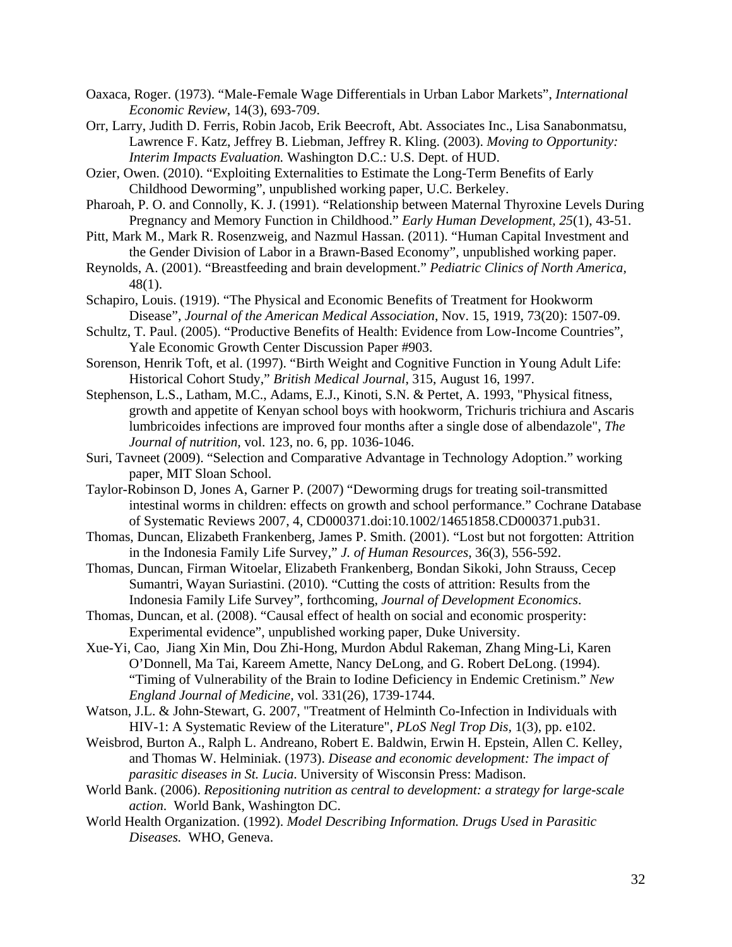- Oaxaca, Roger. (1973). "Male-Female Wage Differentials in Urban Labor Markets", *International Economic Review*, 14(3), 693-709.
- Orr, Larry, Judith D. Ferris, Robin Jacob, Erik Beecroft, Abt. Associates Inc., Lisa Sanabonmatsu, Lawrence F. Katz, Jeffrey B. Liebman, Jeffrey R. Kling. (2003). *Moving to Opportunity: Interim Impacts Evaluation.* Washington D.C.: U.S. Dept. of HUD.
- Ozier, Owen. (2010). "Exploiting Externalities to Estimate the Long-Term Benefits of Early Childhood Deworming", unpublished working paper, U.C. Berkeley.
- Pharoah, P. O. and Connolly, K. J. (1991). "Relationship between Maternal Thyroxine Levels During Pregnancy and Memory Function in Childhood." *Early Human Development, 25*(1), 43-51.
- Pitt, Mark M., Mark R. Rosenzweig, and Nazmul Hassan. (2011). "Human Capital Investment and the Gender Division of Labor in a Brawn-Based Economy", unpublished working paper.
- Reynolds, A. (2001). "Breastfeeding and brain development." *Pediatric Clinics of North America,*  48(1).
- Schapiro, Louis. (1919). "The Physical and Economic Benefits of Treatment for Hookworm Disease", *Journal of the American Medical Association*, Nov. 15, 1919, 73(20): 1507-09.
- Schultz, T. Paul. (2005). "Productive Benefits of Health: Evidence from Low-Income Countries", Yale Economic Growth Center Discussion Paper #903.
- Sorenson, Henrik Toft, et al. (1997). "Birth Weight and Cognitive Function in Young Adult Life: Historical Cohort Study," *British Medical Journal*, 315, August 16, 1997.
- Stephenson, L.S., Latham, M.C., Adams, E.J., Kinoti, S.N. & Pertet, A. 1993, "Physical fitness, growth and appetite of Kenyan school boys with hookworm, Trichuris trichiura and Ascaris lumbricoides infections are improved four months after a single dose of albendazole", *The Journal of nutrition,* vol. 123, no. 6, pp. 1036-1046.
- Suri, Tavneet (2009). "Selection and Comparative Advantage in Technology Adoption." working paper, MIT Sloan School.
- Taylor-Robinson D, Jones A, Garner P. (2007) "Deworming drugs for treating soil-transmitted intestinal worms in children: effects on growth and school performance." Cochrane Database of Systematic Reviews 2007, 4, CD000371.doi:10.1002/14651858.CD000371.pub31.
- Thomas, Duncan, Elizabeth Frankenberg, James P. Smith. (2001). "Lost but not forgotten: Attrition in the Indonesia Family Life Survey," *J. of Human Resources*, 36(3), 556-592.
- Thomas, Duncan, Firman Witoelar, Elizabeth Frankenberg, Bondan Sikoki, John Strauss, Cecep Sumantri, Wayan Suriastini. (2010). "Cutting the costs of attrition: Results from the Indonesia Family Life Survey", forthcoming, *Journal of Development Economics*.
- Thomas, Duncan, et al. (2008). "Causal effect of health on social and economic prosperity: Experimental evidence", unpublished working paper, Duke University.
- Xue-Yi, Cao, Jiang Xin Min, Dou Zhi-Hong, Murdon Abdul Rakeman, Zhang Ming-Li, Karen O'Donnell, Ma Tai, Kareem Amette, Nancy DeLong, and G. Robert DeLong. (1994). "Timing of Vulnerability of the Brain to Iodine Deficiency in Endemic Cretinism." *New England Journal of Medicine,* vol. 331(26), 1739-1744.
- Watson, J.L. & John-Stewart, G. 2007, "Treatment of Helminth Co-Infection in Individuals with HIV-1: A Systematic Review of the Literature", *PLoS Negl Trop Dis,* 1(3), pp. e102.
- Weisbrod, Burton A., Ralph L. Andreano, Robert E. Baldwin, Erwin H. Epstein, Allen C. Kelley, and Thomas W. Helminiak. (1973). *Disease and economic development: The impact of parasitic diseases in St. Lucia*. University of Wisconsin Press: Madison.
- World Bank. (2006). *Repositioning nutrition as central to development: a strategy for large-scale action*. World Bank, Washington DC.
- World Health Organization. (1992). *Model Describing Information. Drugs Used in Parasitic Diseases.* WHO, Geneva.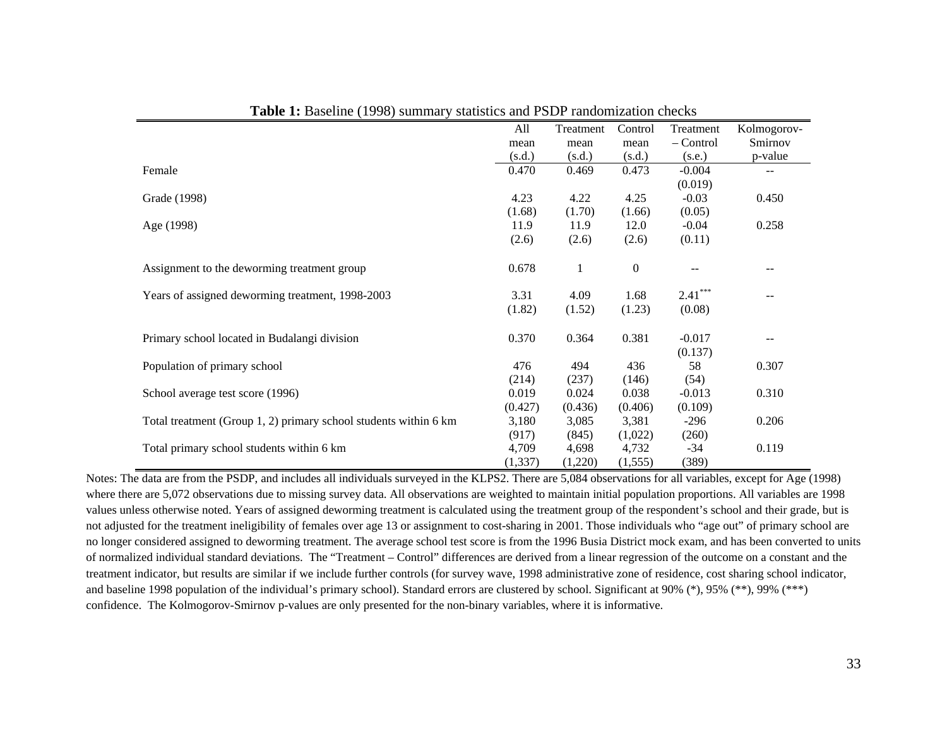|                                                                  | All      | Treatment | Control          | Treatment | Kolmogorov-              |
|------------------------------------------------------------------|----------|-----------|------------------|-----------|--------------------------|
|                                                                  | mean     | mean      | mean             | – Control | Smirnov                  |
|                                                                  | (s.d.)   | (s.d.)    | (s.d.)           | (s.e.)    | p-value                  |
| Female                                                           | 0.470    | 0.469     | 0.473            | $-0.004$  | $\overline{\phantom{m}}$ |
|                                                                  |          |           |                  | (0.019)   |                          |
| Grade (1998)                                                     | 4.23     | 4.22      | 4.25             | $-0.03$   | 0.450                    |
|                                                                  | (1.68)   | (1.70)    | (1.66)           | (0.05)    |                          |
| Age (1998)                                                       | 11.9     | 11.9      | 12.0             | $-0.04$   | 0.258                    |
|                                                                  | (2.6)    | (2.6)     | (2.6)            | (0.11)    |                          |
| Assignment to the deworming treatment group                      | 0.678    | 1         | $\boldsymbol{0}$ |           |                          |
| Years of assigned deworming treatment, 1998-2003                 | 3.31     | 4.09      | 1.68             | $2.41***$ |                          |
|                                                                  | (1.82)   | (1.52)    | (1.23)           | (0.08)    |                          |
| Primary school located in Budalangi division                     | 0.370    | 0.364     | 0.381            | $-0.017$  |                          |
|                                                                  |          |           |                  | (0.137)   |                          |
| Population of primary school                                     | 476      | 494       | 436              | 58        | 0.307                    |
|                                                                  | (214)    | (237)     | (146)            | (54)      |                          |
| School average test score (1996)                                 | 0.019    | 0.024     | 0.038            | $-0.013$  | 0.310                    |
|                                                                  | (0.427)  | (0.436)   | (0.406)          | (0.109)   |                          |
| Total treatment (Group 1, 2) primary school students within 6 km | 3,180    | 3,085     | 3,381            | $-296$    | 0.206                    |
|                                                                  | (917)    | (845)     | (1,022)          | (260)     |                          |
| Total primary school students within 6 km                        | 4,709    | 4,698     | 4,732            | $-34$     | 0.119                    |
|                                                                  | (1, 337) | (1,220)   | (1, 555)         | (389)     |                          |

**Table 1:** Baseline (1998) summary statistics and PSDP randomization checks

Notes: The data are from the PSDP, and includes all individuals surveyed in the KLPS2. There are 5,084 observations for all variables, except for Age (1998) where there are 5,072 observations due to missing survey data. All observations are weighted to maintain initial population proportions. All variables are 1998 values unless otherwise noted. Years of assigned deworming treatment is calculated using the treatment group of the respondent's school and their grade, but is not adjusted for the treatment ineligibility of females over age 13 or assignment to cost-sharing in 2001. Those individuals who "age out" of primary school are no longer considered assigned to deworming treatment. The average school test score is from the 1996 Busia District mock exam, and has been converted to units of normalized individual standard deviations. The "Treatment – Control" differences are derived from a linear regression of the outcome on a constant and the treatment indicator, but results are similar if we include further controls (for survey wave, 1998 administrative zone of residence, cost sharing school indicator, and baseline 1998 population of the individual's primary school). Standard errors are clustered by school. Significant at 90% (\*), 95% (\*\*), 99% (\*\*\*) confidence. The Kolmogorov-Smirnov p-values are only presented for the non-binary variables, where it is informative.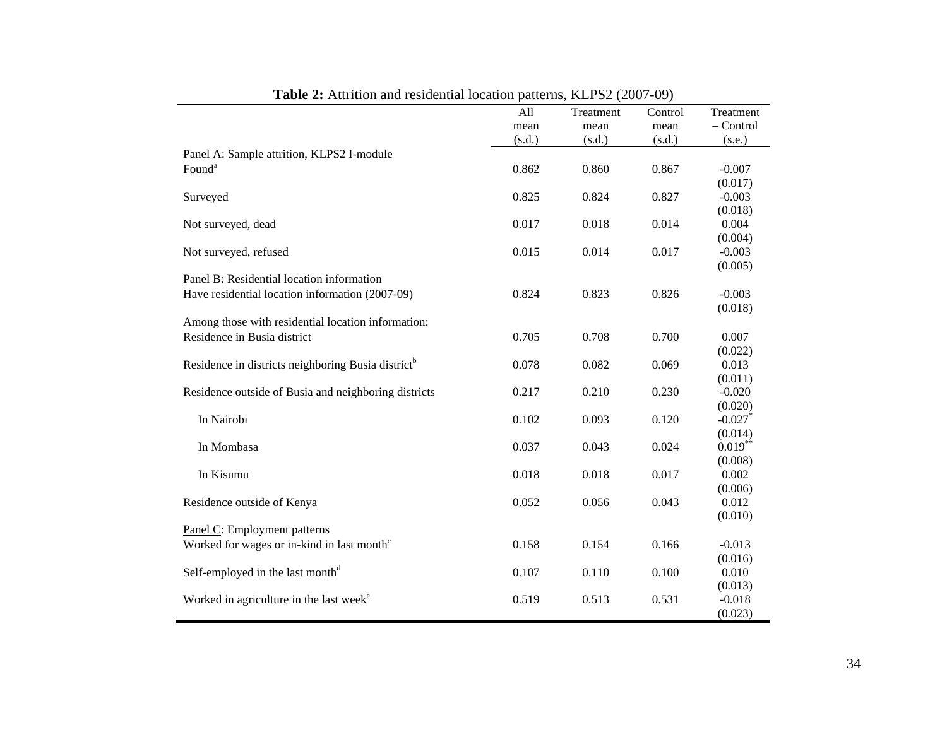| <b>rapic 2.</b> Authori and residential focation patterns, KET $52(2007-07)$ | All    | Treatment | Control | Treatment   |
|------------------------------------------------------------------------------|--------|-----------|---------|-------------|
|                                                                              | mean   | mean      | mean    | $-$ Control |
|                                                                              | (s.d.) | (s.d.)    | (s.d.)  | (s.e.)      |
| Panel A: Sample attrition, KLPS2 I-module                                    |        |           |         |             |
| Found <sup>a</sup>                                                           | 0.862  | 0.860     | 0.867   | $-0.007$    |
|                                                                              |        |           |         | (0.017)     |
| Surveyed                                                                     | 0.825  | 0.824     | 0.827   | $-0.003$    |
|                                                                              |        |           |         | (0.018)     |
| Not surveyed, dead                                                           | 0.017  | 0.018     | 0.014   | 0.004       |
|                                                                              |        |           |         | (0.004)     |
| Not surveyed, refused                                                        | 0.015  | 0.014     | 0.017   | $-0.003$    |
|                                                                              |        |           |         | (0.005)     |
| Panel B: Residential location information                                    |        |           |         |             |
| Have residential location information (2007-09)                              | 0.824  | 0.823     | 0.826   | $-0.003$    |
|                                                                              |        |           |         | (0.018)     |
| Among those with residential location information:                           |        |           |         |             |
| Residence in Busia district                                                  | 0.705  | 0.708     | 0.700   | 0.007       |
|                                                                              |        |           |         | (0.022)     |
| Residence in districts neighboring Busia district <sup>b</sup>               | 0.078  | 0.082     | 0.069   | 0.013       |
|                                                                              |        |           |         | (0.011)     |
| Residence outside of Busia and neighboring districts                         | 0.217  | 0.210     | 0.230   | $-0.020$    |
|                                                                              |        |           |         | (0.020)     |
| In Nairobi                                                                   | 0.102  | 0.093     | 0.120   | $-0.027$    |
|                                                                              |        |           |         | (0.014)     |
| In Mombasa                                                                   | 0.037  | 0.043     | 0.024   | $0.019***$  |
|                                                                              |        |           |         | (0.008)     |
| In Kisumu                                                                    | 0.018  | 0.018     | 0.017   | 0.002       |
|                                                                              |        |           |         | (0.006)     |
| Residence outside of Kenya                                                   | 0.052  | 0.056     | 0.043   | 0.012       |
|                                                                              |        |           |         | (0.010)     |
| Panel C: Employment patterns                                                 |        |           |         |             |
| Worked for wages or in-kind in last month <sup>c</sup>                       | 0.158  | 0.154     | 0.166   | $-0.013$    |
|                                                                              |        |           |         | (0.016)     |
| Self-employed in the last month <sup>d</sup>                                 | 0.107  | 0.110     | 0.100   | 0.010       |
|                                                                              |        |           |         | (0.013)     |
| Worked in agriculture in the last week <sup>e</sup>                          | 0.519  | 0.513     | 0.531   | $-0.018$    |
|                                                                              |        |           |         | (0.023)     |

**Table 2:** Attrition and residential location patterns, KLPS2 (2007-09)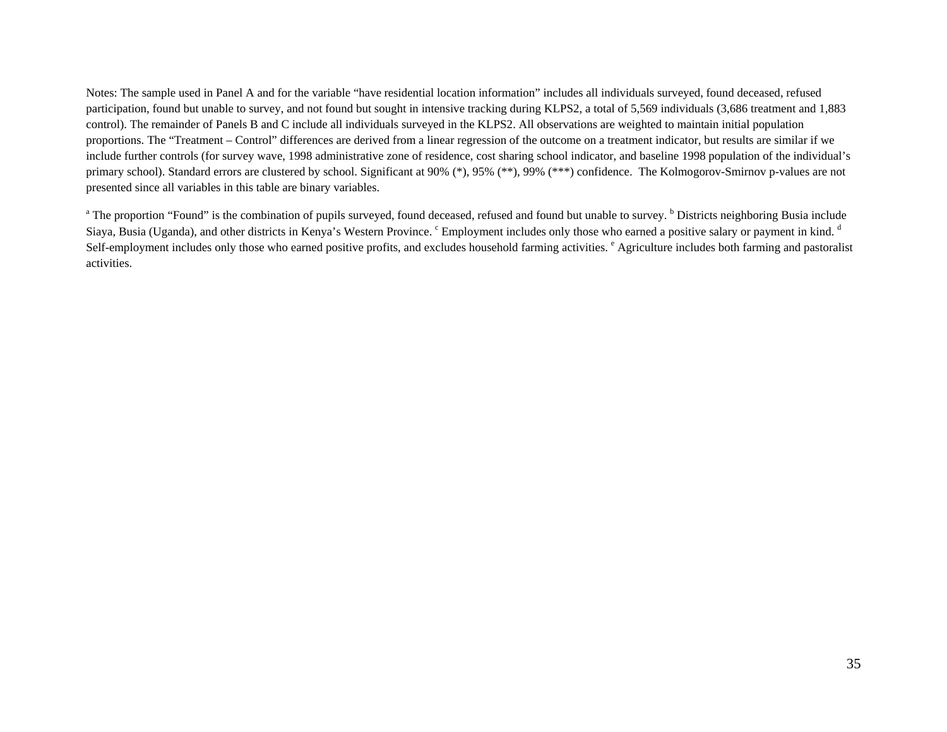Notes: The sample used in Panel A and for the variable "have residential location information" includes all individuals surveyed, found deceased, refused participation, found but unable to survey, and not found but sought in intensive tracking during KLPS2, a total of 5,569 individuals (3,686 treatment and 1,883 control). The remainder of Panels B and C include all individuals surveyed in the KLPS2. All observations are weighted to maintain initial population proportions. The "Treatment – Control" differences are derived from a linear regression of the outcome on a treatment indicator, but results are similar if we include further controls (for survey wave, 1998 administrative zone of residence, cost sharing school indicator, and baseline 1998 population of the individual's primary school). Standard errors are clustered by school. Significant at 90% (\*), 95% (\*\*), 99% (\*\*\*) confidence. The Kolmogorov-Smirnov p-values are not presented since all variables in this table are binary variables.

<sup>a</sup> The proportion "Found" is the combination of pupils surveyed, found deceased, refused and found but unable to survey. <sup>b</sup> Districts neighboring Busia include Siaya, Busia (Uganda), and other districts in Kenya's Western Province. Chappendial includes only those who earned a positive salary or payment in kind. d Self-employment includes only those who earned positive profits, and excludes household farming activities. <sup>e</sup> Agriculture includes both farming and pastoralist activities.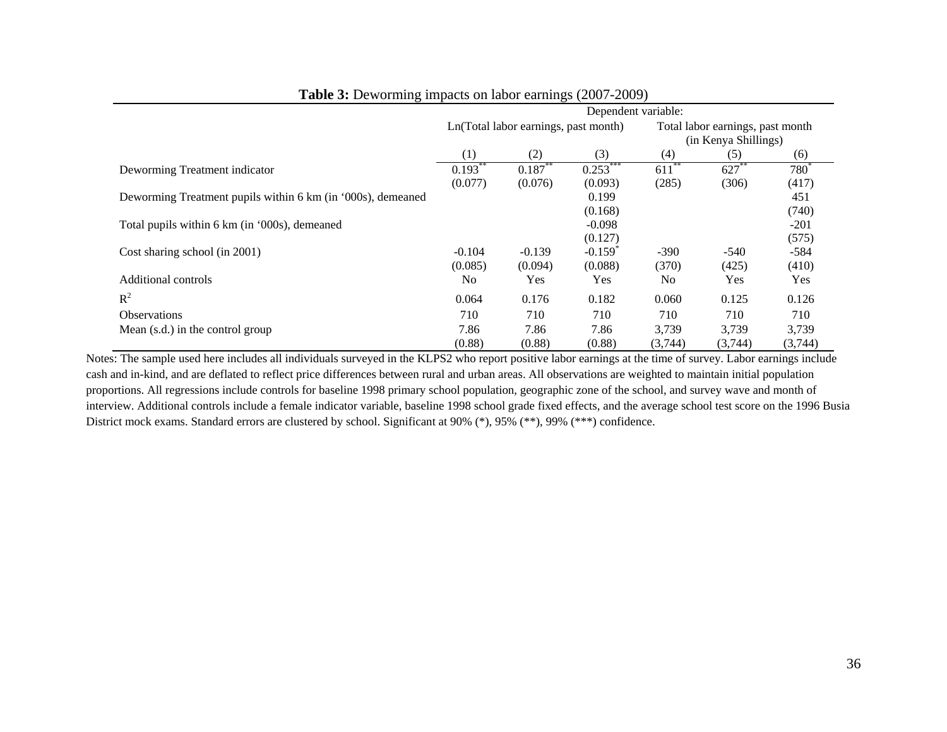|                                                             | Dependent variable: |                                      |                       |                                  |          |         |  |  |  |
|-------------------------------------------------------------|---------------------|--------------------------------------|-----------------------|----------------------------------|----------|---------|--|--|--|
|                                                             |                     | Ln(Total labor earnings, past month) |                       | Total labor earnings, past month |          |         |  |  |  |
|                                                             |                     |                                      |                       | (in Kenya Shillings)             |          |         |  |  |  |
|                                                             | (1)                 | (2)                                  | (3)                   | (4)                              | (5)      | (6)     |  |  |  |
| Deworming Treatment indicator                               | $0.193**$           | $0.187***$                           | $0.253***$            | $611***$                         | $627$ ** | $780^*$ |  |  |  |
|                                                             | (0.077)             | (0.076)                              | (0.093)               | (285)                            | (306)    | (417)   |  |  |  |
| Deworming Treatment pupils within 6 km (in '000s), demeaned |                     |                                      | 0.199                 |                                  |          | 451     |  |  |  |
|                                                             |                     |                                      | (0.168)               |                                  |          | (740)   |  |  |  |
| Total pupils within 6 km (in '000s), demeaned               |                     |                                      | $-0.098$              |                                  |          | $-201$  |  |  |  |
|                                                             |                     |                                      | (0.127)               |                                  |          | (575)   |  |  |  |
| Cost sharing school (in 2001)                               | $-0.104$            | $-0.139$                             | $-0.159$ <sup>*</sup> | $-390$                           | $-540$   | $-584$  |  |  |  |
|                                                             | (0.085)             | (0.094)                              | (0.088)               | (370)                            | (425)    | (410)   |  |  |  |
| Additional controls                                         | No                  | <b>Yes</b>                           | Yes                   | N <sub>0</sub>                   | Yes      | Yes     |  |  |  |
| $R^2$                                                       | 0.064               | 0.176                                | 0.182                 | 0.060                            | 0.125    | 0.126   |  |  |  |
| <b>Observations</b>                                         | 710                 | 710                                  | 710                   | 710                              | 710      | 710     |  |  |  |
| Mean (s.d.) in the control group                            | 7.86                | 7.86                                 | 7.86                  | 3,739                            | 3.739    | 3,739   |  |  |  |
|                                                             | (0.88)              | (0.88)                               | (0.88)                | (3,744)                          | (3,744)  | (3,744) |  |  |  |

## **Table 3:** Deworming impacts on labor earnings (2007-2009)

Notes: The sample used here includes all individuals surveyed in the KLPS2 who report positive labor earnings at the time of survey. Labor earnings include cash and in-kind, and are deflated to reflect price differences between rural and urban areas. All observations are weighted to maintain initial population proportions. All regressions include controls for baseline 1998 primary school population, geographic zone of the school, and survey wave and month of interview. Additional controls include a female indicator variable, baseline 1998 school grade fixed effects, and the average school test score on the 1996 Busia District mock exams. Standard errors are clustered by school. Significant at 90% (\*), 95% (\*\*), 99% (\*\*\*) confidence.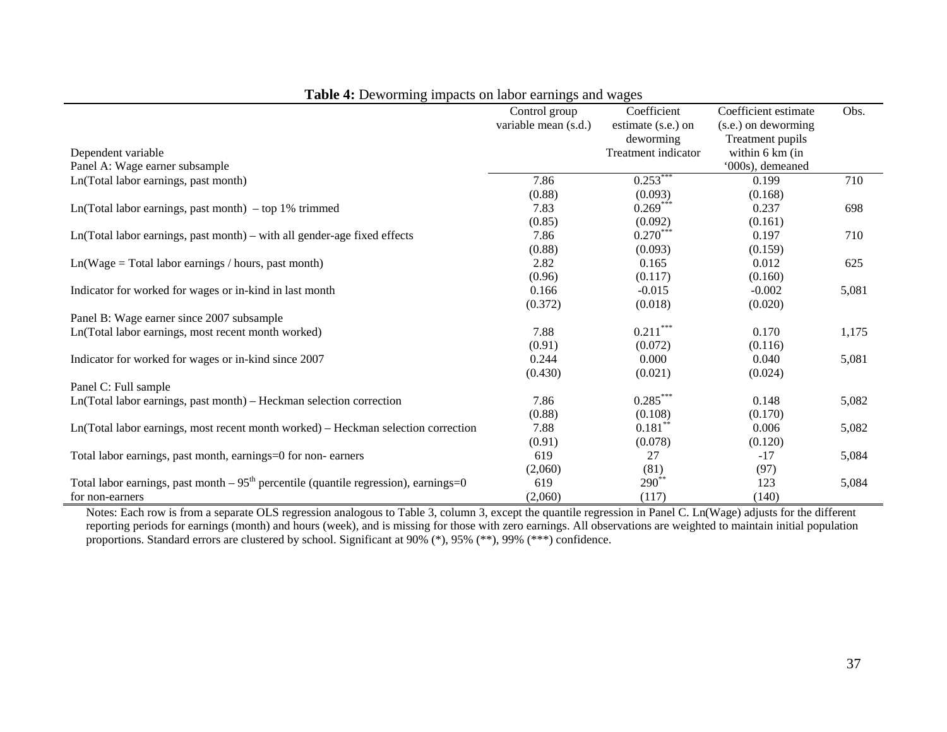|                                                                                       | Control group        | Coefficient         | Coefficient estimate | Obs.  |
|---------------------------------------------------------------------------------------|----------------------|---------------------|----------------------|-------|
|                                                                                       | variable mean (s.d.) | estimate (s.e.) on  | (s.e.) on deworming  |       |
|                                                                                       |                      | deworming           | Treatment pupils     |       |
| Dependent variable                                                                    |                      | Treatment indicator | within 6 km (in      |       |
| Panel A: Wage earner subsample                                                        |                      |                     | '000s), demeaned     |       |
| Ln(Total labor earnings, past month)                                                  | 7.86                 | $0.253***$          | 0.199                | 710   |
|                                                                                       | (0.88)               | (0.093)             | (0.168)              |       |
| $Ln(Total$ labor earnings, past month) – top 1% trimmed                               | 7.83                 | $0.269***$          | 0.237                | 698   |
|                                                                                       | (0.85)               | (0.092)             | (0.161)              |       |
| Ln(Total labor earnings, past month) – with all gender-age fixed effects              | 7.86                 | $0.270***$          | 0.197                | 710   |
|                                                                                       | (0.88)               | (0.093)             | (0.159)              |       |
| $Ln(Wage = Total labor earnings / hours, past month)$                                 | 2.82                 | 0.165               | 0.012                | 625   |
|                                                                                       | (0.96)               | (0.117)             | (0.160)              |       |
| Indicator for worked for wages or in-kind in last month                               | 0.166                | $-0.015$            | $-0.002$             | 5,081 |
|                                                                                       | (0.372)              | (0.018)             | (0.020)              |       |
| Panel B: Wage earner since 2007 subsample                                             |                      |                     |                      |       |
| Ln(Total labor earnings, most recent month worked)                                    | 7.88                 | $0.211***$          | 0.170                | 1,175 |
|                                                                                       | (0.91)               | (0.072)             | (0.116)              |       |
| Indicator for worked for wages or in-kind since 2007                                  | 0.244                | 0.000               | 0.040                | 5,081 |
|                                                                                       | (0.430)              | (0.021)             | (0.024)              |       |
| Panel C: Full sample                                                                  |                      |                     |                      |       |
|                                                                                       | 7.86                 | $0.285***$          | 0.148                |       |
| Ln(Total labor earnings, past month) - Heckman selection correction                   |                      |                     |                      | 5,082 |
|                                                                                       | (0.88)               | (0.108)             | (0.170)              |       |
| Ln(Total labor earnings, most recent month worked) - Heckman selection correction     | 7.88                 | $0.181***$          | 0.006                | 5,082 |
|                                                                                       | (0.91)               | (0.078)             | (0.120)              |       |
| Total labor earnings, past month, earnings=0 for non-earners                          | 619                  | 27                  | $-17$                | 5,084 |
|                                                                                       | (2,060)              | (81)                | (97)                 |       |
| Total labor earnings, past month $-95th$ percentile (quantile regression), earnings=0 | 619                  | $290**$             | 123                  | 5,084 |
| for non-earners                                                                       | (2,060)              | (117)               | (140)                |       |

**Table 4:** Deworming impacts on labor earnings and wages

Notes: Each row is from a separate OLS regression analogous to Table 3, column 3, except the quantile regression in Panel C. Ln(Wage) adjusts for the different reporting periods for earnings (month) and hours (week), and is missing for those with zero earnings. All observations are weighted to maintain initial population proportions. Standard errors are clustered by school. Significant at 90% (\*), 95% (\*\*), 99% (\*\*\*) confidence.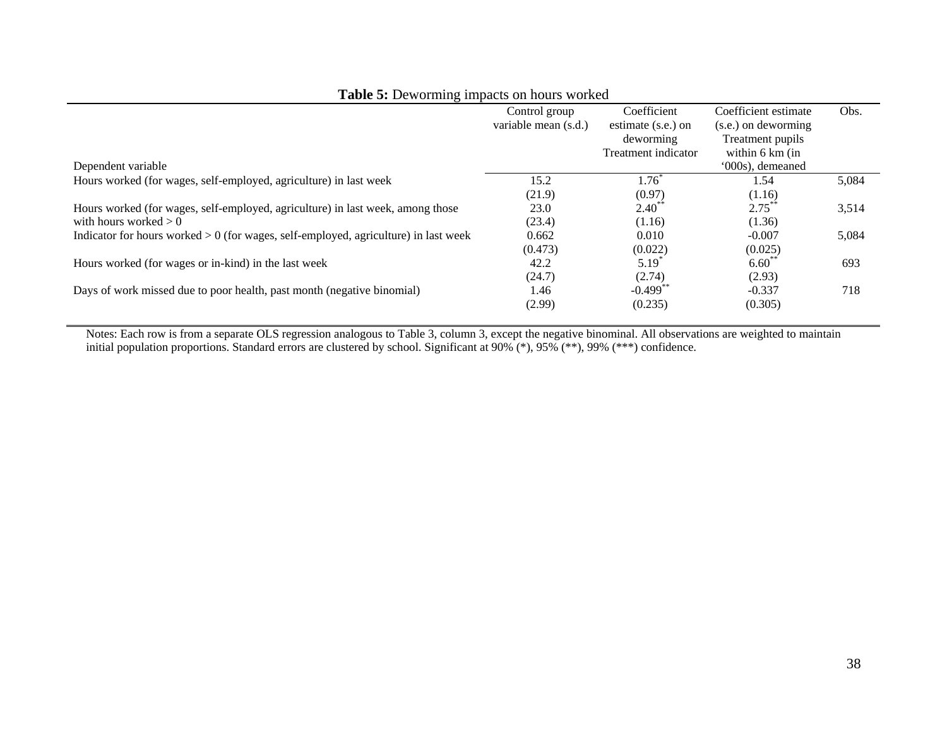| $\frac{1}{2}$ and $\frac{1}{2}$ be $\frac{1}{2}$ . The $\frac{1}{2}$ mappied on Hotal $\frac{1}{2}$ where |                      |                     |                           |       |
|-----------------------------------------------------------------------------------------------------------|----------------------|---------------------|---------------------------|-------|
|                                                                                                           | Control group        | Coefficient         | Coefficient estimate      | Obs.  |
|                                                                                                           | variable mean (s.d.) | estimate (s.e.) on  | $(s.e.)$ on deworming     |       |
|                                                                                                           |                      | deworming           | Treatment pupils          |       |
|                                                                                                           |                      | Treatment indicator | within $6 \text{ km}$ (in |       |
| Dependent variable                                                                                        |                      |                     | '000s), demeaned          |       |
| Hours worked (for wages, self-employed, agriculture) in last week                                         | 15.2                 | $1.76^*$            | 1.54                      | 5,084 |
|                                                                                                           | (21.9)               | (0.97)              | (1.16)                    |       |
| Hours worked (for wages, self-employed, agriculture) in last week, among those                            | 23.0                 | $2.40^{**}$         | $2.75***$                 | 3,514 |
| with hours worked $> 0$                                                                                   | (23.4)               | (1.16)              | (1.36)                    |       |
| Indicator for hours worked $> 0$ (for wages, self-employed, agriculture) in last week                     | 0.662                | 0.010               | $-0.007$                  | 5,084 |
|                                                                                                           | (0.473)              | (0.022)             | (0.025)                   |       |
| Hours worked (for wages or in-kind) in the last week                                                      | 42.2                 | $5.19^{*}$          | $6.60**$                  | 693   |
|                                                                                                           | (24.7)               | (2.74)              | (2.93)                    |       |
| Days of work missed due to poor health, past month (negative binomial)                                    | 1.46                 | $-0.499$ **         | $-0.337$                  | 718   |
|                                                                                                           | (2.99)               | (0.235)             | (0.305)                   |       |

## **Table 5:** Deworming impacts on hours worked

Notes: Each row is from a separate OLS regression analogous to Table 3, column 3, except the negative binominal. All observations are weighted to maintain initial population proportions. Standard errors are clustered by school. Significant at 90% (\*), 95% (\*\*), 99% (\*\*\*) confidence.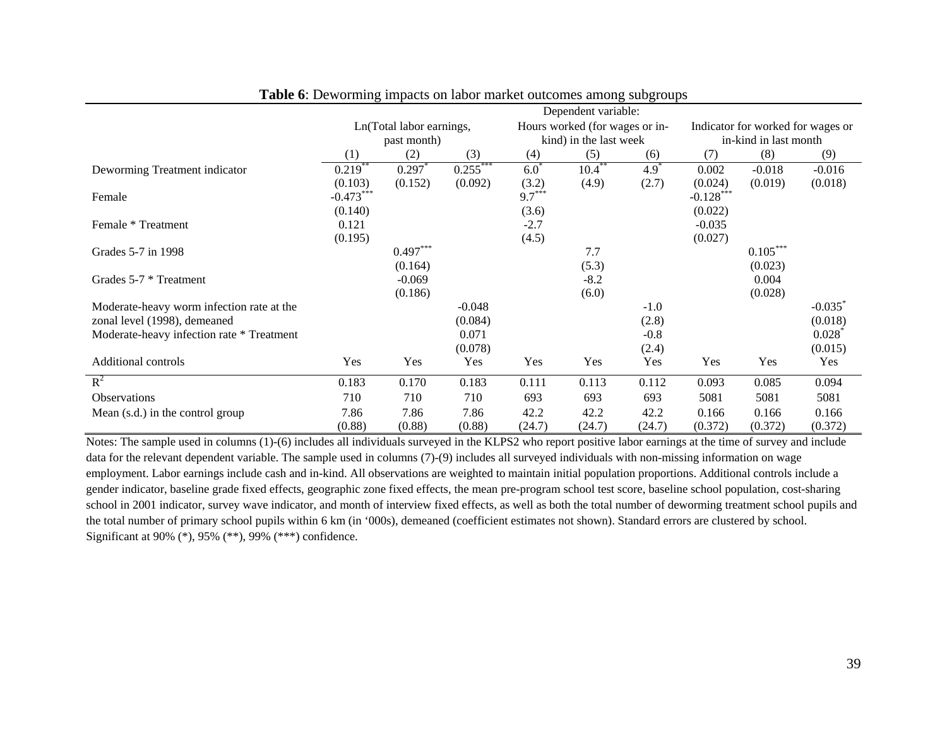|                                           | Dependent variable: |                          |            |           |                                |        |                       |                                   |          |  |
|-------------------------------------------|---------------------|--------------------------|------------|-----------|--------------------------------|--------|-----------------------|-----------------------------------|----------|--|
|                                           |                     | Ln(Total labor earnings, |            |           | Hours worked (for wages or in- |        |                       | Indicator for worked for wages or |          |  |
|                                           | past month)         |                          |            |           | kind) in the last week         |        | in-kind in last month |                                   |          |  |
|                                           | (1)                 | $\rm(2)$                 | (3)        | (4)       | (5)                            | (6)    | (7)                   | (8)                               | (9)      |  |
| Deworming Treatment indicator             | $0.219***$          | 0.297                    | $0.255***$ | $6.0^{*}$ | $10.4***$                      | $4.9*$ | 0.002                 | $-0.018$                          | $-0.016$ |  |
|                                           | (0.103)             | (0.152)                  | (0.092)    | (3.2)     | (4.9)                          | (2.7)  | (0.024)               | (0.019)                           | (0.018)  |  |
| Female                                    | $-0.473***$         |                          |            | $9.7***$  |                                |        | $-0.128$ ***          |                                   |          |  |
|                                           | (0.140)             |                          |            | (3.6)     |                                |        | (0.022)               |                                   |          |  |
| Female * Treatment                        | 0.121               |                          |            | $-2.7$    |                                |        | $-0.035$              |                                   |          |  |
|                                           | (0.195)             |                          |            | (4.5)     |                                |        | (0.027)               |                                   |          |  |
| Grades 5-7 in 1998                        |                     | $0.497***$               |            |           | 7.7                            |        |                       | $0.105***$                        |          |  |
|                                           |                     | (0.164)                  |            |           | (5.3)                          |        |                       | (0.023)                           |          |  |
| Grades 5-7 * Treatment                    |                     | $-0.069$                 |            |           | $-8.2$                         |        |                       | 0.004                             |          |  |
|                                           |                     | (0.186)                  |            |           | (6.0)                          |        |                       | (0.028)                           |          |  |
| Moderate-heavy worm infection rate at the |                     |                          | $-0.048$   |           |                                | $-1.0$ |                       |                                   | $-0.035$ |  |
| zonal level (1998), demeaned              |                     |                          | (0.084)    |           |                                | (2.8)  |                       |                                   | (0.018)  |  |
| Moderate-heavy infection rate * Treatment |                     |                          | 0.071      |           |                                | $-0.8$ |                       |                                   | 0.028    |  |
|                                           |                     |                          | (0.078)    |           |                                | (2.4)  |                       |                                   | (0.015)  |  |
| <b>Additional controls</b>                | Yes                 | Yes                      | Yes        | Yes       | Yes                            | Yes    | Yes                   | Yes                               | Yes      |  |
| $\mathbb{R}^2$                            | 0.183               | 0.170                    | 0.183      | 0.111     | 0.113                          | 0.112  | 0.093                 | 0.085                             | 0.094    |  |
| <b>Observations</b>                       | 710                 | 710                      | 710        | 693       | 693                            | 693    | 5081                  | 5081                              | 5081     |  |
| Mean (s.d.) in the control group          | 7.86                | 7.86                     | 7.86       | 42.2      | 42.2                           | 42.2   | 0.166                 | 0.166                             | 0.166    |  |
|                                           | (0.88)              | (0.88)                   | (0.88)     | (24.7)    | (24.7)                         | (24.7) | (0.372)               | (0.372)                           | (0.372)  |  |

|  |  |  | <b>Table 6:</b> Deworming impacts on labor market outcomes among subgroups |
|--|--|--|----------------------------------------------------------------------------|
|  |  |  |                                                                            |

Notes: The sample used in columns (1)-(6) includes all individuals surveyed in the KLPS2 who report positive labor earnings at the time of survey and include data for the relevant dependent variable. The sample used in columns (7)-(9) includes all surveyed individuals with non-missing information on wage employment. Labor earnings include cash and in-kind. All observations are weighted to maintain initial population proportions. Additional controls include a gender indicator, baseline grade fixed effects, geographic zone fixed effects, the mean pre-program school test score, baseline school population, cost-sharing school in 2001 indicator, survey wave indicator, and month of interview fixed effects, as well as both the total number of deworming treatment school pupils and the total number of primary school pupils within 6 km (in '000s), demeaned (coefficient estimates not shown). Standard errors are clustered by school. Significant at 90% (\*), 95% (\*\*), 99% (\*\*\*) confidence.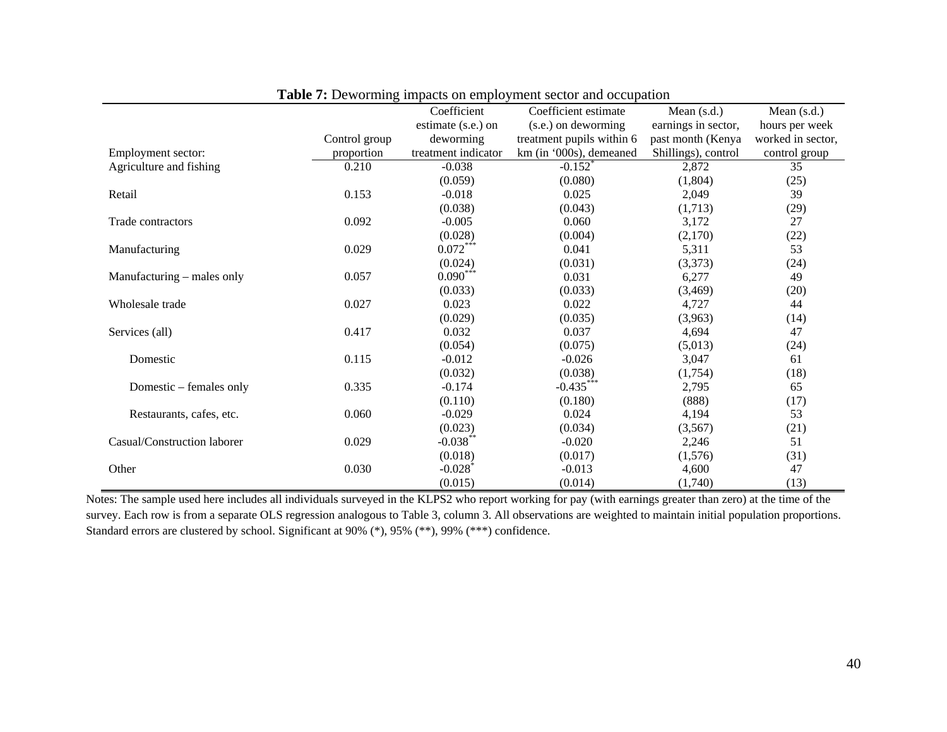|                             |               | Coefficient           | Coefficient estimate      | Mean $(s.d.)$       | Mean $(s.d.)$     |
|-----------------------------|---------------|-----------------------|---------------------------|---------------------|-------------------|
|                             |               | estimate (s.e.) on    | (s.e.) on deworming       | earnings in sector, | hours per week    |
|                             | Control group | deworming             | treatment pupils within 6 | past month (Kenya   | worked in sector, |
| Employment sector:          | proportion    | treatment indicator   | km (in '000s), demeaned   | Shillings), control | control group     |
| Agriculture and fishing     | 0.210         | $-0.038$              | $-0.152$ <sup>*</sup>     | 2,872               | 35                |
|                             |               | (0.059)               | (0.080)                   | (1,804)             | (25)              |
| Retail                      | 0.153         | $-0.018$              | 0.025                     | 2,049               | 39                |
|                             |               | (0.038)               | (0.043)                   | (1,713)             | (29)              |
| Trade contractors           | 0.092         | $-0.005$              | 0.060                     | 3,172               | 27                |
|                             |               | (0.028)               | (0.004)                   | (2,170)             | (22)              |
| Manufacturing               | 0.029         | $0.072***$            | 0.041                     | 5,311               | 53                |
|                             |               | (0.024)               | (0.031)                   | (3,373)             | (24)              |
| Manufacturing – males only  | 0.057         | $0.090***$            | 0.031                     | 6,277               | 49                |
|                             |               | (0.033)               | (0.033)                   | (3,469)             | (20)              |
| Wholesale trade             | 0.027         | 0.023                 | 0.022                     | 4,727               | 44                |
|                             |               | (0.029)               | (0.035)                   | (3,963)             | (14)              |
| Services (all)              | 0.417         | 0.032                 | 0.037                     | 4,694               | 47                |
|                             |               | (0.054)               | (0.075)                   | (5,013)             | (24)              |
| Domestic                    | 0.115         | $-0.012$              | $-0.026$                  | 3,047               | 61                |
|                             |               | (0.032)               | (0.038)                   | (1,754)             | (18)              |
| Domestic – females only     | 0.335         | $-0.174$              | $-0.435***$               | 2,795               | 65                |
|                             |               | (0.110)               | (0.180)                   | (888)               | (17)              |
| Restaurants, cafes, etc.    | 0.060         | $-0.029$              | 0.024                     | 4,194               | 53                |
|                             |               | (0.023)               | (0.034)                   | (3,567)             | (21)              |
| Casual/Construction laborer | 0.029         | $-0.038***$           | $-0.020$                  | 2,246               | 51                |
|                             |               | (0.018)               | (0.017)                   | (1,576)             | (31)              |
| Other                       | 0.030         | $-0.028$ <sup>*</sup> | $-0.013$                  | 4,600               | 47                |
|                             |               | (0.015)               | (0.014)                   | (1,740)             | (13)              |

| Table 7: Deworming impacts on employment sector and occupation |  |  |  |  |  |  |  |
|----------------------------------------------------------------|--|--|--|--|--|--|--|
|                                                                |  |  |  |  |  |  |  |

Notes: The sample used here includes all individuals surveyed in the KLPS2 who report working for pay (with earnings greater than zero) at the time of the survey. Each row is from a separate OLS regression analogous to Table 3, column 3. All observations are weighted to maintain initial population proportions. Standard errors are clustered by school. Significant at 90% (\*), 95% (\*\*), 99% (\*\*\*) confidence.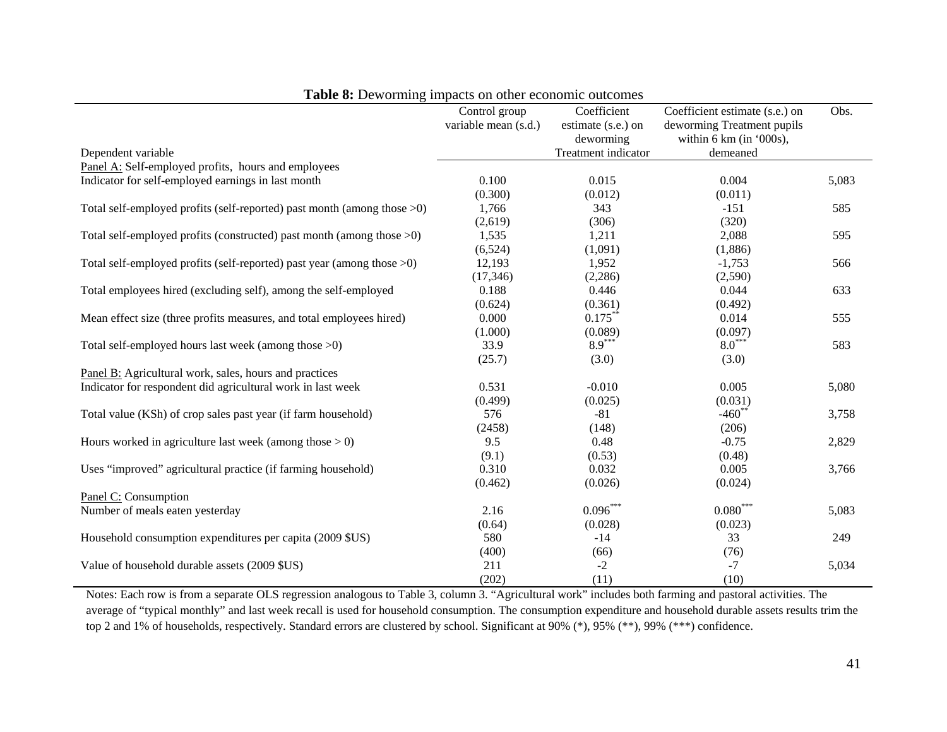|                                                                            | Control group        | Coefficient         | Coefficient estimate (s.e.) on | Obs.  |
|----------------------------------------------------------------------------|----------------------|---------------------|--------------------------------|-------|
|                                                                            | variable mean (s.d.) | estimate (s.e.) on  | deworming Treatment pupils     |       |
|                                                                            |                      | deworming           | within 6 km (in '000s),        |       |
| Dependent variable                                                         |                      | Treatment indicator | demeaned                       |       |
| Panel A: Self-employed profits, hours and employees                        |                      |                     |                                |       |
| Indicator for self-employed earnings in last month                         | 0.100                | 0.015               | 0.004                          | 5,083 |
|                                                                            | (0.300)              | (0.012)             | (0.011)                        |       |
| Total self-employed profits (self-reported) past month (among those $>0$ ) | 1,766                | 343                 | $-151$                         | 585   |
|                                                                            | (2,619)              | (306)               | (320)                          |       |
| Total self-employed profits (constructed) past month (among those $>0$ )   | 1,535                | 1,211               | 2,088                          | 595   |
|                                                                            | (6,524)              | (1,091)             | (1,886)                        |       |
| Total self-employed profits (self-reported) past year (among those $>0$ )  | 12,193               | 1,952               | $-1,753$                       | 566   |
|                                                                            | (17, 346)            | (2,286)             | (2,590)                        |       |
| Total employees hired (excluding self), among the self-employed            | 0.188                | 0.446               | 0.044                          | 633   |
|                                                                            | (0.624)              | (0.361)             | (0.492)                        |       |
| Mean effect size (three profits measures, and total employees hired)       | 0.000                | $0.175***$          | 0.014                          | 555   |
|                                                                            | (1.000)              | (0.089)             | (0.097)                        |       |
| Total self-employed hours last week (among those >0)                       | 33.9                 | $8.9***$            | $8.0***$                       | 583   |
|                                                                            | (25.7)               | (3.0)               | (3.0)                          |       |
| Panel B: Agricultural work, sales, hours and practices                     |                      |                     |                                |       |
| Indicator for respondent did agricultural work in last week                | 0.531                | $-0.010$            | 0.005                          | 5,080 |
|                                                                            | (0.499)              | (0.025)             | (0.031)                        |       |
| Total value (KSh) of crop sales past year (if farm household)              | 576                  | $-81$               | $-460$ **                      | 3,758 |
|                                                                            | (2458)               | (148)               | (206)                          |       |
| Hours worked in agriculture last week (among those $> 0$ )                 | 9.5                  | 0.48                | $-0.75$                        | 2,829 |
|                                                                            | (9.1)                | (0.53)              | (0.48)                         |       |
| Uses "improved" agricultural practice (if farming household)               | 0.310                | 0.032               | 0.005                          | 3,766 |
|                                                                            | (0.462)              | (0.026)             | (0.024)                        |       |
| Panel C: Consumption                                                       |                      |                     |                                |       |
| Number of meals eaten yesterday                                            | 2.16                 | $0.096***$          | $0.080^\mathrm{***}$           | 5,083 |
|                                                                            | (0.64)               | (0.028)             | (0.023)                        |       |
| Household consumption expenditures per capita (2009 \$US)                  | 580                  | $-14$               | 33                             | 249   |
|                                                                            | (400)                | (66)                | (76)                           |       |
| Value of household durable assets (2009 \$US)                              | 211                  | $-2$                | $-7$                           | 5,034 |
|                                                                            | (202)                | (11)                | (10)                           |       |

**Table 8:** Deworming impacts on other economic outcomes

Notes: Each row is from a separate OLS regression analogous to Table 3, column 3. "Agricultural work" includes both farming and pastoral activities. The average of "typical monthly" and last week recall is used for household consumption. The consumption expenditure and household durable assets results trim the top 2 and 1% of households, respectively. Standard errors are clustered by school. Significant at 90% (\*), 95% (\*\*), 99% (\*\*\*) confidence.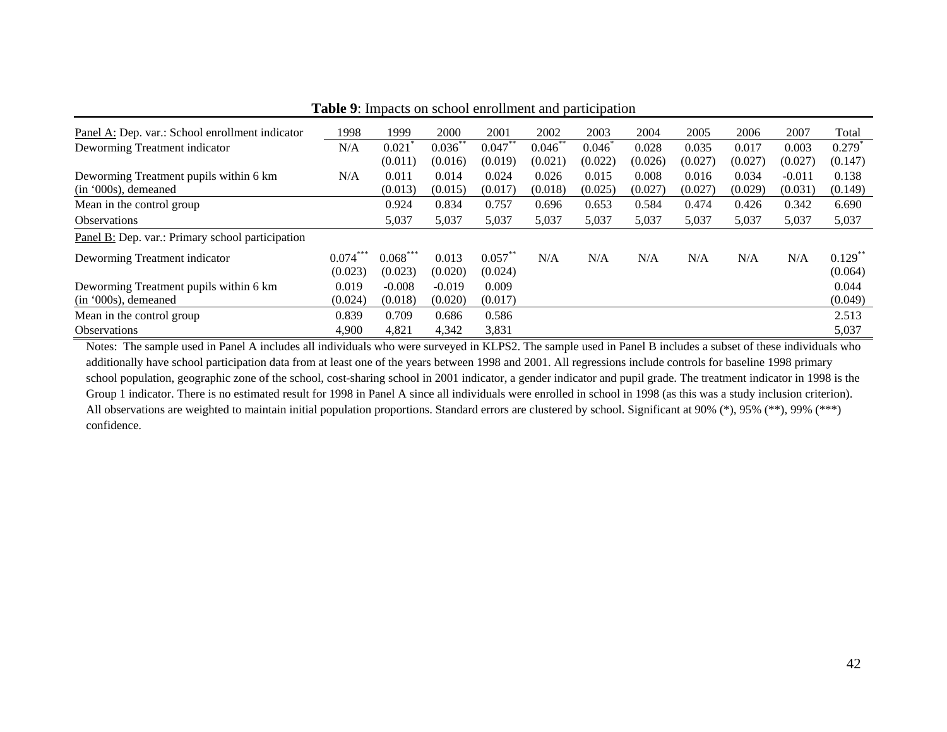| Panel A: Dep. var.: School enrollment indicator  | 1998    | 1999       | 2000       | 2001       | 2002       | 2003    | 2004    | 2005    | 2006    | 2007     | Total              |
|--------------------------------------------------|---------|------------|------------|------------|------------|---------|---------|---------|---------|----------|--------------------|
| Deworming Treatment indicator                    | N/A     | 0.021      | $0.036***$ | $0.047***$ | $0.046$ ** | 0.046   | 0.028   | 0.035   | 0.017   | 0.003    | $0.279^{^{\circ}}$ |
|                                                  |         | (0.011)    | (0.016)    | (0.019)    | (0.021)    | (0.022) | (0.026) | (0.027) | (0.027) | (0.027)  | (0.147)            |
| Deworming Treatment pupils within 6 km           | N/A     | 0.011      | 0.014      | 0.024      | 0.026      | 0.015   | 0.008   | 0.016   | 0.034   | $-0.011$ | 0.138              |
| (in '000s), demeaned                             |         | (0.013)    | (0.015)    | (0.017)    | (0.018)    | (0.025) | (0.027) | (0.027) | (0.029) | (0.031)  | (0.149)            |
| Mean in the control group                        |         | 0.924      | 0.834      | 0.757      | 0.696      | 0.653   | 0.584   | 0.474   | 0.426   | 0.342    | 6.690              |
| <b>Observations</b>                              |         | 5,037      | 5,037      | 5,037      | 5,037      | 5,037   | 5,037   | 5,037   | 5,037   | 5,037    | 5,037              |
| Panel B: Dep. var.: Primary school participation |         |            |            |            |            |         |         |         |         |          |                    |
| Deworming Treatment indicator                    | 0.074   | $0.068***$ | 0.013      | $0.057***$ | N/A        | N/A     | N/A     | N/A     | N/A     | N/A      | $0.129***$         |
|                                                  | (0.023) | (0.023)    | (0.020)    | (0.024)    |            |         |         |         |         |          | (0.064)            |
| Deworming Treatment pupils within 6 km           | 0.019   | $-0.008$   | $-0.019$   | 0.009      |            |         |         |         |         |          | 0.044              |
| $(in '000s)$ , demeaned                          | (0.024) | (0.018)    | (0.020)    | (0.017)    |            |         |         |         |         |          | (0.049)            |
| Mean in the control group                        | 0.839   | 0.709      | 0.686      | 0.586      |            |         |         |         |         |          | 2.513              |
| <b>Observations</b>                              | 4.900   | 4,821      | 4,342      | 3,831      |            |         |         |         |         |          | 5,037              |

**Table 9**: Impacts on school enrollment and participation

Notes: The sample used in Panel A includes all individuals who were surveyed in KLPS2. The sample used in Panel B includes a subset of these individuals who additionally have school participation data from at least one of the years between 1998 and 2001. All regressions include controls for baseline 1998 primary school population, geographic zone of the school, cost-sharing school in 2001 indicator, a gender indicator and pupil grade. The treatment indicator in 1998 is the Group 1 indicator. There is no estimated result for 1998 in Panel A since all individuals were enrolled in school in 1998 (as this was a study inclusion criterion). All observations are weighted to maintain initial population proportions. Standard errors are clustered by school. Significant at 90% (\*), 95% (\*\*), 99% (\*\*\*) confidence.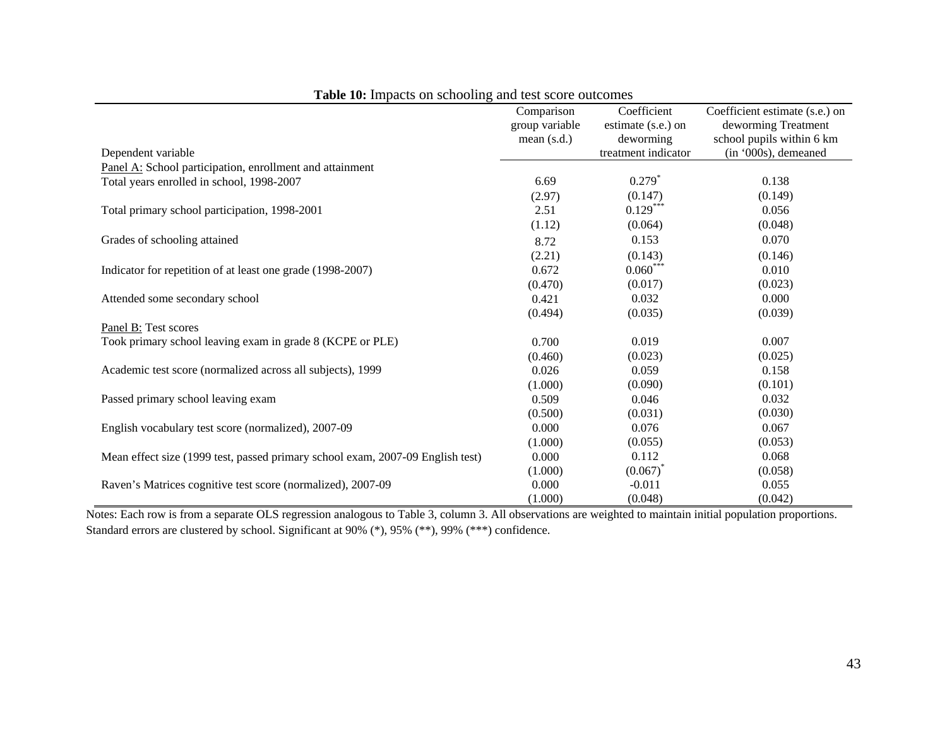|                                                                                | Comparison     | Coefficient         | Coefficient estimate (s.e.) on |
|--------------------------------------------------------------------------------|----------------|---------------------|--------------------------------|
|                                                                                | group variable | estimate (s.e.) on  | deworming Treatment            |
|                                                                                | mean $(s.d.)$  | deworming           | school pupils within 6 km      |
| Dependent variable                                                             |                | treatment indicator | (in '000s), demeaned           |
| Panel A: School participation, enrollment and attainment                       |                |                     |                                |
| Total years enrolled in school, 1998-2007                                      | 6.69           | $0.279*$            | 0.138                          |
|                                                                                | (2.97)         | (0.147)             | (0.149)                        |
| Total primary school participation, 1998-2001                                  | 2.51           | $0.129***$          | 0.056                          |
|                                                                                | (1.12)         | (0.064)             | (0.048)                        |
| Grades of schooling attained                                                   | 8.72           | 0.153               | 0.070                          |
|                                                                                | (2.21)         | (0.143)             | (0.146)                        |
| Indicator for repetition of at least one grade (1998-2007)                     | 0.672          | $0.060***$          | 0.010                          |
|                                                                                | (0.470)        | (0.017)             | (0.023)                        |
| Attended some secondary school                                                 | 0.421          | 0.032               | 0.000                          |
|                                                                                | (0.494)        | (0.035)             | (0.039)                        |
| Panel B: Test scores                                                           |                |                     |                                |
| Took primary school leaving exam in grade 8 (KCPE or PLE)                      | 0.700          | 0.019               | 0.007                          |
|                                                                                | (0.460)        | (0.023)             | (0.025)                        |
| Academic test score (normalized across all subjects), 1999                     | 0.026          | 0.059               | 0.158                          |
|                                                                                | (1.000)        | (0.090)             | (0.101)                        |
| Passed primary school leaving exam                                             | 0.509          | 0.046               | 0.032                          |
|                                                                                | (0.500)        | (0.031)             | (0.030)                        |
| English vocabulary test score (normalized), 2007-09                            | 0.000          | 0.076               | 0.067                          |
|                                                                                | (1.000)        | (0.055)             | (0.053)                        |
| Mean effect size (1999 test, passed primary school exam, 2007-09 English test) | 0.000          | 0.112               | 0.068                          |
|                                                                                | (1.000)        | $(0.067)^*$         | (0.058)                        |
| Raven's Matrices cognitive test score (normalized), 2007-09                    | 0.000          | $-0.011$            | 0.055                          |
|                                                                                | (1.000)        | (0.048)             | (0.042)                        |

**Table 10:** Impacts on schooling and test score outcomes

Notes: Each row is from a separate OLS regression analogous to Table 3, column 3. All observations are weighted to maintain initial population proportions. Standard errors are clustered by school. Significant at 90% (\*), 95% (\*\*), 99% (\*\*\*) confidence.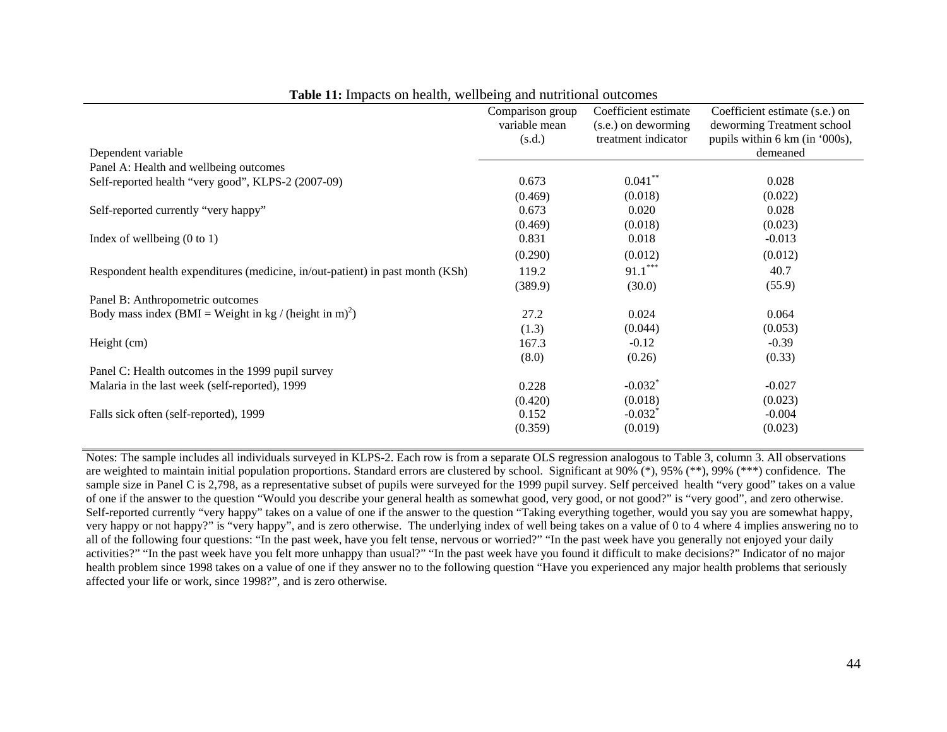|                                                                               | Comparison group | Coefficient estimate  | Coefficient estimate (s.e.) on |
|-------------------------------------------------------------------------------|------------------|-----------------------|--------------------------------|
|                                                                               | variable mean    | (s.e.) on deworming   | deworming Treatment school     |
|                                                                               | (s.d.)           | treatment indicator   | pupils within 6 km (in '000s), |
| Dependent variable                                                            |                  |                       | demeaned                       |
| Panel A: Health and wellbeing outcomes                                        |                  |                       |                                |
| Self-reported health "very good", KLPS-2 (2007-09)                            | 0.673            | $0.041$ **            | 0.028                          |
|                                                                               | (0.469)          | (0.018)               | (0.022)                        |
| Self-reported currently "very happy"                                          | 0.673            | 0.020                 | 0.028                          |
|                                                                               | (0.469)          | (0.018)               | (0.023)                        |
| Index of wellbeing $(0 \text{ to } 1)$                                        | 0.831            | 0.018                 | $-0.013$                       |
|                                                                               | (0.290)          | (0.012)               | (0.012)                        |
| Respondent health expenditures (medicine, in/out-patient) in past month (KSh) | 119.2            | $91.1***$             | 40.7                           |
|                                                                               | (389.9)          | (30.0)                | (55.9)                         |
| Panel B: Anthropometric outcomes                                              |                  |                       |                                |
| Body mass index (BMI = Weight in kg / (height in m) <sup>2</sup> )            | 27.2             | 0.024                 | 0.064                          |
|                                                                               | (1.3)            | (0.044)               | (0.053)                        |
| Height (cm)                                                                   | 167.3            | $-0.12$               | $-0.39$                        |
|                                                                               | (8.0)            | (0.26)                | (0.33)                         |
| Panel C: Health outcomes in the 1999 pupil survey                             |                  |                       |                                |
| Malaria in the last week (self-reported), 1999                                | 0.228            | $-0.032$ <sup>*</sup> | $-0.027$                       |
|                                                                               | (0.420)          | (0.018)               | (0.023)                        |
| Falls sick often (self-reported), 1999                                        | 0.152            | $-0.032$ <sup>*</sup> | $-0.004$                       |
|                                                                               | (0.359)          | (0.019)               | (0.023)                        |

**Table 11:** Impacts on health, wellbeing and nutritional outcomes

Notes: The sample includes all individuals surveyed in KLPS-2. Each row is from a separate OLS regression analogous to Table 3, column 3. All observations are weighted to maintain initial population proportions. Standard errors are clustered by school. Significant at  $90\%$  (\*), 95% (\*\*), 99% (\*\*\*) confidence. The sample size in Panel C is 2,798, as a representative subset of pupils were surveyed for the 1999 pupil survey. Self perceived health "very good" takes on a value of one if the answer to the question "Would you describe your general health as somewhat good, very good, or not good?" is "very good", and zero otherwise. Self-reported currently "very happy" takes on a value of one if the answer to the question "Taking everything together, would you say you are somewhat happy, very happy or not happy?" is "very happy", and is zero otherwise. The underlying index of well being takes on a value of 0 to 4 where 4 implies answering no to all of the following four questions: "In the past week, have you felt tense, nervous or worried?" "In the past week have you generally not enjoyed your daily activities?" "In the past week have you felt more unhappy than usual?" "In the past week have you found it difficult to make decisions?" Indicator of no major health problem since 1998 takes on a value of one if they answer no to the following question "Have you experienced any major health problems that seriously affected your life or work, since 1998?", and is zero otherwise.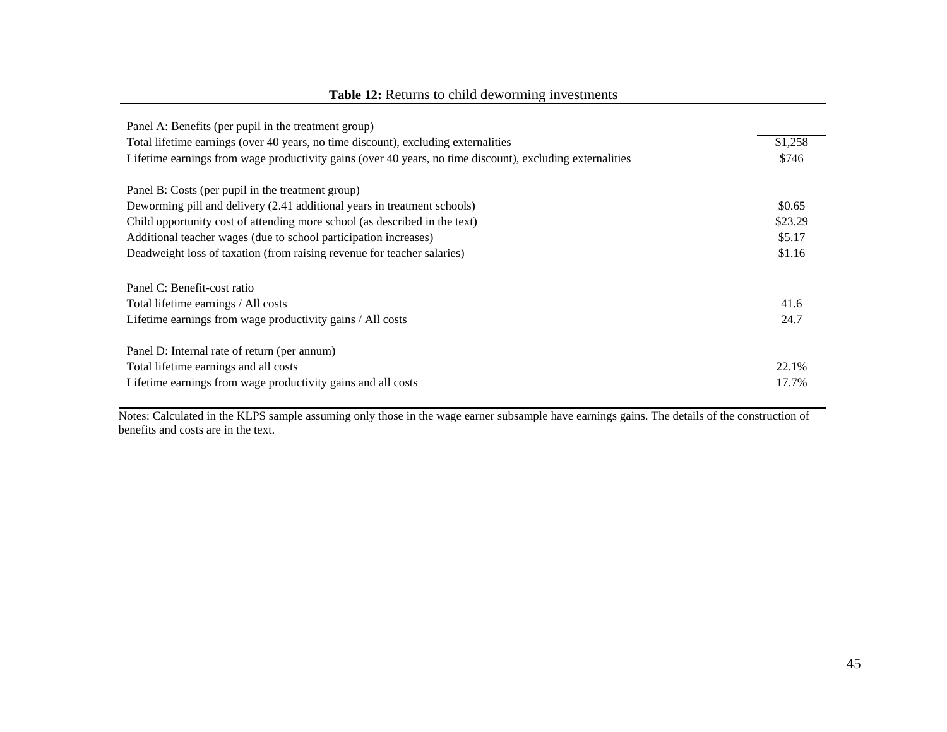| Panel A: Benefits (per pupil in the treatment group)                                                      |         |
|-----------------------------------------------------------------------------------------------------------|---------|
| Total lifetime earnings (over 40 years, no time discount), excluding externalities                        | \$1,258 |
| Lifetime earnings from wage productivity gains (over 40 years, no time discount), excluding externalities | \$746   |
| Panel B: Costs (per pupil in the treatment group)                                                         |         |
| Deworming pill and delivery (2.41 additional years in treatment schools)                                  | \$0.65  |
| Child opportunity cost of attending more school (as described in the text)                                | \$23.29 |
| Additional teacher wages (due to school participation increases)                                          | \$5.17  |
| Deadweight loss of taxation (from raising revenue for teacher salaries)                                   | \$1.16  |
| Panel C: Benefit-cost ratio                                                                               |         |
| Total lifetime earnings / All costs                                                                       | 41.6    |
| Lifetime earnings from wage productivity gains / All costs                                                | 24.7    |
| Panel D: Internal rate of return (per annum)                                                              |         |
| Total lifetime earnings and all costs                                                                     | 22.1%   |
| Lifetime earnings from wage productivity gains and all costs                                              | 17.7%   |

## **Table 12:** Returns to child deworming investments

Notes: Calculated in the KLPS sample assuming only those in the wage earner subsample have earnings gains. The details of the construction of benefits and costs are in the text.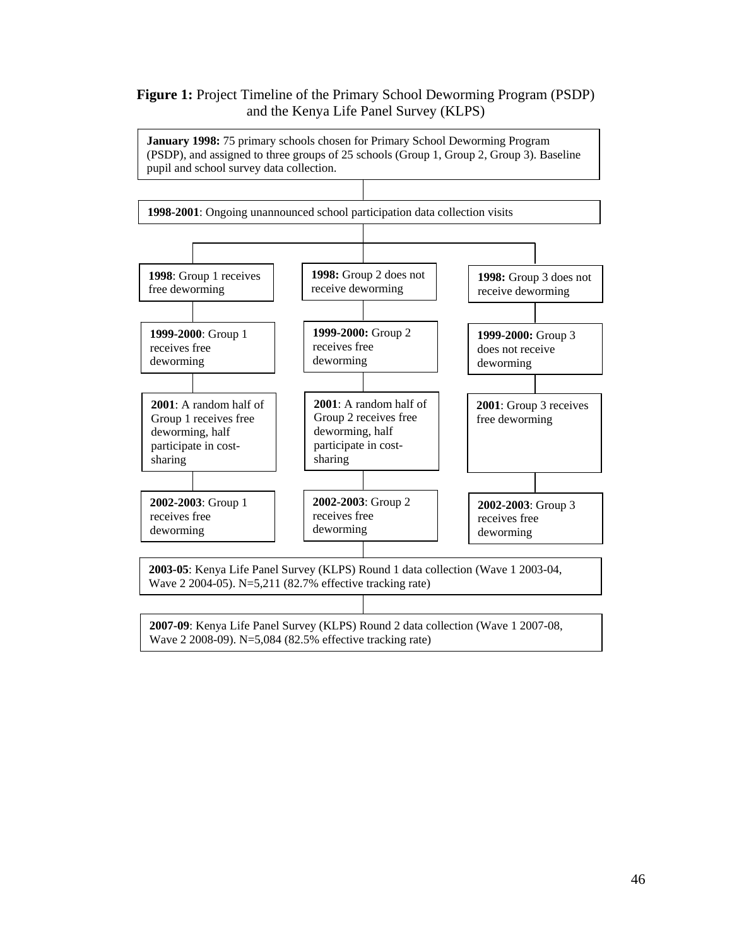## **Figure 1:** Project Timeline of the Primary School Deworming Program (PSDP) and the Kenya Life Panel Survey (KLPS)

**January 1998:** 75 primary schools chosen for Primary School Deworming Program (PSDP), and assigned to three groups of 25 schools (Group 1, Group 2, Group 3). Baseline pupil and school survey data collection.

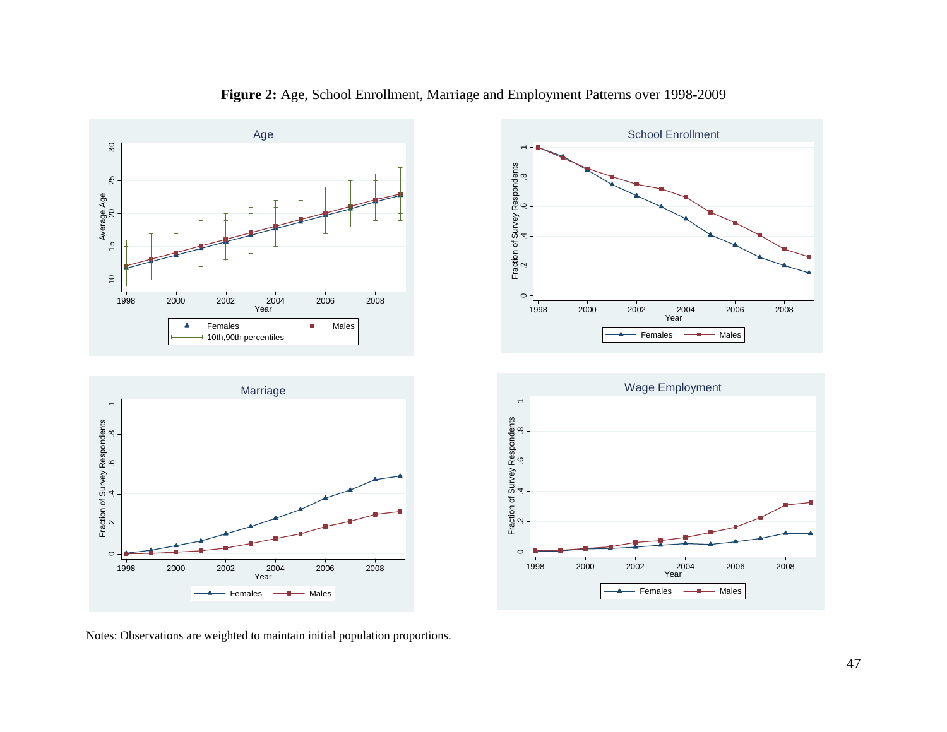

**Figure 2:** Age, School Enrollment, Marriage and Employment Patterns over 1998-2009

Notes: Observations are weighted to maintain initial population proportions.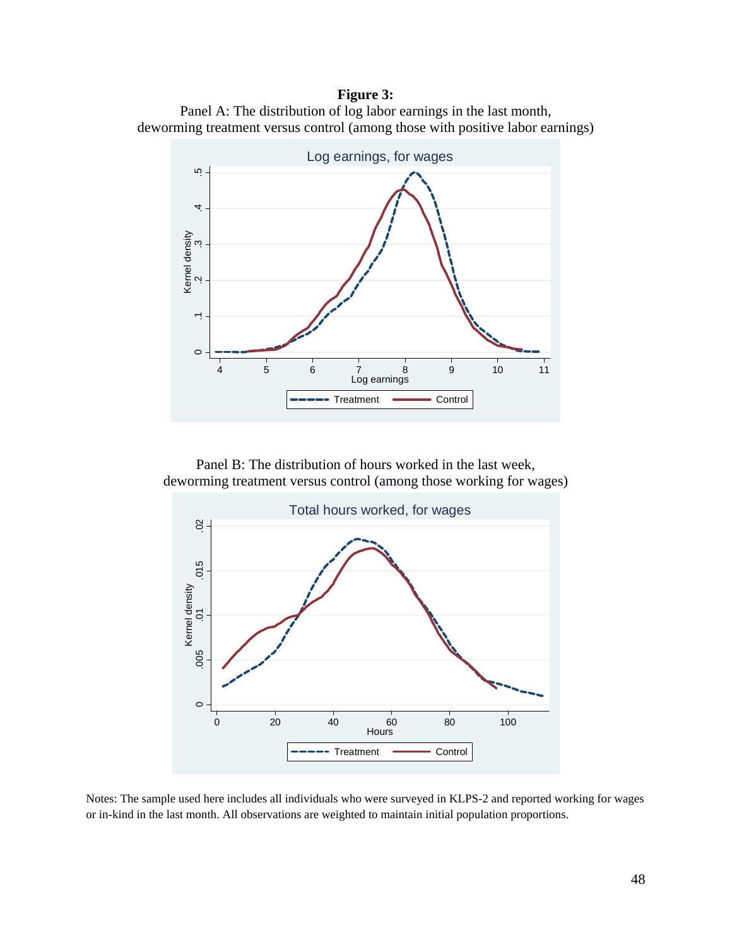## **Figure 3:**





Panel B: The distribution of hours worked in the last week, deworming treatment versus control (among those working for wages)



Notes: The sample used here includes all individuals who were surveyed in KLPS-2 and reported working for wages or in-kind in the last month. All observations are weighted to maintain initial population proportions.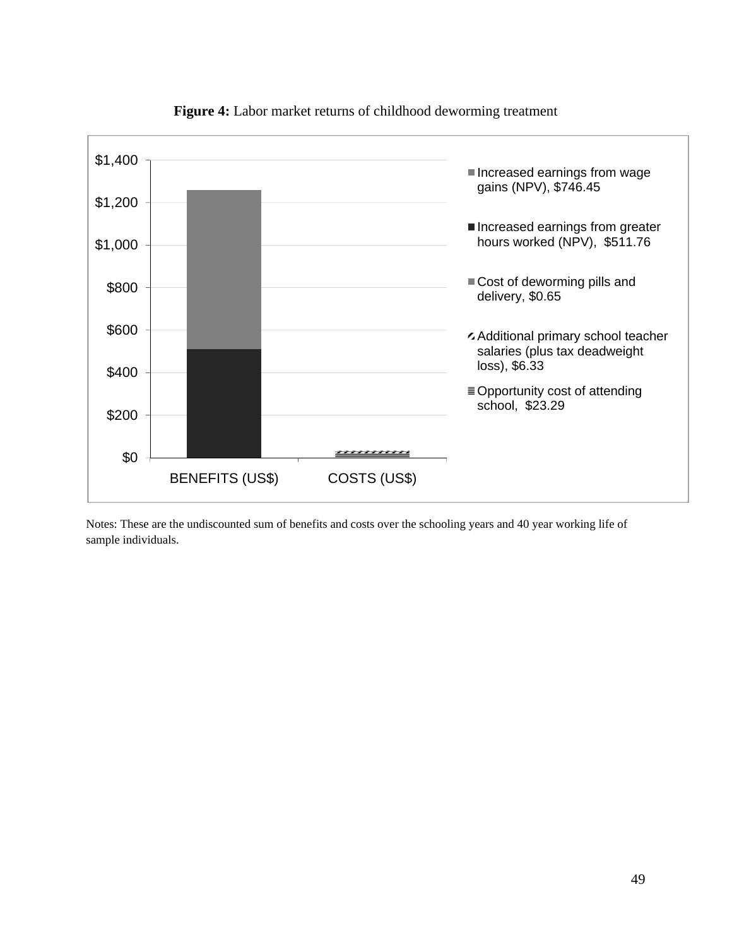

**Figure 4:** Labor market returns of childhood deworming treatment

Notes: These are the undiscounted sum of benefits and costs over the schooling years and 40 year working life of sample individuals.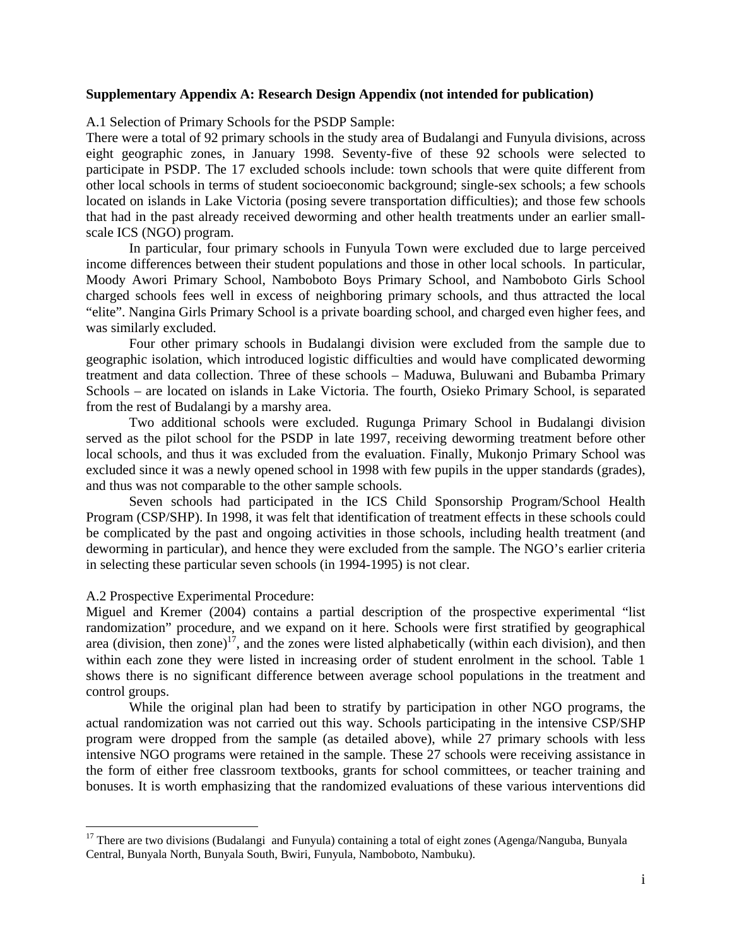## **Supplementary Appendix A: Research Design Appendix (not intended for publication)**

A.1 Selection of Primary Schools for the PSDP Sample:

There were a total of 92 primary schools in the study area of Budalangi and Funyula divisions, across eight geographic zones, in January 1998. Seventy-five of these 92 schools were selected to participate in PSDP. The 17 excluded schools include: town schools that were quite different from other local schools in terms of student socioeconomic background; single-sex schools; a few schools located on islands in Lake Victoria (posing severe transportation difficulties); and those few schools that had in the past already received deworming and other health treatments under an earlier smallscale ICS (NGO) program.

In particular, four primary schools in Funyula Town were excluded due to large perceived income differences between their student populations and those in other local schools. In particular, Moody Awori Primary School, Namboboto Boys Primary School, and Namboboto Girls School charged schools fees well in excess of neighboring primary schools, and thus attracted the local "elite". Nangina Girls Primary School is a private boarding school, and charged even higher fees, and was similarly excluded.

Four other primary schools in Budalangi division were excluded from the sample due to geographic isolation, which introduced logistic difficulties and would have complicated deworming treatment and data collection. Three of these schools – Maduwa, Buluwani and Bubamba Primary Schools – are located on islands in Lake Victoria. The fourth, Osieko Primary School, is separated from the rest of Budalangi by a marshy area.

Two additional schools were excluded. Rugunga Primary School in Budalangi division served as the pilot school for the PSDP in late 1997, receiving deworming treatment before other local schools, and thus it was excluded from the evaluation. Finally, Mukonjo Primary School was excluded since it was a newly opened school in 1998 with few pupils in the upper standards (grades), and thus was not comparable to the other sample schools.

Seven schools had participated in the ICS Child Sponsorship Program/School Health Program (CSP/SHP). In 1998, it was felt that identification of treatment effects in these schools could be complicated by the past and ongoing activities in those schools, including health treatment (and deworming in particular), and hence they were excluded from the sample. The NGO's earlier criteria in selecting these particular seven schools (in 1994-1995) is not clear.

## A.2 Prospective Experimental Procedure:

 $\overline{a}$ 

Miguel and Kremer (2004) contains a partial description of the prospective experimental "list randomization" procedure, and we expand on it here. Schools were first stratified by geographical area (division, then zone)<sup>17</sup>, and the zones were listed alphabetically (within each division), and then within each zone they were listed in increasing order of student enrolment in the school*.* Table 1 shows there is no significant difference between average school populations in the treatment and control groups.

While the original plan had been to stratify by participation in other NGO programs, the actual randomization was not carried out this way. Schools participating in the intensive CSP/SHP program were dropped from the sample (as detailed above), while 27 primary schools with less intensive NGO programs were retained in the sample. These 27 schools were receiving assistance in the form of either free classroom textbooks, grants for school committees, or teacher training and bonuses. It is worth emphasizing that the randomized evaluations of these various interventions did

<sup>&</sup>lt;sup>17</sup> There are two divisions (Budalangi and Funyula) containing a total of eight zones (Agenga/Nanguba, Bunyala Central, Bunyala North, Bunyala South, Bwiri, Funyula, Namboboto, Nambuku).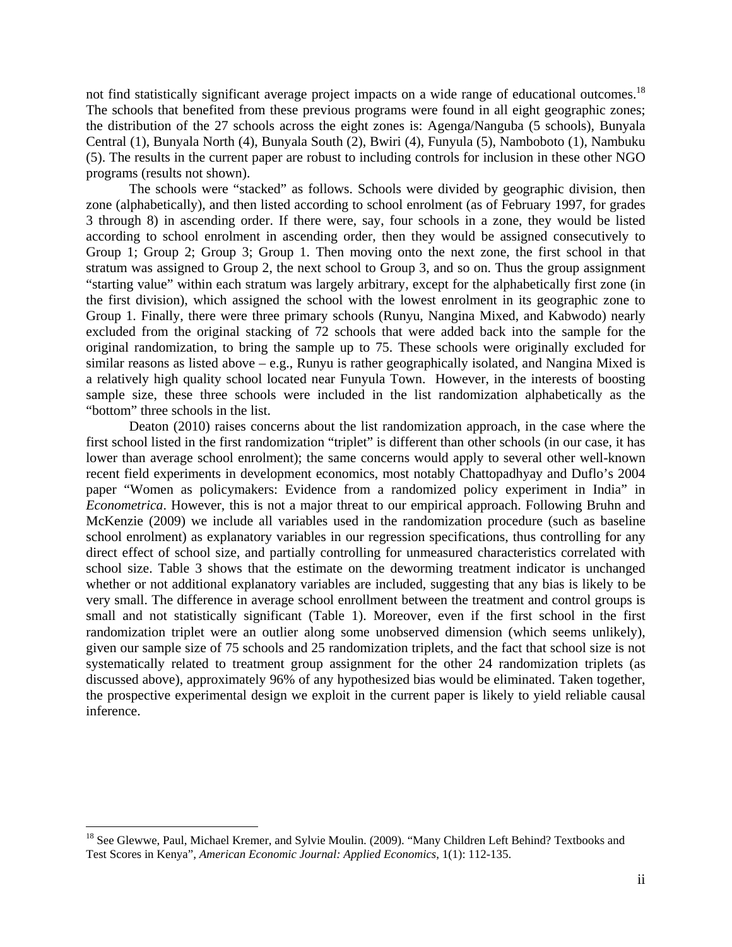not find statistically significant average project impacts on a wide range of educational outcomes.<sup>18</sup> The schools that benefited from these previous programs were found in all eight geographic zones; the distribution of the 27 schools across the eight zones is: Agenga/Nanguba (5 schools), Bunyala Central (1), Bunyala North (4), Bunyala South (2), Bwiri (4), Funyula (5), Namboboto (1), Nambuku (5). The results in the current paper are robust to including controls for inclusion in these other NGO programs (results not shown).

The schools were "stacked" as follows. Schools were divided by geographic division, then zone (alphabetically), and then listed according to school enrolment (as of February 1997, for grades 3 through 8) in ascending order. If there were, say, four schools in a zone, they would be listed according to school enrolment in ascending order, then they would be assigned consecutively to Group 1; Group 2; Group 3; Group 1. Then moving onto the next zone, the first school in that stratum was assigned to Group 2, the next school to Group 3, and so on. Thus the group assignment "starting value" within each stratum was largely arbitrary, except for the alphabetically first zone (in the first division), which assigned the school with the lowest enrolment in its geographic zone to Group 1. Finally, there were three primary schools (Runyu, Nangina Mixed, and Kabwodo) nearly excluded from the original stacking of 72 schools that were added back into the sample for the original randomization, to bring the sample up to 75. These schools were originally excluded for similar reasons as listed above – e.g., Runyu is rather geographically isolated, and Nangina Mixed is a relatively high quality school located near Funyula Town. However, in the interests of boosting sample size, these three schools were included in the list randomization alphabetically as the "bottom" three schools in the list.

Deaton (2010) raises concerns about the list randomization approach, in the case where the first school listed in the first randomization "triplet" is different than other schools (in our case, it has lower than average school enrolment); the same concerns would apply to several other well-known recent field experiments in development economics, most notably Chattopadhyay and Duflo's 2004 paper "Women as policymakers: Evidence from a randomized policy experiment in India" in *Econometrica*. However, this is not a major threat to our empirical approach. Following Bruhn and McKenzie (2009) we include all variables used in the randomization procedure (such as baseline school enrolment) as explanatory variables in our regression specifications, thus controlling for any direct effect of school size, and partially controlling for unmeasured characteristics correlated with school size. Table 3 shows that the estimate on the deworming treatment indicator is unchanged whether or not additional explanatory variables are included, suggesting that any bias is likely to be very small. The difference in average school enrollment between the treatment and control groups is small and not statistically significant (Table 1). Moreover, even if the first school in the first randomization triplet were an outlier along some unobserved dimension (which seems unlikely), given our sample size of 75 schools and 25 randomization triplets, and the fact that school size is not systematically related to treatment group assignment for the other 24 randomization triplets (as discussed above), approximately 96% of any hypothesized bias would be eliminated. Taken together, the prospective experimental design we exploit in the current paper is likely to yield reliable causal inference.

 $\overline{a}$ 

<sup>&</sup>lt;sup>18</sup> See Glewwe, Paul, Michael Kremer, and Sylvie Moulin. (2009). "Many Children Left Behind? Textbooks and Test Scores in Kenya", *American Economic Journal: Applied Economics*, 1(1): 112-135.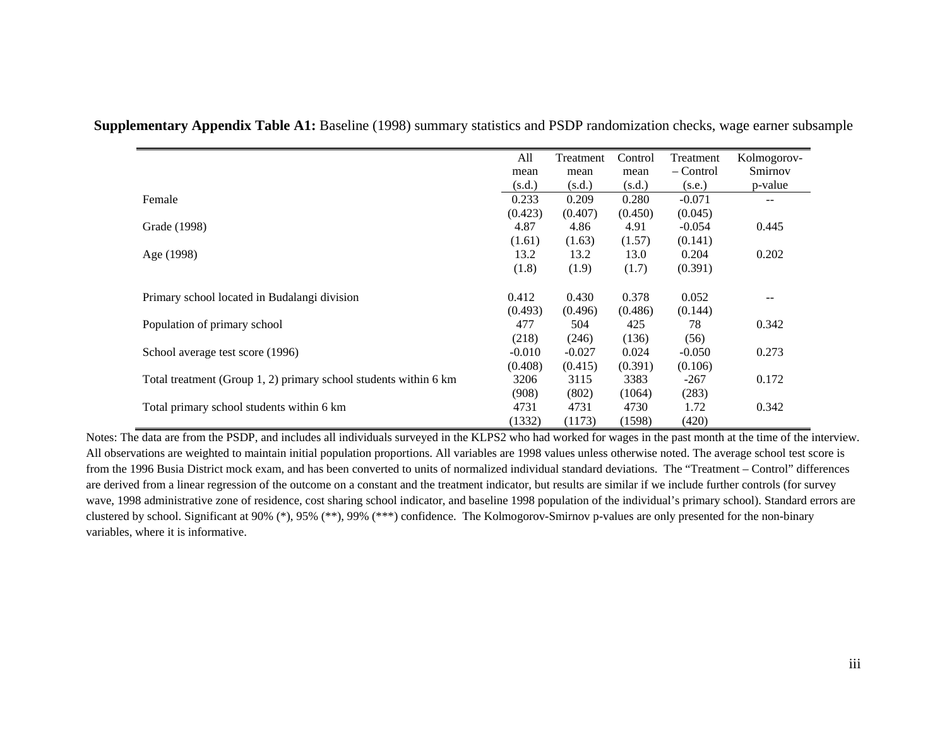|                                                                  | All      | Treatment | Control | Treatment | Kolmogorov- |
|------------------------------------------------------------------|----------|-----------|---------|-----------|-------------|
|                                                                  | mean     | mean      | mean    | – Control | Smirnov     |
|                                                                  | (s.d.)   | (s.d.)    | (s.d.)  | (s.e.)    | p-value     |
| Female                                                           | 0.233    | 0.209     | 0.280   | $-0.071$  | $- -$       |
|                                                                  | (0.423)  | (0.407)   | (0.450) | (0.045)   |             |
| Grade (1998)                                                     | 4.87     | 4.86      | 4.91    | $-0.054$  | 0.445       |
|                                                                  | (1.61)   | (1.63)    | (1.57)  | (0.141)   |             |
| Age (1998)                                                       | 13.2     | 13.2      | 13.0    | 0.204     | 0.202       |
|                                                                  | (1.8)    | (1.9)     | (1.7)   | (0.391)   |             |
| Primary school located in Budalangi division                     | 0.412    | 0.430     | 0.378   | 0.052     |             |
|                                                                  | (0.493)  | (0.496)   | (0.486) | (0.144)   |             |
| Population of primary school                                     | 477      | 504       | 425     | 78        | 0.342       |
|                                                                  | (218)    | (246)     | (136)   | (56)      |             |
| School average test score (1996)                                 | $-0.010$ | $-0.027$  | 0.024   | $-0.050$  | 0.273       |
|                                                                  | (0.408)  | (0.415)   | (0.391) | (0.106)   |             |
| Total treatment (Group 1, 2) primary school students within 6 km | 3206     | 3115      | 3383    | $-267$    | 0.172       |
|                                                                  | (908)    | (802)     | (1064)  | (283)     |             |
| Total primary school students within 6 km                        | 4731     | 4731      | 4730    | 1.72      | 0.342       |
|                                                                  | (1332)   | (1173)    | (1598)  | (420)     |             |

**Supplementary Appendix Table A1:** Baseline (1998) summary statistics and PSDP randomization checks, wage earner subsample

Notes: The data are from the PSDP, and includes all individuals surveyed in the KLPS2 who had worked for wages in the past month at the time of the interview. All observations are weighted to maintain initial population proportions. All variables are 1998 values unless otherwise noted. The average school test score is from the 1996 Busia District mock exam, and has been converted to units of normalized individual standard deviations. The "Treatment – Control" differences are derived from a linear regression of the outcome on a constant and the treatment indicator, but results are similar if we include further controls (for survey wave, 1998 administrative zone of residence, cost sharing school indicator, and baseline 1998 population of the individual's primary school). Standard errors are clustered by school. Significant at 90% (\*), 95% (\*\*), 99% (\*\*\*) confidence. The Kolmogorov-Smirnov p-values are only presented for the non-binary variables, where it is informative.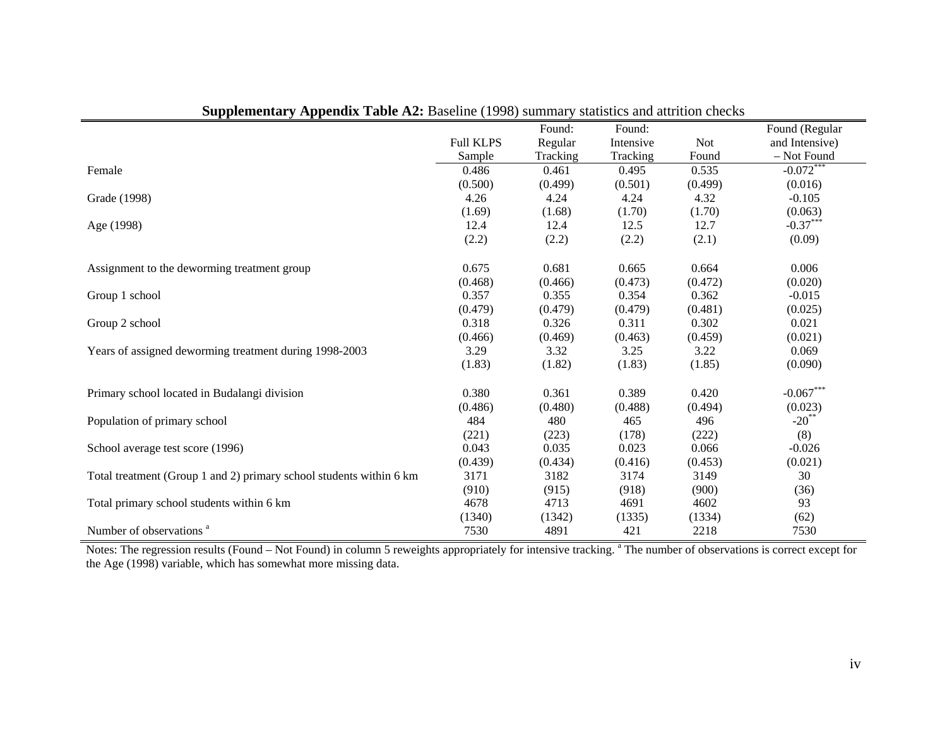|                                                                     |                  | Found:   | Found:    |            | Found (Regular |
|---------------------------------------------------------------------|------------------|----------|-----------|------------|----------------|
|                                                                     | <b>Full KLPS</b> | Regular  | Intensive | <b>Not</b> | and Intensive) |
|                                                                     | Sample           | Tracking | Tracking  | Found      | - Not Found    |
| Female                                                              | 0.486            | 0.461    | 0.495     | 0.535      | $-0.072***$    |
|                                                                     | (0.500)          | (0.499)  | (0.501)   | (0.499)    | (0.016)        |
| Grade (1998)                                                        | 4.26             | 4.24     | 4.24      | 4.32       | $-0.105$       |
|                                                                     | (1.69)           | (1.68)   | (1.70)    | (1.70)     | (0.063)        |
| Age (1998)                                                          | 12.4             | 12.4     | 12.5      | 12.7       | $-0.37***$     |
|                                                                     | (2.2)            | (2.2)    | (2.2)     | (2.1)      | (0.09)         |
| Assignment to the deworming treatment group                         | 0.675            | 0.681    | 0.665     | 0.664      | 0.006          |
|                                                                     | (0.468)          | (0.466)  | (0.473)   | (0.472)    | (0.020)        |
| Group 1 school                                                      | 0.357            | 0.355    | 0.354     | 0.362      | $-0.015$       |
|                                                                     | (0.479)          | (0.479)  | (0.479)   | (0.481)    | (0.025)        |
| Group 2 school                                                      | 0.318            | 0.326    | 0.311     | 0.302      | 0.021          |
|                                                                     | (0.466)          | (0.469)  | (0.463)   | (0.459)    | (0.021)        |
| Years of assigned deworming treatment during 1998-2003              | 3.29             | 3.32     | 3.25      | 3.22       | 0.069          |
|                                                                     | (1.83)           | (1.82)   | (1.83)    | (1.85)     | (0.090)        |
| Primary school located in Budalangi division                        | 0.380            | 0.361    | 0.389     | 0.420      | $-0.067***$    |
|                                                                     | (0.486)          | (0.480)  | (0.488)   | (0.494)    | (0.023)        |
| Population of primary school                                        | 484              | 480      | 465       | 496        | $-20**$        |
|                                                                     | (221)            | (223)    | (178)     | (222)      | (8)            |
| School average test score (1996)                                    | 0.043            | 0.035    | 0.023     | 0.066      | $-0.026$       |
|                                                                     | (0.439)          | (0.434)  | (0.416)   | (0.453)    | (0.021)        |
| Total treatment (Group 1 and 2) primary school students within 6 km | 3171             | 3182     | 3174      | 3149       | 30             |
|                                                                     | (910)            | (915)    | (918)     | (900)      | (36)           |
| Total primary school students within 6 km                           | 4678             | 4713     | 4691      | 4602       | 93             |
|                                                                     | (1340)           | (1342)   | (1335)    | (1334)     | (62)           |
| Number of observations <sup>a</sup>                                 | 7530             | 4891     | 421       | 2218       | 7530           |

|  | <b>Supplementary Appendix Table A2:</b> Baseline (1998) summary statistics and attrition checks |
|--|-------------------------------------------------------------------------------------------------|
|--|-------------------------------------------------------------------------------------------------|

Notes: The regression results (Found – Not Found) in column 5 reweights appropriately for intensive tracking. <sup>a</sup> The number of observations is correct except for the Age (1998) variable, which has somewhat more missing data.